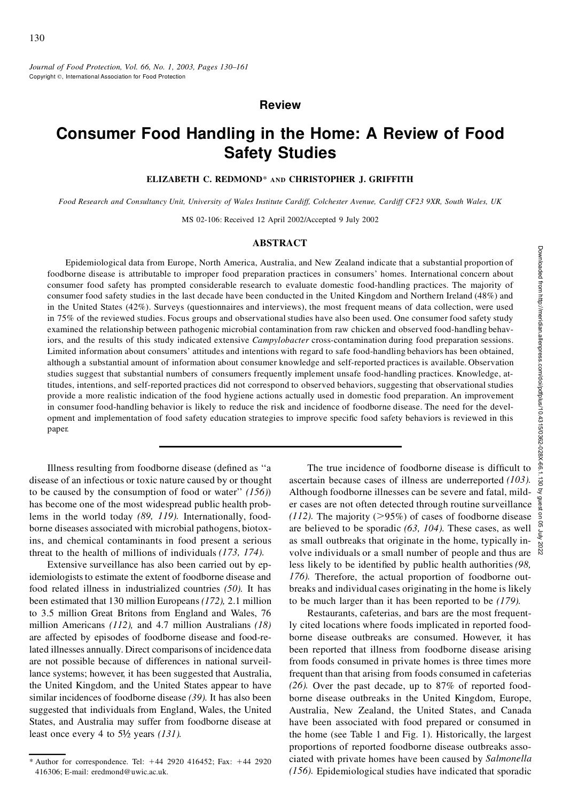*Journal of Food Protection, Vol. 66, No. 1, 2003, Pages 130–161* Copyright  $\circledcirc$ , International Association for Food Protection

## **Review**

# **Consumer Food Handling in the Home: A Review of Food Safety Studies**

#### **ELIZABETH C. REDMOND**\* **AND CHRISTOPHER J. GRIFFITH**

Food Research and Consultancy Unit, University of Wales Institute Cardiff, Colchester Avenue, Cardiff CF23 9XR, South Wales, UK

MS 02-106: Received 12 April 2002/Accepted 9 July 2002

## **ABSTRACT**

Epidemiological data from Europe, North America, Australia, and New Zealand indicate that a substantial proportion of foodborne disease is attributable to improper food preparation practices in consumers' homes. International concern about consumer food safety has prompted considerable research to evaluate domestic food-handling practices. The majority of consumer food safety studies in the last decade have been conducted in the United Kingdom and Northern Ireland (48%) and in the United States (42%). Surveys (questionnaires and interviews), the most frequent means of data collection, were used in 75% of the reviewed studies. Focus groups and observational studies have also been used. One consumer food safety study examined the relationship between pathogenic microbial contamination from raw chicken and observed food-handling behaviors, and the results of this study indicated extensive *Campylobacter* cross-contamination during food preparation sessions. Limited information about consumers' attitudes and intentions with regard to safe food-handling behaviors has been obtained, although a substantial amount of information about consumer knowledge and self-reported practices is available. Observation studies suggest that substantial numbers of consumers frequently implement unsafe food-handling practices. Knowledge, attitudes, intentions, and self-reported practices did not correspond to observed behaviors, suggesting that observational studies provide a more realistic indication of the food hygiene actions actually used in domestic food preparation. An improvement in consumer food-handling behavior is likely to reduce the risk and incidence of foodborne disease. The need for the development and implementation of food safety education strategies to improve specific food safety behaviors is reviewed in this paper. d New Zealand indicate that a substantial proportion of<br>
ices in consumers' homes. International concern about<br>
ate domestic food-handling practices. The majority of<br>
in the United Kingdom and Northern Ireland (48%) and<br>

Illness resulting from foodborne disease (defined as "a disease of an infectious or toxic nature caused by or thought to be caused by the consumption of food or water'' *(156)*) has become one of the most widespread public health problems in the world today *(89, 119).* Internationally, foodborne diseases associated with microbial pathogens, biotoxins, and chemical contaminants in food present a serious threat to the health of millions of individuals *(173, 174).*

Extensive surveillance has also been carried out by epidemiologists to estimate the extent of foodborne disease and food related illness in industrialized countries *(50).* It has been estimated that 130 million Europeans*(172),* 2.1 million to 3.5 million Great Britons from England and Wales, 76 million Americans *(112),* and 4.7 million Australians *(18)* are affected by episodes of foodborne disease and food-related illnesses annually. Direct comparisons of incidencedata are not possible because of differences in national surveillance systems; however, it has been suggested that Australia, the United Kingdom, and the United States appear to have similar incidences of foodborne disease *(39).* It has also been suggested that individuals from England, Wales, the United States, and Australia may suffer from foodborne disease at least once every 4 to  $5\frac{1}{2}$  years *(131)*.

ascertain because cases of illness are underreported *(103).* Although foodborne illnesses can be severe and fatal, mild-Although foodborne illnesses can be severe and fatal, mild-<br>er cases are not often detected through routine surveillance  $(112)$ . The majority (>95%) of cases of foodborne disease  $\frac{3}{5}$ <br>are believed to be sporadic (63 *(112).* The majority ( $>95\%$ ) of cases of foodborne disease are believed to be sporadic *(63, 104).* These cases, as well as small outbreaks that originate in the home, typically involve individuals or a small number of people and thus are less likely to be identified by public health authorities (98, *176).* Therefore, the actual proportion of foodborne outbreaks and individual cases originating in the home is likely to be much larger than it has been reported to be *(179).*

Restaurants, cafeterias, and bars are the most frequently cited locations where foods implicated in reported foodborne disease outbreaks are consumed. However, it has been reported that illness from foodborne disease arising from foods consumed in private homes is three times more frequent than that arising from foods consumed in cafeterias *(26).* Over the past decade, up to 87% of reported foodborne disease outbreaks in the United Kingdom, Europe, Australia, New Zealand, the United States, and Canada have been associated with food prepared or consumed in the home (see Table 1 and Fig. 1). Historically, the largest proportions of reported foodborne disease outbreaks associated with private homes have been caused by *Salmonella (156).* Epidemiological studies have indicated that sporadic

<sup>\*</sup> Author for correspondence. Tel:  $+44$  2920 416452; Fax:  $+44$  2920 416306; E-mail: eredmond@uwic.ac.uk.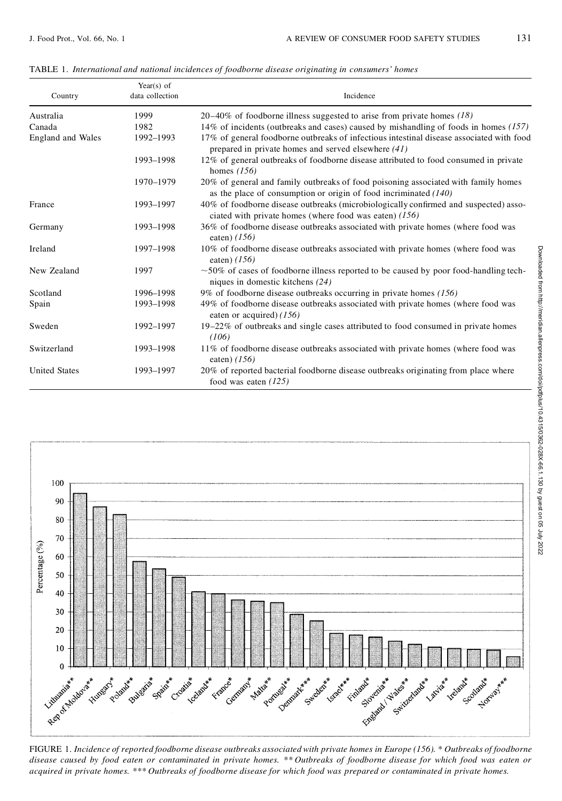TABLE 1.*International and national incidences of foodborne disease originating in consumers' homes*

| Country                  | Year(s) of<br>data collection | Incidence                                                                                                                                                 |
|--------------------------|-------------------------------|-----------------------------------------------------------------------------------------------------------------------------------------------------------|
| Australia                | 1999                          | 20–40% of foodborne illness suggested to arise from private homes $(18)$                                                                                  |
| Canada                   | 1982                          | 14% of incidents (outbreaks and cases) caused by mishandling of foods in homes (157)                                                                      |
| <b>England and Wales</b> | 1992-1993                     | 17% of general foodborne outbreaks of infectious intestinal disease associated with food<br>prepared in private homes and served elsewhere $(41)$         |
|                          | 1993-1998                     | 12% of general outbreaks of foodborne disease attributed to food consumed in private<br>homes $(156)$                                                     |
|                          | 1970-1979                     | 20% of general and family outbreaks of food poisoning associated with family homes<br>as the place of consumption or origin of food incriminated $(140)$  |
| France                   | 1993-1997                     | 40% of foodborne disease outbreaks (microbiologically confirmed and suspected) asso-<br>ciated with private homes (where food was eaten) $(156)$          |
| Germany                  | 1993-1998                     | 36% of foodborne disease outbreaks associated with private homes (where food was<br>eaten) $(156)$                                                        |
| Ireland                  | 1997-1998                     | 10% of foodborne disease outbreaks associated with private homes (where food was<br>eaten) $(156)$                                                        |
| New Zealand              | 1997                          | $~\sim$ 50% of cases of foodborne illness reported to be caused by poor food-handling tech-<br>niques in domestic kitchens $(24)$                         |
| Scotland                 | 1996-1998                     | 9% of foodborne disease outbreaks occurring in private homes (156)                                                                                        |
| Spain                    | 1993-1998                     | 49% of foodborne disease outbreaks associated with private homes (where food was<br>eaten or acquired) $(156)$                                            |
| Sweden                   | 1992-1997                     | 19-22% of outbreaks and single cases attributed to food consumed in private homes<br>(106)                                                                |
| Switzerland              | 1993-1998                     | Downloaded from http://meridian.allenpress.com/doi/<br>11% of foodborne disease outbreaks associated with private homes (where food was<br>eaten) $(156)$ |
| <b>United States</b>     | 1993-1997                     | 20% of reported bacterial foodborne disease outbreaks originating from place where<br>food was eaten $(125)$                                              |



FIGURE 1. Incidence of reported foodborne disease outbreaks associated with private homes in Europe (156). \* Outbreaks of foodborne disease caused by food eaten or contaminated in private homes. \*\* Outbreaks of foodborne disease for which food was eaten or acquired in private homes. \*\*\* Outbreaks of foodborne disease for which food was prepared or contaminated in private homes.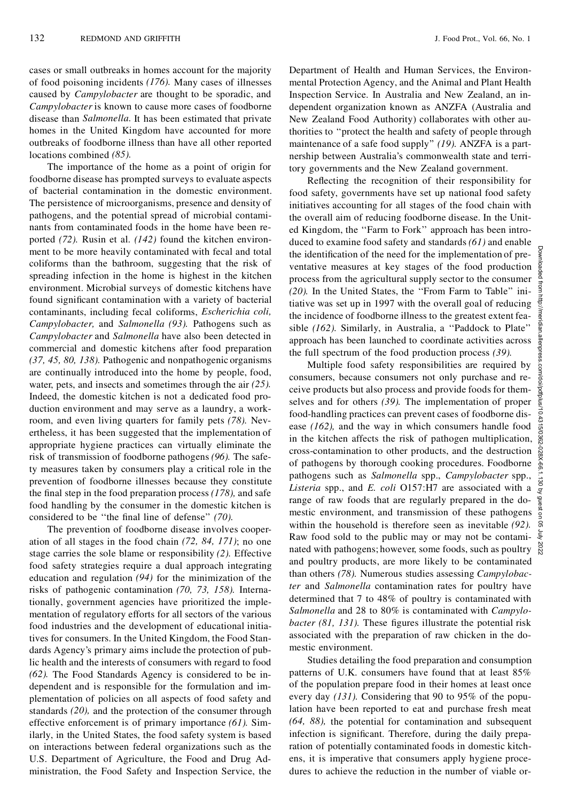cases or small outbreaks in homes account for the majority of food poisoning incidents *(176).* Many cases of illnesses caused by *Campylobacter* are thought to be sporadic, and *Campylobacter* is known to cause more cases of foodborne disease than *Salmonella.* It has been estimated that private homes in the United Kingdom have accounted for more outbreaks of foodborne illness than have all other reported locations combined *(85).*

The importance of the home as a point of origin for foodborne disease has prompted surveys to evaluate aspects of bacterial contamination in the domestic environment. The persistence of microorganisms, presence and density of pathogens, and the potential spread of microbial contaminants from contaminated foods in the home have been reported *(72).* Rusin et al. *(142)* found the kitchen environment to be more heavily contaminated with fecal and total coliforms than the bathroom, suggesting that the risk of spreading infection in the home is highest in the kitchen environment. Microbial surveys of domestic kitchens have found significant contamination with a variety of bacterial contaminants, including fecal coliforms, *Escherichia coli, Campylobacter,* and *Salmonella (93).* Pathogens such as *Campylobacter* and *Salmonella* have also been detected in commercial and domestic kitchens after food preparation *(37, 45, 80, 138).* Pathogenic and nonpathogenic organisms are continually introduced into the home by people, food, water, pets, and insects and sometimes through the air *(25).* Indeed, the domestic kitchen is not a dedicated food production environment and may serve as a laundry, a workroom, and even living quarters for family pets *(78).* Nevertheless, it has been suggested that the implementation of appropriate hygiene practices can virtually eliminate the risk of transmission of foodborne pathogens *(96).* The safety measures taken by consumers play a critical role in the prevention of foodborne illnesses because they constitute the final step in the food preparation process (178), and safe food handling by the consumer in the domestic kitchen is considered to be "the final line of defense" *(70)*.

The prevention of foodborne disease involves cooperation of all stages in the food chain *(72, 84, 171)*; no one stage carries the sole blame or responsibility *(2).* Effective food safety strategies require a dual approach integrating education and regulation *(94)* for the minimization of the risks of pathogenic contamination *(70, 73, 158).* Internationally, government agencies have prioritized the implementation of regulatory efforts for all sectors of the various food industries and the development of educational initiatives for consumers. In the United Kingdom, the Food Standards Agency's primary aims include the protection of public health and the interests of consumers with regard to food *(62).* The Food Standards Agency is considered to be independent and is responsible for the formulation and implementation of policies on all aspects of food safety and standards *(20),* and the protection of the consumer through effective enforcement is of primary importance *(61).* Similarly, in the United States, the food safety system is based on interactions between federal organizations such as the U.S. Department of Agriculture, the Food and Drug Administration, the Food Safety and Inspection Service, the

Department of Health and Human Services, the Environmental Protection Agency, and the Animal and Plant Health Inspection Service. In Australia and New Zealand, an independent organization known as ANZFA (Australia and New Zealand Food Authority) collaborates with other authorities to ''protect the health and safety of people through maintenance of a safe food supply" (19). ANZFA is a partnership between Australia's commonwealth state and territory governments and the New Zealand government.

Reflecting the recognition of their responsibility for food safety, governments have set up national food safety initiatives accounting for all stages of the food chain with the overall aim of reducing foodborne disease. In the United Kingdom, the ''Farm to Fork'' approach has been introduced to examine food safety and standards *(61)* and enable the identification of the need for the implementation of prethe identification of the need for the implementation of preventative measures at key stages of the food production approcess from the agricultural supply sector to the consumer  $(20)$ . In the United States, the "From Far process from the agricultural supply sector to the consumer *(20).* In the United States, the ''From Farm to Table'' initiative was set up in 1997 with the overall goal of reducing the incidence of foodborne illness to the greatest extent feasible *(162).* Similarly, in Australia, a ''Paddock to Plate'' approach has been launched to coordinate activities across the full spectrum of the food production process *(39).*

Multiple food safety responsibilities are required by  $\frac{8}{9}$  sumers, because consumers not only purchase and re-<br>e products but also process and provide foods for them-<br>es and for others (39). The implementation of pro consumers, because consumers not only purchase and receive products but also process and provide foods for themselves and for others *(39).* The implementation of proper food-handling practices can prevent cases of foodborne disease *(162),* and the way in which consumers handle food in the kitchen affects the risk of pathogen multiplication, cross-contamination to other products, and the destruction of pathogens by thorough cooking procedures. Foodborne pathogens such as *Salmonella* spp., *Campylobacter* spp., *Listeria* spp., and *E. coli* O157:H7 are associated with a range of raw foods that are regularly prepared in the domestic environment, and transmission of these pathogens within the household is therefore seen as inevitable *(92).* Raw food sold to the public may or may not be contaminated with pathogens; however, some foods, such as poultry and poultry products, are more likely to be contaminated than others *(78).* Numerous studies assessing *Campylobacter* and *Salmonella* contamination rates for poultry have determined that 7 to 48% of poultry is contaminated with *Salmonella* and 28 to 80% is contaminated with *Campylobacter* (81, 131). These figures illustrate the potential risk associated with the preparation of raw chicken in the domestic environment.

Studies detailing the food preparation and consumption patterns of U.K. consumers have found that at least 85% of the population prepare food in their homes at least once every day *(131).* Considering that 90 to 95% of the population have been reported to eat and purchase fresh meat *(64, 88),* the potential for contamination and subsequent infection is significant. Therefore, during the daily preparation of potentially contaminated foods in domestic kitchens, it is imperative that consumers apply hygiene procedures to achieve the reduction in the number of viable or-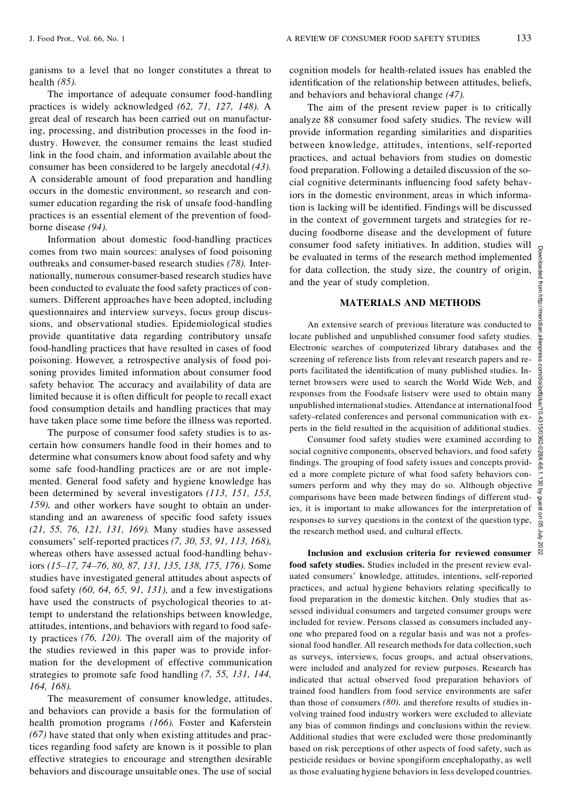ganisms to a level that no longer constitutes a threat to health *(85).*

The importance of adequate consumer food-handling practices is widely acknowledged *(62, 71, 127, 148).* A great deal of research has been carried out on manufacturing, processing, and distribution processes in the food industry. However, the consumer remains the least studied link in the food chain, and information available about the consumer has been considered to be largely anecdotal *(43).* A considerable amount of food preparation and handling occurs in the domestic environment, so research and consumer education regarding the risk of unsafe food-handling practices is an essential element of the prevention of foodborne disease *(94).*

Information about domestic food-handling practices comes from two main sources: analyses of food poisoning outbreaks and consumer-based research studies *(78).* Internationally, numerous consumer-based research studies have been conducted to evaluate the food safety practices of consumers. Different approaches have been adopted, including questionnaires and interview surveys, focus group discussions, and observational studies. Epidemiological studies provide quantitative data regarding contributory unsafe food-handling practices that have resulted in cases of food poisoning. However, a retrospective analysis of food poisoning provides limited information about consumer food safety behavior. The accuracy and availability of data are limited because it is often difficult for people to recall exact food consumption details and handling practices that may have taken place some time before the illness was reported.

The purpose of consumer food safety studies is to ascertain how consumers handle food in their homes and to determine what consumers know about food safety and why some safe food-handling practices are or are not implemented. General food safety and hygiene knowledge has been determined by several investigators *(113, 151, 153, 159),* and other workers have sought to obtain an understanding and an awareness of specific food safety issues *(21, 55, 76, 121, 131, 169).* Many studies have assessed consumers' self-reported practices *(7, 30, 53, 91, 113, 168),* whereas others have assessed actual food-handling behaviors *(15–17, 74–76, 80, 87, 131, 135, 138, 175, 176).* Some studies have investigated general attitudes about aspects of food safety *(60, 64, 65, 91, 131),* and a few investigations have used the constructs of psychological theories to attempt to understand the relationships between knowledge, attitudes, intentions, and behaviors with regard to food safety practices *(76, 120).* The overall aim of the majority of the studies reviewed in this paper was to provide information for the development of effective communication strategies to promote safe food handling *(7, 55, 131, 144, 164, 168).*

The measurement of consumer knowledge, attitudes, and behaviors can provide a basis for the formulation of health promotion programs *(166).* Foster and Kaferstein *(67)* have stated that only when existing attitudes and practices regarding food safety are known is it possible to plan effective strategies to encourage and strengthen desirable behaviors and discourage unsuitable ones. The use of social cognition models for health-related issues has enabled the identification of the relationship between attitudes, beliefs, and behaviors and behavioral change *(47).*

The aim of the present review paper is to critically analyze 88 consumer food safety studies. The review will provide information regarding similarities and disparities between knowledge, attitudes, intentions, self-reported practices, and actual behaviors from studies on domestic food preparation. Following a detailed discussion of the social cognitive determinants influencing food safety behaviors in the domestic environment, areas in which information is lacking will be identified. Findings will be discussed in the context of government targets and strategies for reducing foodborne disease and the development of future be evaluated in terms of the research method implemented for data collection, the study size, the country of origin, and the year of study completion.

#### **MATERIALS AND METHODS**

consumer food safety initiatives. In addition, studies will<br>be evaluated in terms of the research method implemented<br>for data collection, the study size, the country of origin,  $\frac{8}{3}$ <br>and the year of study completion.<br> An extensive search of previous literature was conducted to locate published and unpublished consumer food safety studies. Electronic searches of computerized library databases and the screening of reference lists from relevant research papers and re ports facilitated the identification of many published studies. Internet browsers were used to search the World Wide Web, and responses from the Foodsafe listserv were used to obtain many unpublished internationalstudies. Attendance at internationalfood safety–related conferences and personal communication with ex-

perts in the field resulted in the acquisition of additional studies.  $\frac{8}{80}$ <br>Consumer food safety studies were examined according to  $\frac{80}{80}$ Consumer food safety studies were examined according to social cognitive components, observed behaviors, and food safety findings. The grouping of food safety issues and concepts provided a more complete picture of what food safety behaviors consumers perform and why they may ndings. The grouping of food safety issues and concepts provided a more complete picture of what food safety behaviors consumers perform and why they may do so. Although objective comparisons have been made between findings of different studcomparisons have been made between findings of different stud-<br>ies, it is important to make allowances for the interpretation of  $\frac{a}{2}$ <br>responses to survey questions in the context of the question type,  $\frac{a}{2}$ <br>the r responses to survey questions in the context of the question type, the research method used, and cultural effects.

**Inclusion and exclusion criteria for reviewed consumer food safety studies.** Studies included in the present review evaluated consumers' knowledge, attitudes, intentions, self-reported practices, and actual hygiene behaviors relating specifically to food preparation in the domestic kitchen. Only studies that assessed individual consumers and targeted consumer groups were included for review. Persons classed as consumers included any one who prepared food on a regular basis and was not a professional food handler. All research methods for data collection, such as surveys, interviews, focus groups, and actual observations, were included and analyzed for review purposes. Research has indicated that actual observed food preparation behaviors of trained food handlers from food service environments are safer than those of consumers *(80),* and therefore results of studies involving trained food industry workers were excluded to alleviate any bias of common findings and conclusions within the review. Additional studies that were excluded were those predominantly based on risk perceptions of other aspects of food safety, such as pesticide residues or bovine spongiform encephalopathy, as well as those evaluating hygiene behaviorsin less developed countries.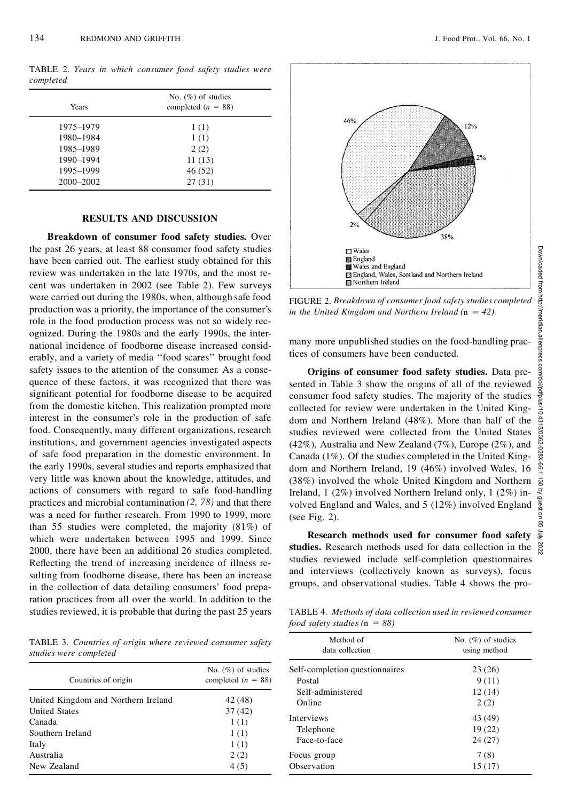TABLE 2. *Years in which consumer food safety studies were completed*

| Years     | No. $(\%)$ of studies<br>completed $(n = 88)$ |
|-----------|-----------------------------------------------|
| 1975–1979 | 1(1)                                          |
| 1980-1984 | 1(1)                                          |
| 1985–1989 | 2(2)                                          |
| 1990–1994 | 11(13)                                        |
| 1995-1999 | 46 (52)                                       |
| 2000–2002 | 27(31)                                        |
|           |                                               |

## **RESULTS AND DISCUSSION**

**Breakdown of consumer food safety studies.** Over the past 26 years, at least 88 consumer food safety studies have been carried out. The earliest study obtained for this review was undertaken in the late 1970s, and the most recent was undertaken in 2002 (see Table 2). Few surveys were carried out during the 1980s, when, although safe food production was a priority, the importance of the consumer's role in the food production process was not so widely recognized. During the 1980s and the early 1990s, the international incidence of foodborne disease increased considerably, and a variety of media ''food scares'' brought food safety issues to the attention of the consumer. As a consequence of these factors, it was recognized that there was significant potential for foodborne disease to be acquired from the domestic kitchen. This realization prompted more interest in the consumer's role in the production of safe food. Consequently, many different organizations, research institutions, and government agencies investigated aspects of safe food preparation in the domestic environment. In the early 1990s, several studies and reports emphasized that very little was known about the knowledge, attitudes, and actions of consumers with regard to safe food-handling practices and microbial contamination *(2, 78)* and that there was a need for further research. From 1990 to 1999, more than 55 studies were completed, the majority (81%) of which were undertaken between 1995 and 1999. Since 2000, there have been an additional 26 studies completed. Reflecting the trend of increasing incidence of illness resulting from foodborne disease, there has been an increase in the collection of data detailing consumers' food preparation practices from all over the world. In addition to the studies reviewed, it is probable that during the past 25 years

TABLE 3.*Countries of origin where reviewed consumer safety studies were completed*

| Countries of origin                 | No. $(\%)$ of studies<br>completed $(n = 88)$ |
|-------------------------------------|-----------------------------------------------|
| United Kingdom and Northern Ireland | 42 (48)                                       |
| <b>United States</b>                | 37(42)                                        |
| Canada                              | 1(1)                                          |
| Southern Ireland                    | 1(1)                                          |
| Italy                               | 1(1)                                          |
| Australia                           | 2(2)                                          |
| New Zealand                         | 4(5)                                          |





*in* the United Kingdom and Northern Ireland  $(n = 42)$ .

many more unpublished studies on the food-handling practices of consumers have been conducted.

**Origins of consumer food safety studies.** Data presented in Table 3 show the origins of all of the reviewed consumer food safety studies. The majority of the studies collected for review were undertaken in the United Kingdom and Northern Ireland (48%). More than half of the studies reviewed were collected from the United States (42%), Australia and New Zealand (7%), Europe (2%), and Canada (1%). Of the studies completed in the United Kingdom and Northern Ireland, 19 (46%) involved Wales, 16 (38%) involved the whole United Kingdom and Northern Ireland, 1 (2%) involved Northern Ireland only, 1 (2%) in-Ireland, 1 (2%) involved Northern Ireland only, 1 (2%) in-<br>volved England and Wales, and 5 (12%) involved England  $\frac{8}{9}$ (see Fig. 2).

**Research methods used for consumer food safety** studies. Research methods used for data collection in the  $\frac{8}{6}$ studies reviewed include self-completion questionnaires and interviews (collectively known as surveys), focus groups, and observational studies. Table 4 shows the pro-

TABLE 4. *Methods of data collection used in reviewed consumer food safety studies*  $(n = 88)$ 

| Method of<br>data collection   | No. $(\%)$ of studies<br>using method |
|--------------------------------|---------------------------------------|
| Self-completion questionnaires | 23(26)                                |
| Postal                         | 9(11)                                 |
| Self-administered              | 12(14)                                |
| Online                         | 2(2)                                  |
| <b>Interviews</b>              | 43 (49)                               |
| Telephone                      | 19(22)                                |
| Face-to-face                   | 24 (27)                               |
| Focus group                    | 7(8)                                  |
| Observation                    | 15(17)                                |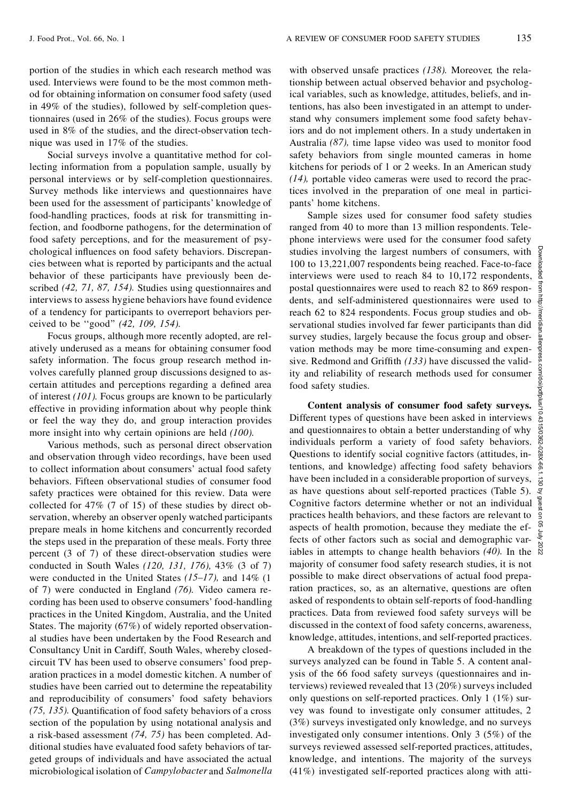portion of the studies in which each research method was used. Interviews were found to be the most common method for obtaining information on consumer food safety (used in 49% of the studies), followed by self-completion questionnaires (used in 26% of the studies). Focus groups were used in 8% of the studies, and the direct-observation technique was used in 17% of the studies.

Social surveys involve a quantitative method for collecting information from a population sample, usually by personal interviews or by self-completion questionnaires. Survey methods like interviews and questionnaires have been used for the assessment of participants' knowledge of food-handling practices, foods at risk for transmitting infection, and foodborne pathogens, for the determination of food safety perceptions, and for the measurement of psychological influences on food safety behaviors. Discrepancies between what is reported by participants and the actual behavior of these participants have previously been described *(42, 71, 87, 154).* Studies using questionnaires and interviews to assess hygiene behaviors have found evidence of a tendency for participants to overreport behaviors perceived to be ''good'' *(42, 109, 154).*

Focus groups, although more recently adopted, are relatively underused as a means for obtaining consumer food safety information. The focus group research method involves carefully planned group discussions designed to ascertain attitudes and perceptions regarding a defined area of interest *(101).* Focus groups are known to be particularly effective in providing information about why people think or feel the way they do, and group interaction provides more insight into why certain opinions are held *(100).*

Various methods, such as personal direct observation and observation through video recordings, have been used to collect information about consumers' actual food safety behaviors. Fifteen observational studies of consumer food safety practices were obtained for this review. Data were collected for 47% (7 of 15) of these studies by direct observation, whereby an observer openly watched participants prepare meals in home kitchens and concurrently recorded the steps used in the preparation of these meals. Forty three percent (3 of 7) of these direct-observation studies were conducted in South Wales *(120, 131, 176),* 43% (3 of 7) were conducted in the United States *(15–17),* and 14% (1 of 7) were conducted in England *(76).* Video camera recording has been used to observe consumers' food-handling practices in the United Kingdom, Australia, and the United States. The majority (67%) of widely reported observational studies have been undertaken by the Food Research and Consultancy Unit in Cardiff, South Wales, whereby closedcircuit TV has been used to observe consumers' food preparation practices in a model domestic kitchen. A number of studies have been carried out to determine the repeatability and reproducibility of consumers' food safety behaviors *(75, 135)*. Quantification of food safety behaviors of a cross section of the population by using notational analysis and a risk-based assessment *(74, 75)* has been completed. Additional studies have evaluated food safety behaviors of targeted groups of individuals and have associated the actual microbiological isolation of *Campylobacter* and *Salmonella* with observed unsafe practices *(138).* Moreover, the relationship between actual observed behavior and psychological variables, such as knowledge, attitudes, beliefs, and intentions, has also been investigated in an attempt to understand why consumers implement some food safety behaviors and do not implement others. In a study undertaken in Australia *(87),* time lapse video was used to monitor food safety behaviors from single mounted cameras in home kitchens for periods of 1 or 2 weeks. In an American study *(14),* portable video cameras were used to record the practices involved in the preparation of one meal in participants' home kitchens.

Sample sizes used for consumer food safety studies ranged from 40 to more than 13 million respondents. Telephone interviews were used for the consumer food safety studies involving the largest numbers of consumers, with 100 to 13,221,007 respondents being reached. Face-to-face  $\frac{3}{8}$ interviews were used to reach 84 to 10,172 respondents, postal questionnaires were used to reach 82 to 869 respondents, and self-administered questionnaires were used to  $\frac{4}{5}$  reach 62 to 824 respondents. Focus group studies and obreach 62 to 824 respondents. Focus group studies and observational studies involved far fewer participants than did survey studies, largely because the focus group and observation methods may be more time-consuming and expensive. Redmond and Griffith (133) have discussed the validsurvey studies, largely because the focus group and observation methods may be more time-consuming and expensive. Redmond and Griffith (133) have discussed the validity and reliability of research methods used for consume food safety studies.

**Content analysis of consumer food safety surveys.** Different types of questions have been asked in interviews and questionnaires to obtain a better understanding of why  $\frac{5}{60}$  individuals perform a variety of food safety behaviors. Questions to identify social cognitive factors (attitudes, inindividuals perform a variety of food safety behaviors. Questions to identify social cognitive factors (attitudes, intentions, and knowledge) affecting food safety behaviors  $\frac{1}{5}$ have been included in a considerable proportion of surveys,  $\frac{1}{8}$ as have questions about self-reported practices (Table 5). Cognitive factors determine whether or not an individual  $\frac{6}{8}$ practices health behaviors, and these factors are relevant to aspects of health promotion, because they mediate the effects of other factors such as social and demographic variables in attempts to change health behaviors *(40).* In the majority of consumer food safety research studies, it is not possible to make direct observations of actual food preparation practices, so, as an alternative, questions are often asked of respondents to obtain self-reports of food-handling practices. Data from reviewed food safety surveys will be discussed in the context of food safety concerns, awareness, knowledge, attitudes, intentions, and self-reported practices.

A breakdown of the types of questions included in the surveys analyzed can be found in Table 5. A content analysis of the 66 food safety surveys (questionnaires and interviews) reviewed revealed that 13 (20%) surveys included only questions on self-reported practices. Only 1 (1%) survey was found to investigate only consumer attitudes, 2 (3%) surveys investigated only knowledge, and no surveys investigated only consumer intentions. Only 3 (5%) of the surveys reviewed assessed self-reported practices, attitudes, knowledge, and intentions. The majority of the surveys (41%) investigated self-reported practices along with atti-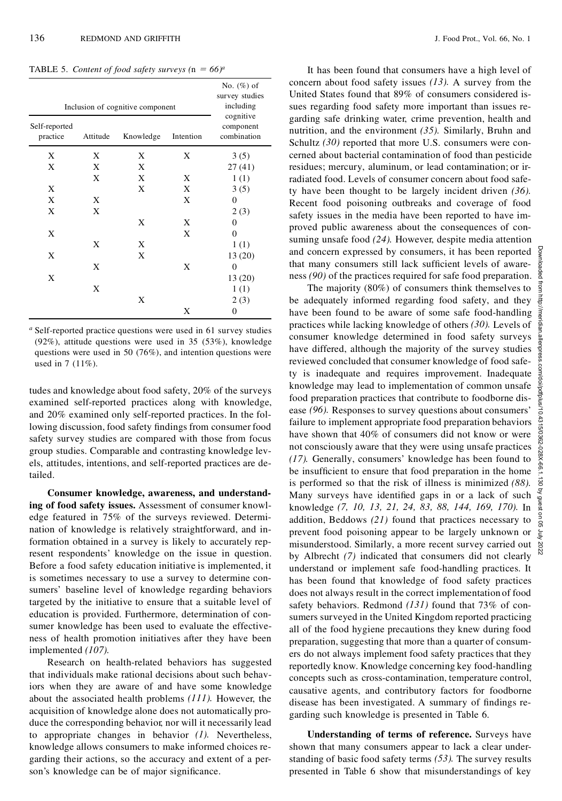TABLE 5. Content of food safety surveys  $(n = 66)^a$ 

| Inclusion of cognitive component<br>Self-reported<br>practice | No. $(\%)$ of<br>survey studies<br>including<br>cognitive<br>component<br>combination |   |   |              |
|---------------------------------------------------------------|---------------------------------------------------------------------------------------|---|---|--------------|
| X                                                             | X                                                                                     | X | X | 3(5)         |
| X                                                             | X                                                                                     | X |   | 27(41)       |
|                                                               | X                                                                                     | X | X | 1(1)         |
| X                                                             |                                                                                       | X | X | 3(5)         |
| X                                                             | X                                                                                     |   | X | $\mathbf{0}$ |
| X                                                             | X                                                                                     |   |   | 2(3)         |
|                                                               |                                                                                       | X | X | $\mathbf{0}$ |
| X                                                             |                                                                                       |   | X | $\mathbf{0}$ |
|                                                               | X                                                                                     | X |   | 1(1)         |
| X                                                             |                                                                                       | X |   | 13 (20)      |
|                                                               | X                                                                                     |   | X | $\theta$     |
| X                                                             |                                                                                       |   |   | 13 (20)      |
|                                                               | X                                                                                     |   |   | 1(1)         |
|                                                               |                                                                                       | X |   | 2(3)         |
|                                                               |                                                                                       |   | X | 0            |

*<sup>a</sup>* Self-reported practice questions were used in 61 survey studies (92%), attitude questions were used in 35 (53%), knowledge questions were used in 50 (76%), and intention questions were used in 7 (11%).

tudes and knowledge about food safety, 20% of the surveys examined self-reported practices along with knowledge, and 20% examined only self-reported practices. In the following discussion, food safety findings from consumer food safety survey studies are compared with those from focus group studies. Comparable and contrasting knowledge levels, attitudes, intentions, and self-reported practices are detailed.

**Consumer knowledge, awareness, and understanding of food safety issues.** Assessment of consumer knowledge featured in 75% of the surveys reviewed. Determination of knowledge is relatively straightforward, and information obtained in a survey is likely to accurately represent respondents' knowledge on the issue in question. Before a food safety education initiative is implemented, it is sometimes necessary to use a survey to determine consumers' baseline level of knowledge regarding behaviors targeted by the initiative to ensure that a suitable level of education is provided. Furthermore, determination of consumer knowledge has been used to evaluate the effectiveness of health promotion initiatives after they have been implemented *(107).*

Research on health-related behaviors has suggested that individuals make rational decisions about such behaviors when they are aware of and have some knowledge about the associated health problems *(111).* However, the acquisition of knowledge alone does not automatically produce the corresponding behavior, nor will it necessarily lead to appropriate changes in behavior *(1).* Nevertheless, knowledge allows consumers to make informed choices regarding their actions, so the accuracy and extent of a person's knowledge can be of major significance.

It has been found that consumers have a high level of concern about food safety issues *(13).* A survey from the United States found that 89% of consumers considered issues regarding food safety more important than issues regarding safe drinking water, crime prevention, health and nutrition, and the environment *(35).* Similarly, Bruhn and Schultz (30) reported that more U.S. consumers were concerned about bacterial contamination of food than pesticide residues; mercury, aluminum, or lead contamination; or irradiated food. Levels of consumer concern about food safety have been thought to be largely incident driven *(36).* Recent food poisoning outbreaks and coverage of food safety issues in the media have been reported to have improved public awareness about the consequences of consuming unsafe food *(24).* However, despite media attention and concern expressed by consumers, it has been reported that many consumers still lack sufficient levels of awareness *(90)* of the practices required for safe food preparation.

The majority (80%) of consumers think themselves to be adequately informed regarding food safety, and they  $\frac{3}{5}$ have been found to be aware of some safe food-handling practices while lacking knowledge of others *(30).* Levels of consumer knowledge determined in food safety surveys have differed, although the majority of the survey studies reviewed concluded that consumer knowledge of food safereviewed concluded that consumer knowledge of food safe-<br>ty is inadequate and requires improvement. Inadequate  $\frac{8}{3}$ <br>knowledge may lead to implementation of common unsafe<br>food preparation practices that contribute to knowledge may lead to implementation of common unsafe food preparation practices that contribute to foodborne disease *(96).* Responses to survey questions about consumers' failure to implement appropriate food preparation behaviors and have shown that 40% of consumers did not know or were  $\frac{5}{60}$  not consciously aware that they were using unsafe practices  $(17)$ . Generally, consumers' kn have shown that 40% of consumers did not know or were not consciously aware that they were using unsafe practices *(17).* Generally, consumers' knowledge has been found to be insufficient to ensure that food preparation in the home is performed so that the risk of illness is minimized *(88).* Many surveys have identified gaps in or a lack of such knowledge *(7, 10, 13, 21, 24, 83, 88, 144, 169, 170).* In addition, Beddows *(21)* found that practices necessary to prevent food poisoning appear to be largely unknown or misunderstood. Similarly, a more recent survey carried out by Albrecht *(7)* indicated that consumers did not clearly understand or implement safe food-handling practices. It has been found that knowledge of food safety practices does not always result in the correct implementation of food safety behaviors. Redmond *(131)* found that 73% of consumers surveyed in the United Kingdom reported practicing all of the food hygiene precautions they knew during food preparation, suggesting that more than a quarter of consumers do not always implement food safety practices that they reportedly know. Knowledge concerning key food-handling concepts such as cross-contamination, temperature control, causative agents, and contributory factors for foodborne disease has been investigated. A summary of findings regarding such knowledge is presented in Table 6.

**Understanding of terms of reference.** Surveys have shown that many consumers appear to lack a clear understanding of basic food safety terms *(53).* The survey results presented in Table 6 show that misunderstandings of key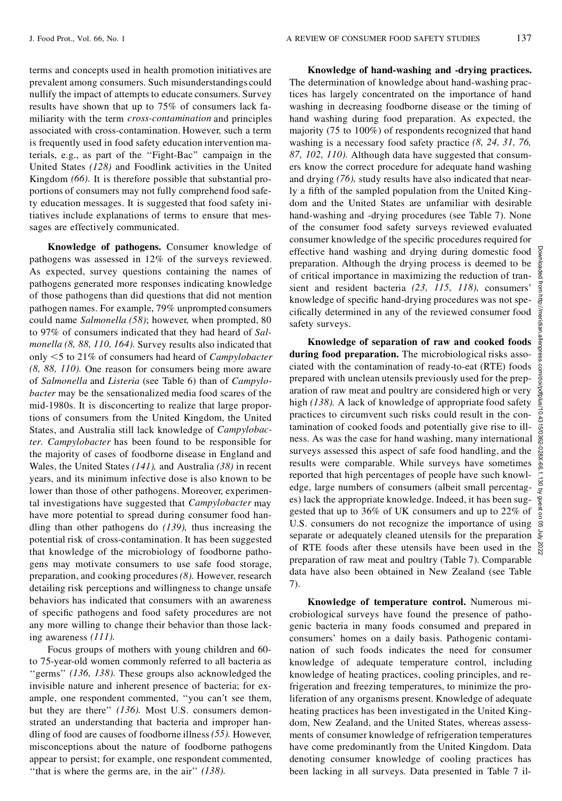terms and concepts used in health promotion initiatives are prevalent among consumers. Such misunderstandings could nullify the impact of attempts to educate consumers. Survey results have shown that up to 75% of consumers lack familiarity with the term *cross-contamination* and principles associated with cross-contamination. However, such a term is frequently used in food safety education intervention materials, e.g., as part of the ''Fight-Bac'' campaign in the United States *(128)* and Foodlink activities in the United Kingdom *(66).* It is therefore possible that substantial proportions of consumers may not fully comprehend food safety education messages. It is suggested that food safety initiatives include explanations of terms to ensure that messages are effectively communicated.

**Knowledge of pathogens.** Consumer knowledge of pathogens was assessed in 12% of the surveys reviewed. As expected, survey questions containing the names of pathogens generated more responses indicating knowledge of those pathogens than did questions that did not mention pathogen names. For example, 79% unprompted consumers could name *Salmonella (58)*; however, when prompted, 80 to 97% of consumers indicated that they had heard of *Salmonella (8, 88, 110, 164).* Survey results also indicated that only ,5 to 21% of consumers had heard of *Campylobacter (8, 88, 110).* One reason for consumers being more aware of *Salmonella* and *Listeria* (see Table 6) than of *Campylobacter* may be the sensationalized media food scares of the mid-1980s. It is disconcerting to realize that large proportions of consumers from the United Kingdom, the United States, and Australia still lack knowledge of *Campylobacter. Campylobacter* has been found to be responsible for the majority of cases of foodborne disease in England and Wales, the United States *(141),* and Australia *(38)* in recent years, and its minimum infective dose is also known to be lower than those of other pathogens. Moreover, experimental investigations have suggested that *Campylobacter* may have more potential to spread during consumer food handling than other pathogens do *(139),* thus increasing the potential risk of cross-contamination. It has been suggested that knowledge of the microbiology of foodborne pathogens may motivate consumers to use safe food storage, preparation, and cooking procedures *(8).* However, research detailing risk perceptions and willingness to change unsafe behaviors has indicated that consumers with an awareness of specific pathogens and food safety procedures are not any more willing to change their behavior than those lacking awareness *(111).*

Focus groups of mothers with young children and 60 to 75-year-old women commonly referred to all bacteria as "germs" (136, 138). These groups also acknowledged the invisible nature and inherent presence of bacteria; for example, one respondent commented, ''you can't see them, but they are there'' *(136).* Most U.S. consumers demonstrated an understanding that bacteria and improper handling of food are causes of foodborne illness *(55).* However, misconceptions about the nature of foodborne pathogens appear to persist; for example, one respondent commented, ''that is where the germs are, in the air'' *(138).*

**Knowledge of hand-washing and -drying practices.** The determination of knowledge about hand-washing practices has largely concentrated on the importance of hand washing in decreasing foodborne disease or the timing of hand washing during food preparation. As expected, the majority (75 to 100%) of respondents recognized that hand washing is a necessary food safety practice *(8, 24, 31, 76, 87, 102, 110).* Although data have suggested that consumers know the correct procedure for adequate hand washing and drying *(76),* study results have also indicated that nearly a fifth of the sampled population from the United Kingdom and the United States are unfamiliar with desirable hand-washing and -drying procedures (see Table 7). None of the consumer food safety surveys reviewed evaluated consumer knowledge of the specific procedures required for effective hand washing and drying during domestic food preparation. Although the drying process is deemed to be of critical importance in maximizing the reduction of transient and resident bacteria *(23, 115, 118),* consumers' knowledge of specific hand-drying procedures was not specifically determined in any of the reviewed consumer food safety surveys.

**Knowledge of separation of raw and cooked foods during food preparation.** The microbiological risks associated with the contamination of ready-to-eat (RTE) foods appropared with unclean utensils previously used for the preparation of raw meat and poultry are considered high or very high (138). A lack of knowledge of appropr prepared with unclean utensils previously used for the preparation of raw meat and poultry are considered high or very high *(138).* A lack of knowledge of appropriate food safety practices to circumvent such risks could result in the contamination of cooked foods and potentially give rise to illness. As was the case for hand washing, many international  $\frac{5}{8}$ surveys assessed this aspect of safe food handling, and the  $\frac{8}{8}$ results were comparable. While surveys have sometimes reported that high percentages of people have such knowledge, large numbers of consumers (albeit small percentages) lack the appropriate knowledge. Indeed, it has been suggested that up to 36% of UK consumers and up to 22% of U.S. consumers do not recognize the importance of using  $\bar{g}$ separate or adequately cleaned utensils for the preparation  $\frac{5}{5}$ of RTE foods after these utensils have been used in the  $\frac{8}{5}$ preparation of raw meat and poultry (Table 7). Comparable data have also been obtained in New Zealand (see Table 7).

**Knowledge of temperature control.** Numerous microbiological surveys have found the presence of pathogenic bacteria in many foods consumed and prepared in consumers' homes on a daily basis. Pathogenic contamination of such foods indicates the need for consumer knowledge of adequate temperature control, including knowledge of heating practices, cooling principles, and refrigeration and freezing temperatures, to minimize the proliferation of any organisms present. Knowledge of adequate heating practices has been investigated in the United Kingdom, New Zealand, and the United States, whereas assessments of consumer knowledge of refrigeration temperatures have come predominantly from the United Kingdom. Data denoting consumer knowledge of cooling practices has been lacking in all surveys. Data presented in Table 7 il-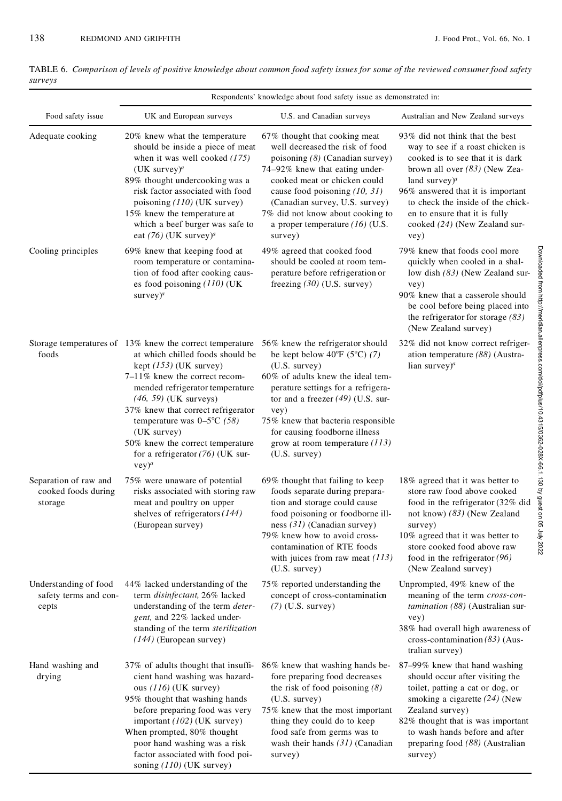|                                                         | Respondents' knowledge about food safety issue as demonstrated in:                                                                                                                                                                                                                                                                                                                                        |                                                                                                                                                                                                                                                                                                                                                       |                                                                                                                                                                                                                                                                                                                                    |
|---------------------------------------------------------|-----------------------------------------------------------------------------------------------------------------------------------------------------------------------------------------------------------------------------------------------------------------------------------------------------------------------------------------------------------------------------------------------------------|-------------------------------------------------------------------------------------------------------------------------------------------------------------------------------------------------------------------------------------------------------------------------------------------------------------------------------------------------------|------------------------------------------------------------------------------------------------------------------------------------------------------------------------------------------------------------------------------------------------------------------------------------------------------------------------------------|
| Food safety issue                                       | UK and European surveys                                                                                                                                                                                                                                                                                                                                                                                   | U.S. and Canadian surveys                                                                                                                                                                                                                                                                                                                             | Australian and New Zealand surveys                                                                                                                                                                                                                                                                                                 |
| Adequate cooking                                        | 20% knew what the temperature<br>should be inside a piece of meat<br>when it was well cooked $(175)$<br>(UK survey) <sup>a</sup><br>89% thought undercooking was a<br>risk factor associated with food<br>poisoning $(110)$ (UK survey)<br>15% knew the temperature at<br>which a beef burger was safe to<br>eat (76) (UK survey) <sup>a</sup>                                                            | 67% thought that cooking meat<br>well decreased the risk of food<br>poisoning $(8)$ (Canadian survey)<br>74–92% knew that eating under-<br>cooked meat or chicken could<br>cause food poisoning (10, 31)<br>(Canadian survey, U.S. survey)<br>7% did not know about cooking to<br>a proper temperature $(16)$ (U.S.<br>survey)                        | 93% did not think that the best<br>way to see if a roast chicken is<br>cooked is to see that it is dark<br>brown all over (83) (New Zea-<br>land survey) <sup><i>a</i></sup><br>96% answered that it is important<br>to check the inside of the chick-<br>en to ensure that it is fully<br>cooked $(24)$ (New Zealand sur-<br>vey) |
| Cooling principles                                      | 69% knew that keeping food at<br>room temperature or contamina-<br>tion of food after cooking caus-<br>es food poisoning (110) (UK<br>survey $)^a$                                                                                                                                                                                                                                                        | 49% agreed that cooked food<br>should be cooled at room tem-<br>perature before refrigeration or<br>freezing $(30)$ (U.S. survey)                                                                                                                                                                                                                     | 79% knew that foods cool more<br>quickly when cooled in a shal-<br>low dish (83) (New Zealand sur-<br>vey)<br>90% knew that a casserole should<br>be cool before being placed into<br>the refrigerator for storage $(83)$<br>(New Zealand survey)                                                                                  |
| foods                                                   | Storage temperatures of 13% knew the correct temperature<br>at which chilled foods should be<br>kept $(153)$ (UK survey)<br>7–11% knew the correct recom-<br>mended refrigerator temperature<br>$(46, 59)$ (UK surveys)<br>37% knew that correct refrigerator<br>temperature was $0-5^{\circ}C$ (58)<br>(UK survey)<br>50% knew the correct temperature<br>for a refrigerator $(76)$ (UK sur-<br>$vey)^a$ | 56% knew the refrigerator should<br>be kept below $40^{\circ}F(5^{\circ}C)(7)$<br>(U.S. survey)<br>60% of adults knew the ideal tem-<br>perature settings for a refrigera-<br>tor and a freezer $(49)$ (U.S. sur-<br>vey)<br>75% knew that bacteria responsible<br>for causing foodborne illness<br>grow at room temperature $(113)$<br>(U.S. survey) | Downloaded from http://meridian.allenpress.com/doi/pdfplus/10.4315/0362-028X-66.1.130 by guest on 05 July<br>32% did not know correct refriger-<br>ation temperature (88) (Austra-<br>lian survey) <sup>a</sup>                                                                                                                    |
| Separation of raw and<br>cooked foods during<br>storage | 75% were unaware of potential<br>risks associated with storing raw<br>meat and poultry on upper<br>shelves of refrigerators (144)<br>(European survey)                                                                                                                                                                                                                                                    | 69% thought that failing to keep<br>foods separate during prepara-<br>tion and storage could cause<br>food poisoning or foodborne ill-<br>ness $(31)$ (Canadian survey)<br>79% knew how to avoid cross-<br>contamination of RTE foods<br>with juices from raw meat $(113)$<br>$(U.S.$ survey)                                                         | 18% agreed that it was better to<br>store raw food above cooked<br>food in the refrigerator (32% did<br>not know) (83) (New Zealand<br>survey)<br>10% agreed that it was better to<br>store cooked food above raw<br>food in the refrigerator $(96)$<br>(New Zealand survey)                                                       |
| Understanding of food<br>safety terms and con-<br>cepts | 44% lacked understanding of the<br>term disinfectant, 26% lacked<br>understanding of the term <i>deter</i> -<br>gent, and 22% lacked under-<br>standing of the term sterilization<br>$(144)$ (European survey)                                                                                                                                                                                            | 75% reported understanding the<br>concept of cross-contamination<br>$(7)$ (U.S. survey)                                                                                                                                                                                                                                                               | Unprompted, 49% knew of the<br>meaning of the term cross-con-<br>tamination (88) (Australian sur-<br>vey)<br>38% had overall high awareness of<br>cross-contamination $(83)$ (Aus-<br>tralian survey)                                                                                                                              |
| Hand washing and<br>drying                              | 37% of adults thought that insuffi-<br>cient hand washing was hazard-<br>ous $(116)$ (UK survey)<br>95% thought that washing hands<br>before preparing food was very<br>important $(102)$ (UK survey)<br>When prompted, 80% thought<br>poor hand washing was a risk<br>factor associated with food poi-<br>soning $(110)$ (UK survey)                                                                     | 86% knew that washing hands be-<br>fore preparing food decreases<br>the risk of food poisoning $(8)$<br>$(U.S.$ survey)<br>75% knew that the most important<br>thing they could do to keep<br>food safe from germs was to<br>wash their hands $(31)$ (Canadian<br>survey)                                                                             | 87-99% knew that hand washing<br>should occur after visiting the<br>toilet, patting a cat or dog, or<br>smoking a cigarette $(24)$ (New<br>Zealand survey)<br>82% thought that is was important<br>to wash hands before and after<br>preparing food (88) (Australian<br>survey)                                                    |

TABLE 6. Comparison of levels of positive knowledge about common food safety issues for some of the reviewed consumer food safety *surveys*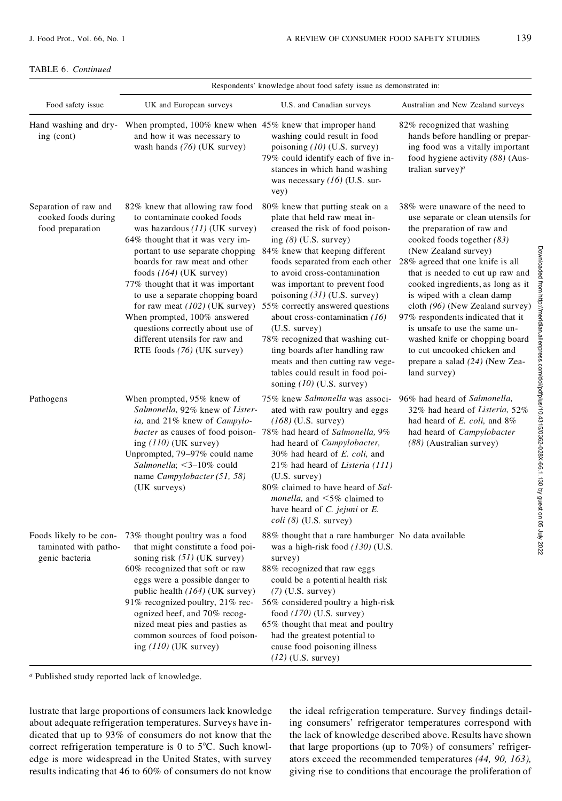### TABLE 6.*Continued*

|                                                                    | Respondents' knowledge about food safety issue as demonstrated in:                                                                                                                                                                                                                                                                                                                                                                                    |                                                                                                                                                                                                                                                                                                                                                                                                                                                                                                                                                                                                                 |                                                                                                                                                                                                                                                                                                                                                                                                                                                                                                                                                                                                                                                   |  |  |
|--------------------------------------------------------------------|-------------------------------------------------------------------------------------------------------------------------------------------------------------------------------------------------------------------------------------------------------------------------------------------------------------------------------------------------------------------------------------------------------------------------------------------------------|-----------------------------------------------------------------------------------------------------------------------------------------------------------------------------------------------------------------------------------------------------------------------------------------------------------------------------------------------------------------------------------------------------------------------------------------------------------------------------------------------------------------------------------------------------------------------------------------------------------------|---------------------------------------------------------------------------------------------------------------------------------------------------------------------------------------------------------------------------------------------------------------------------------------------------------------------------------------------------------------------------------------------------------------------------------------------------------------------------------------------------------------------------------------------------------------------------------------------------------------------------------------------------|--|--|
| Food safety issue                                                  | UK and European surveys                                                                                                                                                                                                                                                                                                                                                                                                                               | U.S. and Canadian surveys                                                                                                                                                                                                                                                                                                                                                                                                                                                                                                                                                                                       | Australian and New Zealand surveys                                                                                                                                                                                                                                                                                                                                                                                                                                                                                                                                                                                                                |  |  |
| ing (cont)                                                         | Hand washing and dry- When prompted, 100% knew when 45% knew that improper hand<br>and how it was necessary to<br>wash hands (76) (UK survey)                                                                                                                                                                                                                                                                                                         | washing could result in food<br>poisoning $(10)$ (U.S. survey)<br>79% could identify each of five in-<br>stances in which hand washing<br>was necessary $(16)$ (U.S. sur-<br>vey)                                                                                                                                                                                                                                                                                                                                                                                                                               | 82% recognized that washing<br>hands before handling or prepar-<br>ing food was a vitally important<br>food hygiene activity (88) (Aus-<br>tralian survey) <sup>a</sup>                                                                                                                                                                                                                                                                                                                                                                                                                                                                           |  |  |
| Separation of raw and<br>cooked foods during<br>food preparation   | 82% knew that allowing raw food<br>to contaminate cooked foods<br>was hazardous $(11)$ (UK survey)<br>64% thought that it was very im-<br>portant to use separate chopping<br>boards for raw meat and other<br>foods $(164)$ (UK survey)<br>77% thought that it was important<br>to use a separate chopping board<br>When prompted, 100% answered<br>questions correctly about use of<br>different utensils for raw and<br>RTE foods (76) (UK survey) | 80% knew that putting steak on a<br>plate that held raw meat in-<br>creased the risk of food poison-<br>ing $(8)$ (U.S. survey)<br>84% knew that keeping different<br>foods separated from each other<br>to avoid cross-contamination<br>was important to prevent food<br>poisoning $(31)$ (U.S. survey)<br>for raw meat $(102)$ (UK survey) 55% correctly answered questions<br>about cross-contamination (16)<br>$(U.S.$ survey)<br>78% recognized that washing cut-<br>ting boards after handling raw<br>meats and then cutting raw vege-<br>tables could result in food poi-<br>soning $(10)$ (U.S. survey) | 38% were unaware of the need to<br>use separate or clean utensils for<br>the preparation of raw and<br>cooked foods together (83)<br>Downloaded from http://meridian.allenpress.com/dol/pdfplus/10.4315/0362-028X-66.1130 by guest on 05 July 2022<br>(New Zealand survey)<br>28% agreed that one knife is all<br>that is needed to cut up raw and<br>cooked ingredients, as long as it<br>is wiped with a clean damp<br>cloth (96) (New Zealand survey)<br>97% respondents indicated that it<br>is unsafe to use the same un-<br>washed knife or chopping board<br>to cut uncooked chicken and<br>prepare a salad (24) (New Zea-<br>land survey) |  |  |
| Pathogens                                                          | When prompted, 95% knew of<br>Salmonella, 92% knew of Lister-<br>ia, and 21% knew of Campylo-<br>ing $(110)$ (UK survey)<br>Unprompted, 79-97% could name<br>Salmonella; <3-10% could<br>name Campylobacter (51, 58)<br>(UK surveys)                                                                                                                                                                                                                  | 75% knew Salmonella was associ-<br>ated with raw poultry and eggs<br>$(168)$ (U.S. survey)<br>bacter as causes of food poison- 78% had heard of Salmonella, 9%<br>had heard of Campylobacter,<br>30% had heard of E. coli, and<br>21% had heard of Listeria (111)<br>$(U.S.$ survey)<br>80% claimed to have heard of Sal-<br><i>monella</i> , and $\leq$ 5% claimed to<br>have heard of C. jejuni or E.<br>$\text{coli } (8)$ (U.S. survey)                                                                                                                                                                     | 96% had heard of Salmonella,<br>32% had heard of Listeria, 52%<br>had heard of E. coli, and 8%<br>had heard of Campylobacter<br>(88) (Australian survey)                                                                                                                                                                                                                                                                                                                                                                                                                                                                                          |  |  |
| Foods likely to be con-<br>taminated with patho-<br>genic bacteria | 73% thought poultry was a food<br>that might constitute a food poi-<br>soning risk (51) (UK survey)<br>60% recognized that soft or raw<br>eggs were a possible danger to<br>public health (164) (UK survey)<br>91% recognized poultry, 21% rec-<br>ognized beef, and 70% recog-<br>nized meat pies and pasties as<br>common sources of food poison-<br>ing $(110)$ (UK survey)                                                                        | 88% thought that a rare hamburger No data available<br>was a high-risk food (130) (U.S.<br>survey)<br>88% recognized that raw eggs<br>could be a potential health risk<br>$(7)$ (U.S. survey)<br>56% considered poultry a high-risk<br>food $(170)$ (U.S. survey)<br>65% thought that meat and poultry<br>had the greatest potential to<br>cause food poisoning illness<br>$(12)$ (U.S. survey)                                                                                                                                                                                                                 |                                                                                                                                                                                                                                                                                                                                                                                                                                                                                                                                                                                                                                                   |  |  |

*<sup>a</sup>* Published study reported lack of knowledge.

lustrate that large proportions of consumers lack knowledge about adequate refrigeration temperatures. Surveys have indicated that up to 93% of consumers do not know that the correct refrigeration temperature is 0 to  $5^{\circ}$ C. Such knowledge is more widespread in the United States, with survey results indicating that 46 to 60% of consumers do not know the ideal refrigeration temperature. Survey findings detailing consumers' refrigerator temperatures correspond with the lack of knowledge described above. Results have shown that large proportions (up to 70%) of consumers' refrigerators exceed the recommended temperatures *(44, 90, 163),* giving rise to conditions that encourage the proliferation of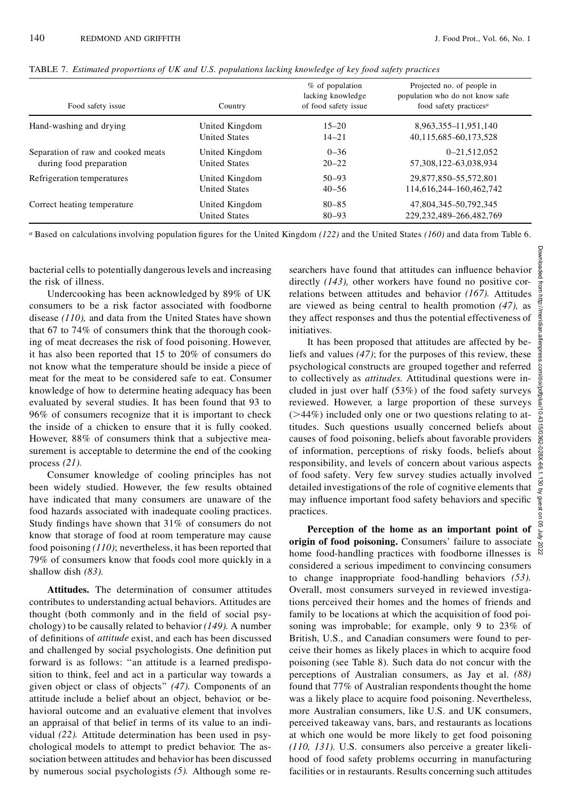| Food safety issue                  | Country              | $%$ of population<br>lacking knowledge<br>of food safety issue | Projected no. of people in<br>population who do not know safe<br>food safety practices <sup>a</sup> |
|------------------------------------|----------------------|----------------------------------------------------------------|-----------------------------------------------------------------------------------------------------|
| Hand-washing and drying            | United Kingdom       | $15 - 20$                                                      | 8,963,355-11,951,140                                                                                |
|                                    | <b>United States</b> | $14 - 21$                                                      | 40,115,685-60,173,528                                                                               |
| Separation of raw and cooked meats | United Kingdom       | $0 - 36$                                                       | $0 - 21,512,052$                                                                                    |
| during food preparation            | <b>United States</b> | $20 - 22$                                                      | 57,308,122-63,038,934                                                                               |
| Refrigeration temperatures         | United Kingdom       | $50 - 93$                                                      | 29,877,850-55,572,801                                                                               |
|                                    | <b>United States</b> | $40 - 56$                                                      | 114,616,244–160,462,742                                                                             |
| Correct heating temperature        | United Kingdom       | $80 - 85$                                                      | 47,804,345-50,792,345                                                                               |
|                                    | <b>United States</b> | $80 - 93$                                                      | 229, 232, 489 - 266, 482, 769                                                                       |

TABLE 7.*Estimated proportions of UK and U.S. populations lacking knowledge of key food safety practices*

*a* Based on calculations involving population figures for the United Kingdom (122) and the United States (160) and data from Table 6.

bacterial cells to potentially dangerouslevels and increasing the risk of illness.

Undercooking has been acknowledged by 89% of UK consumers to be a risk factor associated with foodborne disease *(110),* and data from the United States have shown that 67 to 74% of consumers think that the thorough cooking of meat decreases the risk of food poisoning. However, it has also been reported that 15 to 20% of consumers do not know what the temperature should be inside a piece of meat for the meat to be considered safe to eat. Consumer knowledge of how to determine heating adequacy has been evaluated by several studies. It has been found that 93 to 96% of consumers recognize that it is important to check the inside of a chicken to ensure that it is fully cooked. However, 88% of consumers think that a subjective measurement is acceptable to determine the end of the cooking process *(21).*

Consumer knowledge of cooling principles has not been widely studied. However, the few results obtained have indicated that many consumers are unaware of the food hazards associated with inadequate cooling practices. Study findings have shown that  $31\%$  of consumers do not know that storage of food at room temperature may cause food poisoning *(110)*; nevertheless, it has been reported that 79% of consumers know that foods cool more quickly in a shallow dish *(83).*

**Attitudes.** The determination of consumer attitudes contributes to understanding actual behaviors. Attitudes are thought (both commonly and in the field of social psychology) to be causally related to behavior *(149).* A number of definitions of *attitude* exist, and each has been discussed and challenged by social psychologists. One definition put forward is as follows: ''an attitude is a learned predisposition to think, feel and act in a particular way towards a given object or class of objects'' *(47).* Components of an attitude include a belief about an object, behavior, or behavioral outcome and an evaluative element that involves an appraisal of that belief in terms of its value to an individual *(22).* Attitude determination has been used in psychological models to attempt to predict behavior. The association between attitudes and behavior has been discussed by numerous social psychologists *(5).* Although some researchers have found that attitudes can influence behavior  $\frac{38}{8}$ <br>directly (143), other workers have found no positive cor-<br>relations between attitudes and behavior (167). Attitudes<br>are viewed as being central to heal directly (143), other workers have found no positive correlations between attitudes and behavior *(167).* Attitudes are viewed as being central to health promotion *(47),* as they affect responses and thus the potential effectiveness of initiatives.

It has been proposed that attitudes are affected by beliefs and values *(47)*; for the purposes of this review, these psychological constructs are grouped together and referred is<br>to collectively as *attitudes*. Attitudinal questions were in-<br>cluded in just over half (53%) of the food safety surveys are<br>reviewed. However, a large proport to collectively as *attitudes.* Attitudinal questions were included in just over half (53%) of the food safety surveys reviewed. However, a large proportion of these surveys  $($  >44%) included only one or two questions relating to attitudes. Such questions usually concerned beliefs about causes of food poisoning, beliefs about favorable providers of information, perceptions of risky foods, beliefs about  $\frac{8}{8}$ responsibility, and levels of concern about various aspects of food safety. Very few survey studies actually involved detailed investigations of the role of cognitive elements that may influence important food safety behaviors and specific  $\frac{6}{9}$  practices. practices.

**Perception of the home as an important point of origin of food poisoning.** Consumers' failure to associate home food-handling practices with foodborne illnesses is considered a serious impediment to convincing consumers to change inappropriate food-handling behaviors *(53).* Overall, most consumers surveyed in reviewed investigations perceived their homes and the homes of friends and family to be locations at which the acquisition of food poisoning was improbable; for example, only 9 to 23% of British, U.S., and Canadian consumers were found to perceive their homes as likely places in which to acquire food poisoning (see Table 8). Such data do not concur with the perceptions of Australian consumers, as Jay et al. *(88)* found that 77% of Australian respondents thought the home was a likely place to acquire food poisoning. Nevertheless, more Australian consumers, like U.S. and UK consumers, perceived takeaway vans, bars, and restaurants as locations at which one would be more likely to get food poisoning *(110, 131).* U.S. consumers also perceive a greater likelihood of food safety problems occurring in manufacturing facilities or in restaurants. Results concerning such attitudes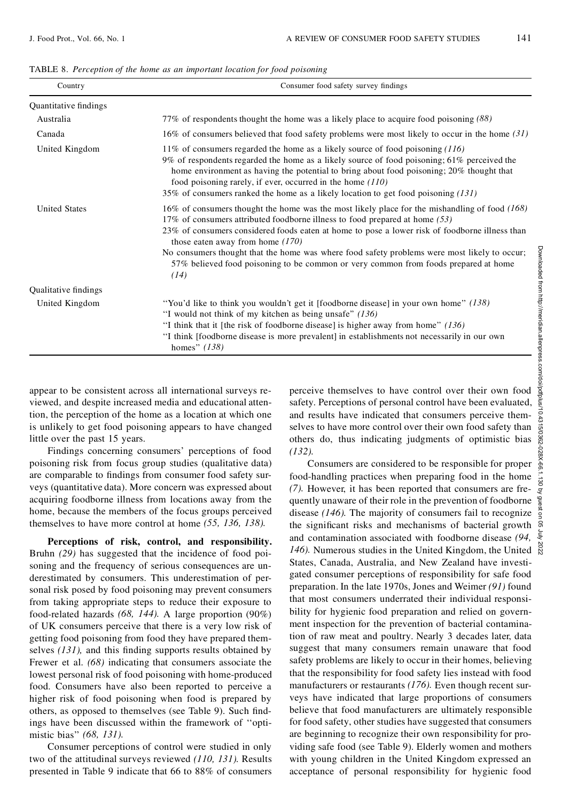| Country                                                                                                                                                                                                                                                                                                                                                                                                                                                         | Consumer food safety survey findings                                                                                                                                                                                                                                                                                                                                                                                              |                                                                                                                                                                                                                                                                                                                                                                                                                                                                         |  |
|-----------------------------------------------------------------------------------------------------------------------------------------------------------------------------------------------------------------------------------------------------------------------------------------------------------------------------------------------------------------------------------------------------------------------------------------------------------------|-----------------------------------------------------------------------------------------------------------------------------------------------------------------------------------------------------------------------------------------------------------------------------------------------------------------------------------------------------------------------------------------------------------------------------------|-------------------------------------------------------------------------------------------------------------------------------------------------------------------------------------------------------------------------------------------------------------------------------------------------------------------------------------------------------------------------------------------------------------------------------------------------------------------------|--|
| Quantitative findings                                                                                                                                                                                                                                                                                                                                                                                                                                           |                                                                                                                                                                                                                                                                                                                                                                                                                                   |                                                                                                                                                                                                                                                                                                                                                                                                                                                                         |  |
| Australia                                                                                                                                                                                                                                                                                                                                                                                                                                                       |                                                                                                                                                                                                                                                                                                                                                                                                                                   | 77% of respondents thought the home was a likely place to acquire food poisoning (88)                                                                                                                                                                                                                                                                                                                                                                                   |  |
| Canada                                                                                                                                                                                                                                                                                                                                                                                                                                                          |                                                                                                                                                                                                                                                                                                                                                                                                                                   | 16% of consumers believed that food safety problems were most likely to occur in the home $(31)$                                                                                                                                                                                                                                                                                                                                                                        |  |
| United Kingdom                                                                                                                                                                                                                                                                                                                                                                                                                                                  | 11% of consumers regarded the home as a likely source of food poisoning $(116)$<br>9% of respondents regarded the home as a likely source of food poisoning; 61% perceived the<br>home environment as having the potential to bring about food poisoning; 20% thought that<br>food poisoning rarely, if ever, occurred in the home $(110)$<br>35% of consumers ranked the home as a likely location to get food poisoning $(131)$ |                                                                                                                                                                                                                                                                                                                                                                                                                                                                         |  |
| <b>United States</b>                                                                                                                                                                                                                                                                                                                                                                                                                                            | those eaten away from home $(170)$<br>(14)                                                                                                                                                                                                                                                                                                                                                                                        | 16% of consumers thought the home was the most likely place for the mishandling of food $(168)$<br>17% of consumers attributed foodborne illness to food prepared at home (53)<br>23% of consumers considered foods eaten at home to pose a lower risk of foodborne illness than<br>No consumers thought that the home was where food safety problems were most likely to occur;<br>57% believed food poisoning to be common or very common from foods prepared at home |  |
| Qualitative findings                                                                                                                                                                                                                                                                                                                                                                                                                                            |                                                                                                                                                                                                                                                                                                                                                                                                                                   | Jownloaded from http://mer                                                                                                                                                                                                                                                                                                                                                                                                                                              |  |
| United Kingdom                                                                                                                                                                                                                                                                                                                                                                                                                                                  | "You'd like to think you wouldn't get it [foodborne disease] in your own home" $(138)$<br>"I would not think of my kitchen as being unsafe" $(136)$<br>"I think that it [the risk of foodborne disease] is higher away from home" $(136)$<br>"I think [foodborne disease is more prevalent] in establishments not necessarily in our own<br>homes" $(138)$                                                                        |                                                                                                                                                                                                                                                                                                                                                                                                                                                                         |  |
| little over the past 15 years.                                                                                                                                                                                                                                                                                                                                                                                                                                  | appear to be consistent across all international surveys re-<br>viewed, and despite increased media and educational atten-<br>tion, the perception of the home as a location at which one<br>is unlikely to get food poisoning appears to have changed                                                                                                                                                                            | perceive themselves to have control over their own food<br>safety. Perceptions of personal control have been evaluated,<br>and results have indicated that consumers perceive them-<br>selves to have more control over their own food safety than<br>others do, thus indicating judgments of optimistic bias<br>$(132)$ .                                                                                                                                              |  |
| Findings concerning consumers' perceptions of food<br>poisoning risk from focus group studies (qualitative data)<br>are comparable to findings from consumer food safety sur-<br>$\ell$ and $\ell$ and $\ell$ and $\ell$ and $\ell$ and $\ell$ and $\ell$ and $\ell$ and $\ell$ and $\ell$ and $\ell$ and $\ell$ and $\ell$ and $\ell$ and $\ell$ and $\ell$ and $\ell$ and $\ell$ and $\ell$ and $\ell$ and $\ell$ and $\ell$ and $\ell$ and $\ell$ and $\ell$ |                                                                                                                                                                                                                                                                                                                                                                                                                                   | Consumers are considered to be responsible for proper $\frac{1}{2}$<br>food-handling practices when preparing food in the home                                                                                                                                                                                                                                                                                                                                          |  |

Findings concerning consumers' perceptions of food poisoning risk from focus group studies (qualitative data) are comparable to findings from consumer food safety surveys (quantitative data). More concern was expressed about acquiring foodborne illness from locations away from the home, because the members of the focus groups perceived themselves to have more control at home *(55, 136, 138).*

**Perceptions of risk, control, and responsibility.** Bruhn *(29)* has suggested that the incidence of food poisoning and the frequency of serious consequences are underestimated by consumers. This underestimation of personal risk posed by food poisoning may prevent consumers from taking appropriate steps to reduce their exposure to food-related hazards *(68, 144).* A large proportion (90%) of UK consumers perceive that there is a very low risk of getting food poisoning from food they have prepared themselves (131), and this finding supports results obtained by Frewer et al. *(68)* indicating that consumers associate the lowest personal risk of food poisoning with home-produced food. Consumers have also been reported to perceive a higher risk of food poisoning when food is prepared by others, as opposed to themselves (see Table 9). Such findings have been discussed within the framework of ''optimistic bias'' *(68, 131).*

Consumer perceptions of control were studied in only two of the attitudinal surveys reviewed *(110, 131).* Results presented in Table 9 indicate that 66 to 88% of consumers

Consumers are considered to be responsible for proper food-handling practices when preparing food in the home *(7).* However, it has been reported that consumers are frequently unaware of their role in the prevention of foodborne disease *(146).* The majority of consumers fail to recognize the significant risks and mechanisms of bacterial growth and contamination associated with foodborne disease *(94, 146*). Numerous studies in the United Kingdom, the United  $\frac{500}{100}$ States, Canada, Australia, and New Zealand have investigated consumer perceptions of responsibility for safe food preparation. In the late 1970s, Jones and Weimer *(91)* found that most consumers underrated their individual responsibility for hygienic food preparation and relied on government inspection for the prevention of bacterial contamination of raw meat and poultry. Nearly 3 decades later, data suggest that many consumers remain unaware that food safety problems are likely to occur in their homes, believing that the responsibility for food safety lies instead with food manufacturers or restaurants *(176).* Even though recent surveys have indicated that large proportions of consumers believe that food manufacturers are ultimately responsible for food safety, other studies have suggested that consumers are beginning to recognize their own responsibility for providing safe food (see Table 9). Elderly women and mothers with young children in the United Kingdom expressed an acceptance of personal responsibility for hygienic food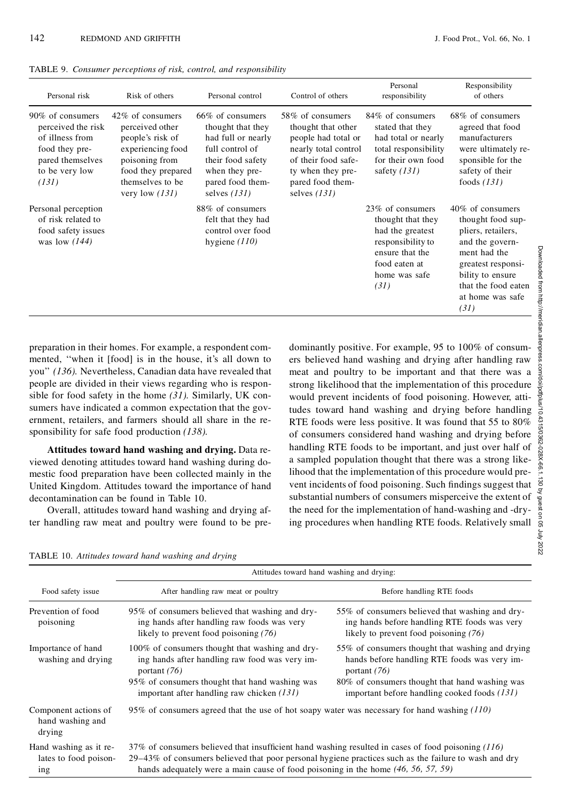| Personal risk                                                                                                              | Risk of others                                                                                                                                                | Personal control                                                                                                                                            | Control of others                                                                                                                                                       | Personal<br>responsibility                                                                                                                   | Responsibility<br>of others                                                                                                                                                                  |
|----------------------------------------------------------------------------------------------------------------------------|---------------------------------------------------------------------------------------------------------------------------------------------------------------|-------------------------------------------------------------------------------------------------------------------------------------------------------------|-------------------------------------------------------------------------------------------------------------------------------------------------------------------------|----------------------------------------------------------------------------------------------------------------------------------------------|----------------------------------------------------------------------------------------------------------------------------------------------------------------------------------------------|
| 90% of consumers<br>perceived the risk<br>of illness from<br>food they pre-<br>pared themselves<br>to be very low<br>(131) | 42\% of consumers<br>perceived other<br>people's risk of<br>experiencing food<br>poisoning from<br>food they prepared<br>themselves to be<br>very low $(131)$ | 66% of consumers<br>thought that they<br>had full or nearly<br>full control of<br>their food safety<br>when they pre-<br>pared food them-<br>selves $(131)$ | 58% of consumers<br>thought that other<br>people had total or<br>nearly total control<br>of their food safe-<br>ty when they pre-<br>pared food them-<br>selves $(131)$ | 84\% of consumers<br>stated that they<br>had total or nearly<br>total responsibility<br>for their own food<br>safety $(131)$                 | 68% of consumers<br>agreed that food<br>manufacturers<br>were ultimately re-<br>sponsible for the<br>safety of their<br>foods $(131)$                                                        |
| Personal perception<br>of risk related to<br>food safety issues<br>was low $(144)$                                         |                                                                                                                                                               | 88\% of consumers<br>felt that they had<br>control over food<br>hygiene $(110)$                                                                             |                                                                                                                                                                         | 23\% of consumers<br>thought that they<br>had the greatest<br>responsibility to<br>ensure that the<br>food eaten at<br>home was safe<br>(31) | 40\% of consumers<br>thought food sup-<br>pliers, retailers,<br>and the govern-<br>ment had the<br>greatest responsi-<br>bility to ensure<br>that the food eaten<br>at home was safe<br>(31) |

TABLE 9.*Consumer perceptions of risk, control, and responsibility*

preparation in their homes. For example, a respondent commented, ''when it [food] is in the house, it's all down to you'' *(136).* Nevertheless, Canadian data have revealed that people are divided in their views regarding who is responsible for food safety in the home *(31).* Similarly, UK consumers have indicated a common expectation that the government, retailers, and farmers should all share in the responsibility for safe food production *(138).*

**Attitudes toward hand washing and drying.** Data reviewed denoting attitudes toward hand washing during domestic food preparation have been collected mainly in the United Kingdom. Attitudes toward the importance of hand decontamination can be found in Table 10.

Overall, attitudes toward hand washing and drying after handling raw meat and poultry were found to be predominantly positive. For example, 95 to 100% of consumensure that the ment had the food eaten at greatest responsi-<br>
from exas safe bility to ensure that the food eaten at<br>
at the food eaten at at the scale at a streep of the scale<br>
dominantly positive. For example, 95 to 10 meat and poultry to be important and that there was a strong likelihood that the implementation of this procedure would prevent incidents of food poisoning. However, attitudes toward hand washing and drying before handling RTE foods were less positive. It was found that 55 to 80% of consumers considered hand washing and drying before handling RTE foods to be important, and just over half of a sampled population thought that there was a strong likelihood that the implementation of this procedure would prevent incidents of food poisoning. Such findings suggest that substantial numbers of consumers misperceive the extent of the need for the implementation of hand-washing and -dry-<br>ing procedures when handling RTE foods. Rela substantial numbers of consumers misperceive the extent of the need for the implementation of hand-washing and -drying procedures when handling RTE foods. Relatively small

TABLE 10. *Attitudes toward hand washing and drying*

|                                                        | Attitudes toward hand washing and drying:                                                                                                                                                                                                                                                            |                                                                                                                                                                                                                      |  |  |
|--------------------------------------------------------|------------------------------------------------------------------------------------------------------------------------------------------------------------------------------------------------------------------------------------------------------------------------------------------------------|----------------------------------------------------------------------------------------------------------------------------------------------------------------------------------------------------------------------|--|--|
| Food safety issue                                      | After handling raw meat or poultry                                                                                                                                                                                                                                                                   | Before handling RTE foods                                                                                                                                                                                            |  |  |
| Prevention of food<br>poisoning                        | 95% of consumers believed that washing and dry-<br>ing hands after handling raw foods was very<br>likely to prevent food poisoning $(76)$                                                                                                                                                            | 55% of consumers believed that washing and dry-<br>ing hands before handling RTE foods was very<br>likely to prevent food poisoning $(76)$                                                                           |  |  |
| Importance of hand<br>washing and drying               | 100% of consumers thought that washing and dry-<br>ing hands after handling raw food was very im-<br>portant $(76)$<br>95% of consumers thought that hand washing was<br>important after handling raw chicken $(131)$                                                                                | 55% of consumers thought that washing and drying<br>hands before handling RTE foods was very im-<br>portant $(76)$<br>80% of consumers thought that hand washing was<br>important before handling cooked foods (131) |  |  |
| Component actions of<br>hand washing and<br>drying     | 95% of consumers agreed that the use of hot soapy water was necessary for hand washing (110)                                                                                                                                                                                                         |                                                                                                                                                                                                                      |  |  |
| Hand washing as it re-<br>lates to food poison-<br>ing | 37% of consumers believed that insufficient hand washing resulted in cases of food poisoning $(116)$<br>29-43% of consumers believed that poor personal hygiene practices such as the failure to wash and dry<br>hands adequately were a main cause of food poisoning in the home $(46, 56, 57, 59)$ |                                                                                                                                                                                                                      |  |  |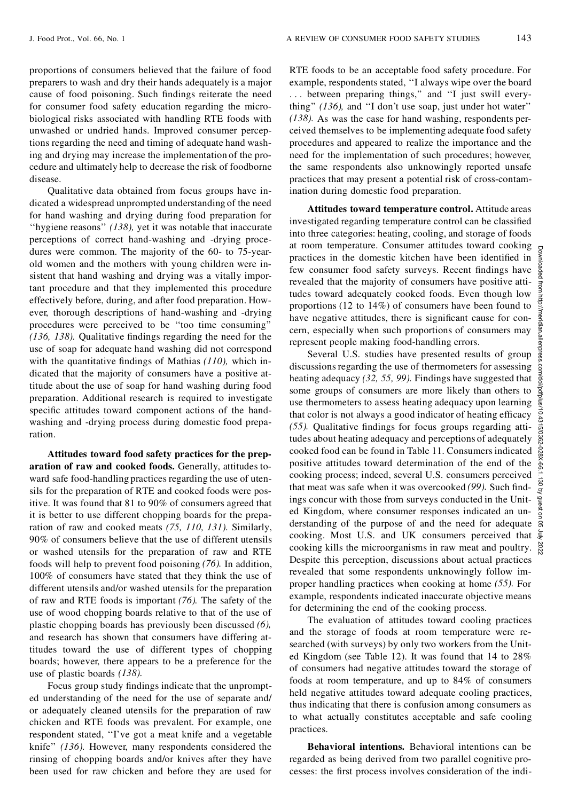proportions of consumers believed that the failure of food preparers to wash and dry their hands adequately is a major cause of food poisoning. Such findings reiterate the need for consumer food safety education regarding the microbiological risks associated with handling RTE foods with unwashed or undried hands. Improved consumer perceptions regarding the need and timing of adequate hand washing and drying may increase the implementation of the procedure and ultimately help to decrease the risk of foodborne disease.

Qualitative data obtained from focus groups have indicated a widespread unprompted understanding of the need for hand washing and drying during food preparation for ''hygiene reasons'' *(138),* yet it was notable that inaccurate perceptions of correct hand-washing and -drying procedures were common. The majority of the 60- to 75-yearold women and the mothers with young children were insistent that hand washing and drying was a vitally important procedure and that they implemented this procedure effectively before, during, and after food preparation. However, thorough descriptions of hand-washing and -drying procedures were perceived to be ''too time consuming'' *(136, 138).* Qualitative findings regarding the need for the use of soap for adequate hand washing did not correspond with the quantitative findings of Mathias (110), which indicated that the majority of consumers have a positive attitude about the use of soap for hand washing during food preparation. Additional research is required to investigate specific attitudes toward component actions of the handwashing and -drying process during domestic food preparation.

**Attitudes toward food safety practices for the preparation of raw and cooked foods.** Generally, attitudes toward safe food-handling practices regarding the use of utensils for the preparation of RTE and cooked foods were positive. It was found that 81 to 90% of consumers agreed that it is better to use different chopping boards for the preparation of raw and cooked meats *(75, 110, 131).* Similarly, 90% of consumers believe that the use of different utensils or washed utensils for the preparation of raw and RTE foods will help to prevent food poisoning *(76).* In addition, 100% of consumers have stated that they think the use of different utensils and/or washed utensils for the preparation of raw and RTE foods is important *(76).* The safety of the use of wood chopping boards relative to that of the use of plastic chopping boards has previously been discussed *(6),* and research has shown that consumers have differing attitudes toward the use of different types of chopping boards; however, there appears to be a preference for the use of plastic boards *(138).*

Focus group study findings indicate that the unprompted understanding of the need for the use of separate and/ or adequately cleaned utensils for the preparation of raw chicken and RTE foods was prevalent. For example, one respondent stated, ''I've got a meat knife and a vegetable knife'' *(136).* However, many respondents considered the rinsing of chopping boards and/or knives after they have been used for raw chicken and before they are used for

RTE foods to be an acceptable food safety procedure. For example, respondents stated, ''I always wipe over the board . . . between preparing things,'' and ''I just swill everything'' *(136),* and ''I don't use soap, just under hot water'' *(138).* As was the case for hand washing, respondents perceived themselves to be implementing adequate food safety procedures and appeared to realize the importance and the need for the implementation of such procedures; however, the same respondents also unknowingly reported unsafe practices that may present a potential risk of cross-contamination during domestic food preparation.

**Attitudes toward temperature control.** Attitude areas investigated regarding temperature control can be classified into three categories: heating, cooling, and storage of foods at room temperature. Consumer attitudes toward cooking practices in the domestic kitchen have been identified in few consumer food safety surveys. Recent findings have revealed that the majority of consumers have positive attitudes toward adequately cooked foods. Even though low proportions (12 to 14%) of consumers have been found to have negative attitudes, there is significant cause for concern, especially when such proportions of consumers may represent people making food-handling errors.

Several U.S. studies have presented results of group discussions regarding the use of thermometers for assessing  $\frac{8}{9}$ <br>heating adequacy (32, 55, 99). Findings have suggested that<br>some groups of consumers are more likely than others to  $\frac{8}{9}$ <br>use thermometers to asses heating adequacy *(32, 55, 99).* Findings have suggested that some groups of consumers are more likely than others to use thermometers to assess heating adequacy upon learning that color is not always a good indicator of heating efficacy *(55).* Qualitative findings for focus groups regarding attitudes about heating adequacy and perceptions of adequately  $\frac{8}{8}$ cooked food can be found in Table 11. Consumers indicated  $\frac{8}{8}$ positive attitudes toward determination of the end of the  $\hat{\phi}$ cooking process; indeed, several U.S. consumers perceived  $\pm$ that meat was safe when it was overcooked (99). Such findings concur with those from surveys conducted in the United Kingdom, where consumer responses indicated an understanding of the purpose of and the need for adequate cooking. Most U.S. and UK consumers perceived that  $\overline{\xi}$ cooking kills the microorganisms in raw meat and poultry. Despite this perception, discussions about actual practices revealed that some respondents unknowingly follow improper handling practices when cooking at home *(55).* For example, respondents indicated inaccurate objective means for determining the end of the cooking process.

The evaluation of attitudes toward cooling practices and the storage of foods at room temperature were researched (with surveys) by only two workers from the United Kingdom (see Table 12). It was found that 14 to 28% of consumers had negative attitudes toward the storage of foods at room temperature, and up to 84% of consumers held negative attitudes toward adequate cooling practices, thus indicating that there is confusion among consumers as to what actually constitutes acceptable and safe cooling practices.

**Behavioral intentions.** Behavioral intentions can be regarded as being derived from two parallel cognitive processes: the first process involves consideration of the indi-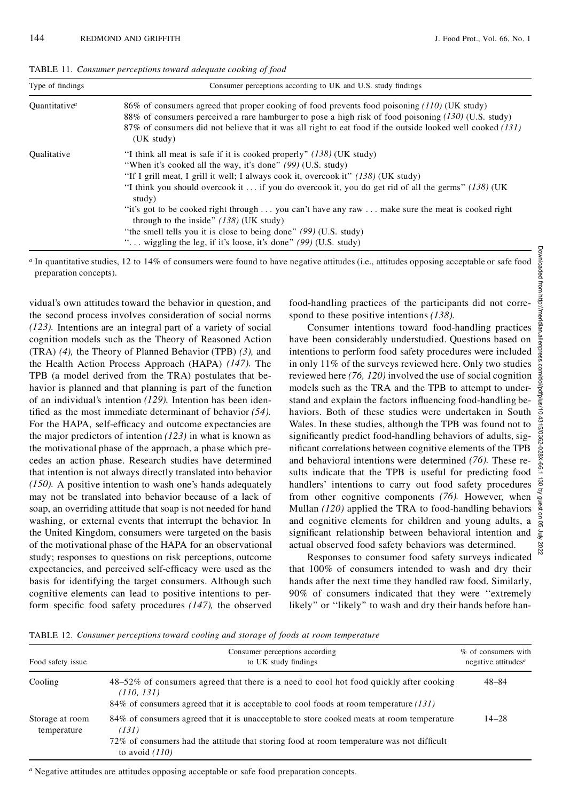TABLE 11. *Consumer perceptions toward adequate cooking of food*

| Type of findings          | Consumer perceptions according to UK and U.S. study findings                                                                                                                                                                                                                                                                                                                                                                                                                                                                                                                                                                             |
|---------------------------|------------------------------------------------------------------------------------------------------------------------------------------------------------------------------------------------------------------------------------------------------------------------------------------------------------------------------------------------------------------------------------------------------------------------------------------------------------------------------------------------------------------------------------------------------------------------------------------------------------------------------------------|
| Quantitative              | 86% of consumers agreed that proper cooking of food prevents food poisoning $(110)$ (UK study)<br>88% of consumers perceived a rare hamburger to pose a high risk of food poisoning $(130)$ (U.S. study)<br>87% of consumers did not believe that it was all right to eat food if the outside looked well cooked $(131)$<br>(UK study)                                                                                                                                                                                                                                                                                                   |
| <i><b>Oualitative</b></i> | "I think all meat is safe if it is cooked properly" $(138)$ (UK study)<br>"When it's cooked all the way, it's done" (99) (U.S. study)<br>"If I grill meat, I grill it well; I always cook it, overcook it" $(138)$ (UK study)<br>"I think you should overcook it  if you do overcook it, you do get rid of all the germs" (138) (UK<br>study)<br>"it's got to be cooked right through  you can't have any raw  make sure the meat is cooked right<br>through to the inside" $(138)$ (UK study)<br>"the smell tells you it is close to being done" (99) (U.S. study)<br>" wiggling the leg, if it's loose, it's done" $(99)$ (U.S. study) |

*a* In quantitative studies, 12 to 14% of consumers were found to have negative attitudes (i.e., attitudes opposing acceptable or safe food  $\frac{3}{6}$ preparation concepts).

vidual's own attitudes toward the behavior in question, and the second process involves consideration of social norms *(123).* Intentions are an integral part of a variety of social cognition models such as the Theory of Reasoned Action (TRA) *(4),* the Theory of Planned Behavior (TPB) *(3),* and the Health Action Process Approach (HAPA) *(147).* The TPB (a model derived from the TRA) postulates that behavior is planned and that planning is part of the function of an individual's intention *(129).* Intention has been identified as the most immediate determinant of behavior (54). For the HAPA, self-efficacy and outcome expectancies are the major predictors of intention *(123)* in what is known as the motivational phase of the approach, a phase which precedes an action phase. Research studies have determined that intention is not always directly translated into behavior *(150).* A positive intention to wash one's hands adequately may not be translated into behavior because of a lack of soap, an overriding attitude that soap is not needed for hand washing, or external events that interrupt the behavior. In the United Kingdom, consumers were targeted on the basis of the motivational phase of the HAPA for an observational study; responses to questions on risk perceptions, outcome expectancies, and perceived self-efficacy were used as the basis for identifying the target consumers. Although such cognitive elements can lead to positive intentions to perform specific food safety procedures (147), the observed

food-handling practices of the participants did not correspond to these positive intentions *(138).*

Extitute attitudes (i.e., attitudes opposing acceptable or safe food<br>
a distributions and the participants did not corre-<br>
a distributions of the participants did not corre-<br>
a distribution of the participants did not corr have been considerably understudied. Questions based on intentions to perform food safety procedures were included in only 11% of the surveys reviewed here. Only two studies reviewed here  $(76, 120)$  involved the use of social cognition<br>models such as the TRA and the TPB to attempt to under-<br>stand and explain the factors influencing food-handling bemodels such as the TRA and the TPB to attempt to understand and explain the factors influencing food-handling behaviors. Both of these studies were undertaken in South  $\frac{5}{65}$ <br>Wales. In these studies, although the TPB was found not to significantly predict food-handling behaviors of adults, significant correlations between cogni Wales. In these studies, although the TPB was found not to significantly predict food-handling behaviors of adults, significant correlations between cognitive elements of the TPB and behavioral intentions were determined *(76).* These results indicate that the TPB is useful for predicting food handlers' intentions to carry out food safety procedures from other cognitive components (76). However, when  $\sum_{n=1}^{\infty}$  Mullan (120) applied the TRA to food-handling behaviors and cognitive elements for children and young adults, a significant relationship between behaviora Mullan *(120)* applied the TRA to food-handling behaviors and cognitive elements for children and young adults, a significant relationship between behavioral intention and actual observed food safety behaviors was determined.

Responses to consumer food safety surveys indicated that 100% of consumers intended to wash and dry their hands after the next time they handled raw food. Similarly, 90% of consumers indicated that they were ''extremely likely" or "likely" to wash and dry their hands before han-

TABLE 12. *Consumer perceptions toward cooling and storage of foods at room temperature*

| Food safety issue              | Consumer perceptions according<br>to UK study findings                                                                                                                                                              | % of consumers with<br>negative attitudes <sup>a</sup> |
|--------------------------------|---------------------------------------------------------------------------------------------------------------------------------------------------------------------------------------------------------------------|--------------------------------------------------------|
| Cooling                        | 48–52% of consumers agreed that there is a need to cool hot food quickly after cooking<br>(110, 131)<br>84% of consumers agreed that it is acceptable to cool foods at room temperature $(131)$                     | 48–84                                                  |
| Storage at room<br>temperature | 84% of consumers agreed that it is unacceptable to store cooked meats at room temperature<br>(131)<br>72% of consumers had the attitude that storing food at room temperature was not difficult<br>to avoid $(110)$ | $14 - 28$                                              |

*<sup>a</sup>* Negative attitudes are attitudes opposing acceptable or safe food preparation concepts.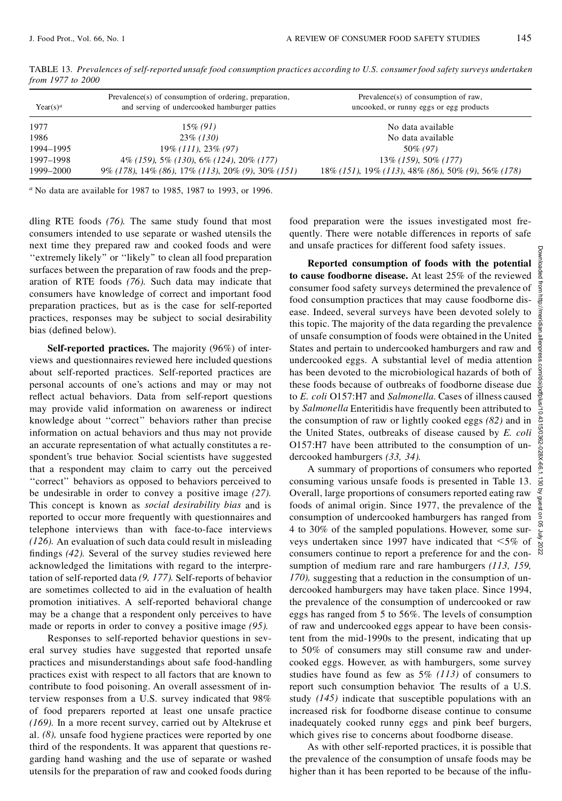| Year(s) <sup>a</sup> | Prevalence(s) of consumption of ordering, preparation,<br>and serving of undercooked hamburger patties | Prevalence(s) of consumption of raw,<br>uncooked, or runny eggs or egg products |
|----------------------|--------------------------------------------------------------------------------------------------------|---------------------------------------------------------------------------------|
| 1977                 | $15\% (91)$                                                                                            | No data available                                                               |
| 1986                 | $23\%$ (130)                                                                                           | No data available                                                               |
| 1994-1995            | $19\%$ (111), $23\%$ (97)                                                                              | 50\% (97)                                                                       |
| 1997-1998            | $4\%$ (159), 5\% (130), 6\% (124), 20\% (177)                                                          | $13\%$ (159), 50\% (177)                                                        |
| 1999-2000            | $9\%$ (178), 14\% (86), 17\% (113), 20\% (9), 30\% (151)                                               | $18\%$ (151), $19\%$ (113), $48\%$ (86), $50\%$ (9), $56\%$ (178)               |

TABLE 13. Prevalences of self-reported unsafe food consumption practices according to U.S. consumer food safety surveys undertaken *from 1977 to 2000*

*<sup>a</sup>* No data are available for 1987 to 1985, 1987 to 1993, or 1996.

dling RTE foods *(76).* The same study found that most consumers intended to use separate or washed utensils the next time they prepared raw and cooked foods and were "extremely likely" or "likely" to clean all food preparation surfaces between the preparation of raw foods and the preparation of RTE foods *(76).* Such data may indicate that consumers have knowledge of correct and important food preparation practices, but as is the case for self-reported practices, responses may be subject to social desirability bias (defined below).

**Self-reported practices.** The majority (96%) of interviews and questionnaires reviewed here included questions about self-reported practices. Self-reported practices are personal accounts of one's actions and may or may not reflect actual behaviors. Data from self-report questions may provide valid information on awareness or indirect knowledge about ''correct'' behaviors rather than precise information on actual behaviors and thus may not provide an accurate representation of what actually constitutes a respondent's true behavior. Social scientists have suggested that a respondent may claim to carry out the perceived ''correct'' behaviors as opposed to behaviors perceived to be undesirable in order to convey a positive image *(27).* This concept is known as *social desirability bias* and is reported to occur more frequently with questionnaires and telephone interviews than with face-to-face interviews *(126).* An evaluation of such data could result in misleading findings (42). Several of the survey studies reviewed here acknowledged the limitations with regard to the interpretation of self-reported data *(9, 177).* Self-reports of behavior are sometimes collected to aid in the evaluation of health promotion initiatives. A self-reported behavioral change may be a change that a respondent only perceives to have made or reports in order to convey a positive image *(95).*

Responses to self-reported behavior questions in several survey studies have suggested that reported unsafe practices and misunderstandings about safe food-handling practices exist with respect to all factors that are known to contribute to food poisoning. An overall assessment of interview responses from a U.S. survey indicated that 98% of food preparers reported at least one unsafe practice *(169).* In a more recent survey, carried out by Altekruse et al. *(8),* unsafe food hygiene practices were reported by one third of the respondents. It was apparent that questions regarding hand washing and the use of separate or washed utensils for the preparation of raw and cooked foods during food preparation were the issues investigated most frequently. There were notable differences in reports of safe and unsafe practices for different food safety issues.

**Reported** consumption of foods with the potential  $\frac{2}{8}$ **to cause foodborne disease.** At least 25% of the reviewed consumer food safety surveys determined the prevalence of food consumption practices that may cause foodborne disease. Indeed, several surveys have been devoted solely to  $\frac{1}{8}$ this topic. The majority of the data regarding the prevalence of unsafe consumption of foods were obtained in the United States and pertain to undercooked hamburgers and raw and undercooked eggs. A substantial level of media attention has been devoted to the microbiological hazards of both of these foods because of outbreaks of foodborne disease due to *E. coli* O157:H7 and *Salmonella.* Cases of illness caused by *Salmonella* Enteritidis have frequently been attributed to the consumption of raw or lightly cooked eggs *(82)* and in the United States, outbreaks of disease caused by *E. coli*  $\frac{83}{80}$  O157:H7 have been attributed to the consumption of undercooked hamburgers *(33, 34)*. the United States, outbreaks of disease caused by *E. coli* O157:H7 have been attributed to the consumption of undercooked hamburgers *(33, 34).*

A summary of proportions of consumers who reported  $\frac{8}{12}$ <br>suming various unsafe foods is presented in Table 13. consuming various unsafe foods is presented in Table 13. Overall, large proportions of consumers reported eating raw  $\frac{g}{g}$  foods of animal origin. Since 1977, the prevalence of the  $\frac{g}{g}$ foods of animal origin. Since 1977, the prevalence of the consumption of undercooked hamburgers has ranged from 4 to 30% of the sampled populations. However, some sur-4 to 30% of the sampled populations. However, some surveys undertaken since 1997 have indicated that  $\leq 5\%$  of  $\frac{5}{8}$ consumers continue to report a preference for and the consumption of medium rare and rare hamburgers *(113, 159, 170),* suggesting that a reduction in the consumption of undercooked hamburgers may have taken place. Since 1994, the prevalence of the consumption of undercooked or raw eggs has ranged from 5 to 56%. The levels of consumption of raw and undercooked eggs appear to have been consistent from the mid-1990s to the present, indicating that up to 50% of consumers may still consume raw and undercooked eggs. However, as with hamburgers, some survey studies have found as few as 5% *(113)* of consumers to report such consumption behavior. The results of a U.S. study *(145)* indicate that susceptible populations with an increased risk for foodborne disease continue to consume inadequately cooked runny eggs and pink beef burgers, which gives rise to concerns about foodborne disease.

As with other self-reported practices, it is possible that the prevalence of the consumption of unsafe foods may be higher than it has been reported to be because of the influ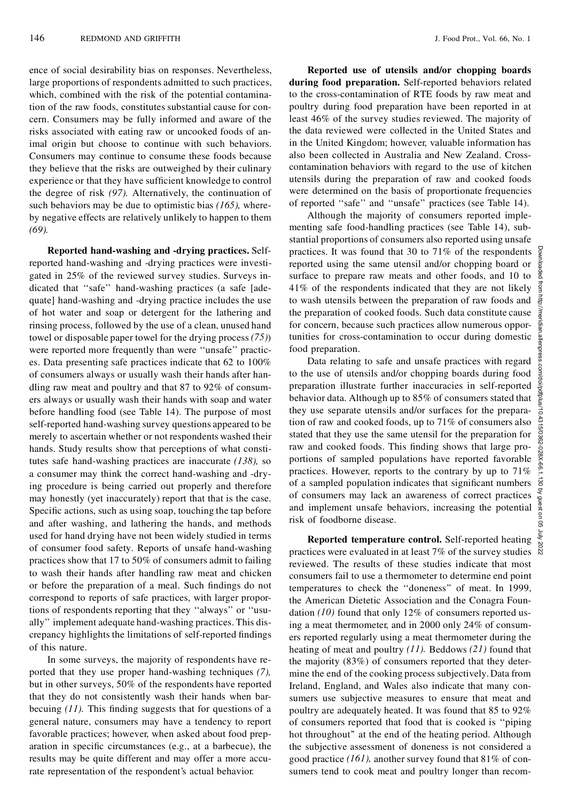ence of social desirability bias on responses. Nevertheless, large proportions of respondents admitted to such practices, which, combined with the risk of the potential contamination of the raw foods, constitutes substantial cause for concern. Consumers may be fully informed and aware of the risks associated with eating raw or uncooked foods of animal origin but choose to continue with such behaviors. Consumers may continue to consume these foods because they believe that the risks are outweighed by their culinary experience or that they have sufficient knowledge to control the degree of risk *(97).* Alternatively, the continuation of such behaviors may be due to optimistic bias *(165),* whereby negative effects are relatively unlikely to happen to them *(69).*

**Reported hand-washing and -drying practices.** Selfreported hand-washing and -drying practices were investigated in 25% of the reviewed survey studies. Surveys indicated that ''safe'' hand-washing practices (a safe [adequate] hand-washing and -drying practice includes the use of hot water and soap or detergent for the lathering and rinsing process, followed by the use of a clean, unused hand towel or disposable paper towel for the drying process *(75)*) were reported more frequently than were ''unsafe'' practices. Data presenting safe practices indicate that 62 to 100% of consumers always or usually wash their hands after handling raw meat and poultry and that 87 to 92% of consumers always or usually wash their hands with soap and water before handling food (see Table 14). The purpose of most self-reported hand-washing survey questions appeared to be merely to ascertain whether or not respondents washed their hands. Study results show that perceptions of what constitutes safe hand-washing practices are inaccurate *(138),* so a consumer may think the correct hand-washing and -drying procedure is being carried out properly and therefore may honestly (yet inaccurately) report that that is the case. Specific actions, such as using soap, touching the tap before and after washing, and lathering the hands, and methods used for hand drying have not been widely studied in terms of consumer food safety. Reports of unsafe hand-washing practices show that 17 to 50% of consumers admit to failing to wash their hands after handling raw meat and chicken or before the preparation of a meal. Such findings do not correspond to reports of safe practices, with larger proportions of respondents reporting that they ''always'' or ''usually'' implement adequate hand-washing practices. This discrepancy highlights the limitations of self-reported findings of this nature.

In some surveys, the majority of respondents have reported that they use proper hand-washing techniques *(7),* but in other surveys, 50% of the respondents have reported that they do not consistently wash their hands when barbecuing (11). This finding suggests that for questions of a general nature, consumers may have a tendency to report favorable practices; however, when asked about food preparation in specific circumstances (e.g., at a barbecue), the results may be quite different and may offer a more accurate representation of the respondent's actual behavior.

**Reported use of utensils and/or chopping boards during food preparation.** Self-reported behaviors related to the cross-contamination of RTE foods by raw meat and poultry during food preparation have been reported in at least 46% of the survey studies reviewed. The majority of the data reviewed were collected in the United States and in the United Kingdom; however, valuable information has also been collected in Australia and New Zealand. Crosscontamination behaviors with regard to the use of kitchen utensils during the preparation of raw and cooked foods were determined on the basis of proportionate frequencies of reported ''safe'' and ''unsafe'' practices (see Table 14).

Although the majority of consumers reported implementing safe food-handling practices (see Table 14), substantial proportions of consumers also reported using unsafe practices. It was found that 30 to 71% of the respondents reported using the same utensil and/or chopping board or surface to prepare raw meats and other foods, and 10 to 41% of the respondents indicated that they are not likely to wash utensils between the preparation of raw foods and  $\frac{3}{5}$ the preparation of cooked foods. Such data constitute cause for concern, because such practices allow numerous opportunities for cross-contamination to occur during domestic food preparation.

I preparation.<br>
Data relating to safe and unsafe practices with regard  $\frac{8}{3}$ <br>
i.e use of utensils and/or chopping boards during food a<br>
aration illustrate further inaccuracies in self-reported  $\frac{5}{3}$ <br>
wior data. Al to the use of utensils and/or chopping boards during food preparation illustrate further inaccuracies in self-reported behavior data. Although up to 85% of consumers stated that they use separate utensils and/or surfaces for the preparathey use separate utensils and/or surfaces for the prepara-<br>tion of raw and cooked foods, up to 71% of consumers also<br>stated that they use the same utensil for the preparation for<br>raw and cooked foods. This finding shows stated that they use the same utensil for the preparation for raw and cooked foods. This finding shows that large proportions of sampled populations have reported favorable practices. However, reports to the contrary by up to 71% of a sampled population indicates that significant numbers of consumers may lack an awareness of correct practices and implement unsafe behaviors, increasing the potential risk of foodborne disease.

**Reported temperature control.** Self-reported heating practices were evaluated in at least 7% of the survey studies reviewed. The results of these studies indicate that most consumers fail to use a thermometer to determine end point temperatures to check the ''doneness'' of meat. In 1999, the American Dietetic Association and the Conagra Foundation *(10)* found that only 12% of consumers reported using a meat thermometer, and in 2000 only 24% of consumers reported regularly using a meat thermometer during the heating of meat and poultry *(11).* Beddows *(21)* found that the majority (83%) of consumers reported that they determine the end of the cooking process subjectively.Data from Ireland, England, and Wales also indicate that many consumers use subjective measures to ensure that meat and poultry are adequately heated. It was found that 85 to 92% of consumers reported that food that is cooked is ''piping hot throughout" at the end of the heating period. Although the subjective assessment of doneness is not considered a good practice *(161),* another survey found that 81% of consumers tend to cook meat and poultry longer than recom-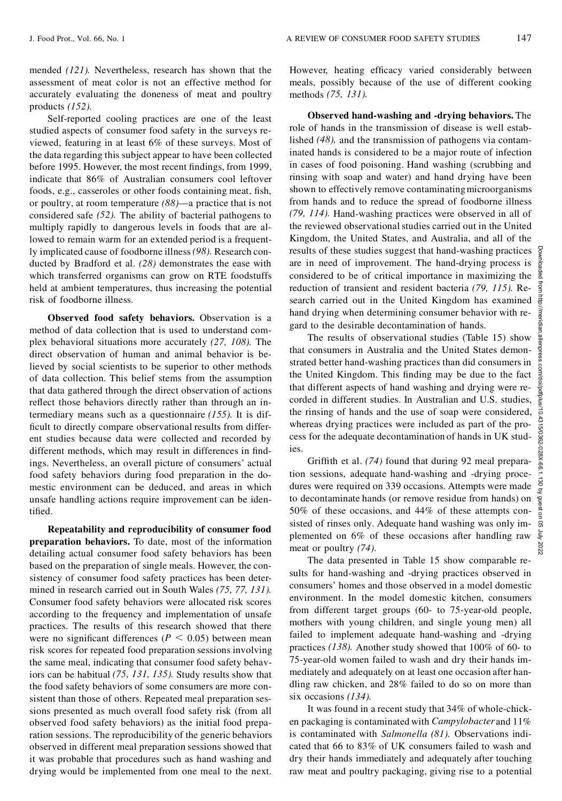mended *(121).* Nevertheless, research has shown that the assessment of meat color is not an effective method for accurately evaluating the doneness of meat and poultry products *(152).*

Self-reported cooling practices are one of the least studied aspects of consumer food safety in the surveys reviewed, featuring in at least 6% of these surveys. Most of the data regarding this subject appear to have been collected before 1995. However, the most recent findings, from 1999, indicate that 86% of Australian consumers cool leftover foods, e.g., casseroles or other foods containing meat, fish, or poultry, at room temperature *(88)*—a practice that is not considered safe *(52).* The ability of bacterial pathogens to multiply rapidly to dangerous levels in foods that are allowed to remain warm for an extended period is a frequently implicated cause of foodborne illness *(98).* Research conducted by Bradford et al. *(28)* demonstrates the ease with which transferred organisms can grow on RTE foodstuffs held at ambient temperatures, thus increasing the potential risk of foodborne illness.

**Observed food safety behaviors.** Observation is a method of data collection that is used to understand complex behavioral situations more accurately *(27, 108).* The direct observation of human and animal behavior is believed by social scientists to be superior to other methods of data collection. This belief stems from the assumption that data gathered through the direct observation of actions reflect those behaviors directly rather than through an intermediary means such as a questionnaire *(155).* It is dif ficult to directly compare observational results from different studies because data were collected and recorded by different methods, which may result in differences in findings. Nevertheless, an overall picture of consumers' actual food safety behaviors during food preparation in the domestic environment can be deduced, and areas in which unsafe handling actions require improvement can be identified.

**Repeatability and reproducibility of consumer food preparation behaviors.** To date, most of the information detailing actual consumer food safety behaviors has been based on the preparation of single meals. However, the consistency of consumer food safety practices has been determined in research carried out in South Wales *(75, 77, 131).* Consumer food safety behaviors were allocated risk scores according to the frequency and implementation of unsafe practices. The results of this research showed that there were no significant differences ( $P < 0.05$ ) between mean risk scores for repeated food preparation sessions involving the same meal, indicating that consumer food safety behaviors can be habitual *(75, 131, 135).* Study results show that the food safety behaviors of some consumers are more consistent than those of others. Repeated meal preparation sessions presented as much overall food safety risk (from all observed food safety behaviors) as the initial food preparation sessions. The reproducibility of the generic behaviors observed in different meal preparation sessions showed that it was probable that procedures such as hand washing and drying would be implemented from one meal to the next.

However, heating efficacy varied considerably between meals, possibly because of the use of different cooking methods *(75, 131).*

**Observed hand-washing and -drying behaviors.** The role of hands in the transmission of disease is well established *(48),* and the transmission of pathogens via contaminated hands is considered to be a major route of infection in cases of food poisoning. Hand washing (scrubbing and rinsing with soap and water) and hand drying have been shown to effectively remove contaminatingmicroorganisms from hands and to reduce the spread of foodborne illness *(79, 114).* Hand-washing practices were observed in all of the reviewed observational studies carried out in the United Kingdom, the United States, and Australia, and all of the results of these studies suggest that hand-washing practices are in need of improvement. The hand-drying process is considered to be of critical importance in maximizing the reduction of transient and resident bacteria *(79, 115).* Research carried out in the United Kingdom has examined  $\frac{3}{5}$ hand drying when determining consumer behavior with regard to the desirable decontamination of hands.

The results of observational studies (Table 15) show  $\frac{2}{\pi}$ that consumers in Australia and the United States demonstrated better hand-washing practices than did consumers in the United Kingdom. This finding may be due to the fact that different aspects of hand washing and drying were recorded in different studies. In Australian and U.S. studies, the rinsing of hands and the use of soap were considered,  $\frac{3}{5}$ <br>whereas drying practices were included as part of the prowhereas drying practices were included as part of the process for the adequate decontamination of hands in UK studies.

Griffith et al. (74) found that during 92 meal preparation sessions, adequate hand-washing and -drying procewhereas drying phaetices were mended as part of the process for the adequate decontamination of hands in UK studies.<br>
Griffith et al. (74) found that during 92 meal preparation sessions, adequate hand-washing and -drying to decontaminate hands (or remove residue from hands) on 50% of these occasions, and 44% of these attempts consisted of rinses only. Adequate hand washing was only imsisted of rinses only. Adequate hand washing was only implemented on 6% of these occasions after handling raw  $\frac{5}{5}$ meat or poultry *(74)*.

The data presented in Table 15 show comparable results for hand-washing and -drying practices observed in consumers' homes and those observed in a model domestic environment. In the model domestic kitchen, consumers from different target groups (60- to 75-year-old people, mothers with young children, and single young men) all failed to implement adequate hand-washing and -drying practices *(138).* Another study showed that 100% of 60- to 75-year-old women failed to wash and dry their hands immediately and adequately on at least one occasion after handling raw chicken, and 28% failed to do so on more than six occasions *(134).*

It was found in a recent study that 34% of whole-chicken packaging is contaminated with *Campylobacter* and 11% is contaminated with *Salmonella (81).* Observations indicated that 66 to 83% of UK consumers failed to wash and dry their hands immediately and adequately after touching raw meat and poultry packaging, giving rise to a potential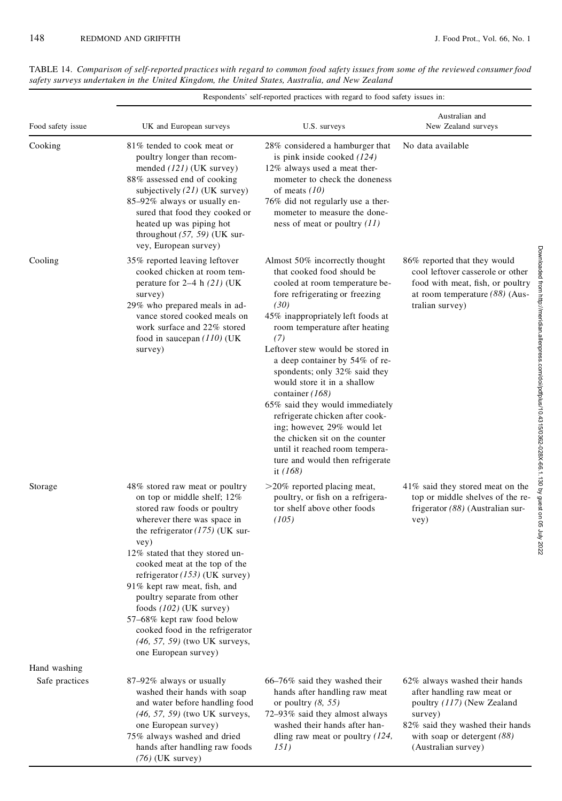|                                |                                                                                                                                                                                                                                                                                                                                                                                                                                                                                                          | Respondents' self-reported practices with regard to food safety issues in:                                                                                                                                                                                                                                                                                                                                                                                                                                                                                                                                  |                                                                                                                                                                                                                                                                        |
|--------------------------------|----------------------------------------------------------------------------------------------------------------------------------------------------------------------------------------------------------------------------------------------------------------------------------------------------------------------------------------------------------------------------------------------------------------------------------------------------------------------------------------------------------|-------------------------------------------------------------------------------------------------------------------------------------------------------------------------------------------------------------------------------------------------------------------------------------------------------------------------------------------------------------------------------------------------------------------------------------------------------------------------------------------------------------------------------------------------------------------------------------------------------------|------------------------------------------------------------------------------------------------------------------------------------------------------------------------------------------------------------------------------------------------------------------------|
| Food safety issue              | UK and European surveys                                                                                                                                                                                                                                                                                                                                                                                                                                                                                  | U.S. surveys                                                                                                                                                                                                                                                                                                                                                                                                                                                                                                                                                                                                | Australian and<br>New Zealand surveys                                                                                                                                                                                                                                  |
| Cooking                        | 81% tended to cook meat or<br>poultry longer than recom-<br>mended $(121)$ (UK survey)<br>88% assessed end of cooking<br>subjectively $(21)$ (UK survey)<br>85-92% always or usually en-<br>sured that food they cooked or<br>heated up was piping hot<br>throughout $(57, 59)$ (UK sur-<br>vey, European survey)                                                                                                                                                                                        | 28% considered a hamburger that<br>is pink inside cooked $(124)$<br>12% always used a meat ther-<br>mometer to check the doneness<br>of meats $(10)$<br>76% did not regularly use a ther-<br>mometer to measure the done-<br>ness of meat or poultry $(11)$                                                                                                                                                                                                                                                                                                                                                 | No data available                                                                                                                                                                                                                                                      |
| Cooling                        | 35% reported leaving leftover<br>cooked chicken at room tem-<br>perature for $2-4$ h $(21)$ (UK<br>survey)<br>29% who prepared meals in ad-<br>vance stored cooked meals on<br>work surface and 22% stored<br>food in saucepan (110) (UK<br>survey)                                                                                                                                                                                                                                                      | Almost 50% incorrectly thought<br>that cooked food should be<br>cooled at room temperature be-<br>fore refrigerating or freezing<br>(30)<br>45% inappropriately left foods at<br>room temperature after heating<br>(7)<br>Leftover stew would be stored in<br>a deep container by 54% of re-<br>spondents; only 32% said they<br>would store it in a shallow<br>container $(168)$<br>65% said they would immediately<br>refrigerate chicken after cook-<br>ing; however, 29% would let<br>the chicken sit on the counter<br>until it reached room tempera-<br>ture and would then refrigerate<br>it $(168)$ | Downloaded from http://meridian.allenpress.com/doi/pdfplus/10.4315/0362-028X-66.1.130 by guest on 05 July<br>86% reported that they would<br>cool leftover casserole or other<br>food with meat, fish, or poultry<br>at room temperature (88) (Aus-<br>tralian survey) |
| Storage                        | 48% stored raw meat or poultry<br>on top or middle shelf; 12%<br>stored raw foods or poultry<br>wherever there was space in<br>the refrigerator $(175)$ (UK sur-<br>vey)<br>12% stated that they stored un-<br>cooked meat at the top of the<br>refrigerator $(153)$ (UK survey)<br>91% kept raw meat, fish, and<br>poultry separate from other<br>foods $(102)$ (UK survey)<br>57–68% kept raw food below<br>cooked food in the refrigerator<br>$(46, 57, 59)$ (two UK surveys,<br>one European survey) | $>$ 20% reported placing meat,<br>poultry, or fish on a refrigera-<br>tor shelf above other foods<br>(105)                                                                                                                                                                                                                                                                                                                                                                                                                                                                                                  | 41% said they stored meat on the<br>top or middle shelves of the re-<br>frigerator (88) (Australian sur-<br>vey)                                                                                                                                                       |
| Hand washing<br>Safe practices | 87-92% always or usually<br>washed their hands with soap<br>and water before handling food<br>(46, 57, 59) (two UK surveys,<br>one European survey)<br>75% always washed and dried<br>hands after handling raw foods<br>$(76)$ (UK survey)                                                                                                                                                                                                                                                               | 66–76% said they washed their<br>hands after handling raw meat<br>or poultry $(8, 55)$<br>72-93% said they almost always<br>washed their hands after han-<br>dling raw meat or poultry $(124, 124)$<br><i>151</i> )                                                                                                                                                                                                                                                                                                                                                                                         | 62% always washed their hands<br>after handling raw meat or<br>poultry (117) (New Zealand<br>survey)<br>82% said they washed their hands<br>with soap or detergent $(88)$<br>(Australian survey)                                                                       |

TABLE 14. Comparison of self-reported practices with regard to common food safety issues from some of the reviewed consumer food *safety surveys undertaken in the United Kingdom, the United States, Australia, and New Zealand*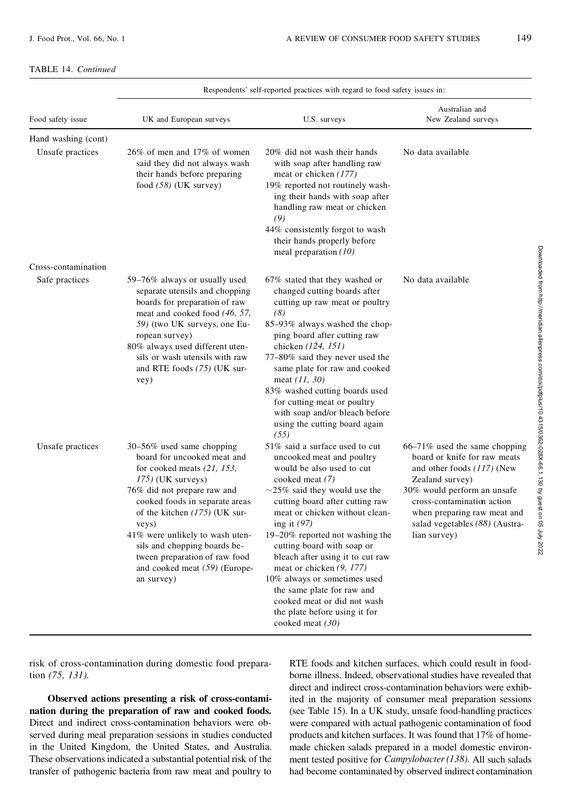|                     |                                                                                                                                                                                                                                                                                                                                                                                 | Respondents' self-reported practices with regard to food safety issues in:                                                                                                                                                                                                                                                                                                                                                                                                                                                  |                                                                                                                                                                                                                                                                                 |
|---------------------|---------------------------------------------------------------------------------------------------------------------------------------------------------------------------------------------------------------------------------------------------------------------------------------------------------------------------------------------------------------------------------|-----------------------------------------------------------------------------------------------------------------------------------------------------------------------------------------------------------------------------------------------------------------------------------------------------------------------------------------------------------------------------------------------------------------------------------------------------------------------------------------------------------------------------|---------------------------------------------------------------------------------------------------------------------------------------------------------------------------------------------------------------------------------------------------------------------------------|
| Food safety issue   | UK and European surveys                                                                                                                                                                                                                                                                                                                                                         | U.S. surveys                                                                                                                                                                                                                                                                                                                                                                                                                                                                                                                | Australian and<br>New Zealand surveys                                                                                                                                                                                                                                           |
| Hand washing (cont) |                                                                                                                                                                                                                                                                                                                                                                                 |                                                                                                                                                                                                                                                                                                                                                                                                                                                                                                                             |                                                                                                                                                                                                                                                                                 |
| Unsafe practices    | $26\%$ of men and 17% of women<br>said they did not always wash<br>their hands before preparing<br>food $(58)$ (UK survey)                                                                                                                                                                                                                                                      | 20% did not wash their hands<br>with soap after handling raw<br>meat or chicken $(177)$<br>19% reported not routinely wash-<br>ing their hands with soap after<br>handling raw meat or chicken<br>(9)<br>44% consistently forgot to wash<br>their hands properly before<br>meal preparation $(10)$                                                                                                                                                                                                                          | No data available                                                                                                                                                                                                                                                               |
| Cross-contamination |                                                                                                                                                                                                                                                                                                                                                                                 |                                                                                                                                                                                                                                                                                                                                                                                                                                                                                                                             |                                                                                                                                                                                                                                                                                 |
| Safe practices      | 59–76% always or usually used<br>separate utensils and chopping<br>boards for preparation of raw<br>meat and cooked food (46, 57,<br>59) (two UK surveys, one Eu-<br>ropean survey)<br>80% always used different uten-<br>sils or wash utensils with raw<br>and RTE foods (75) (UK sur-<br>vey)                                                                                 | 67% stated that they washed or<br>changed cutting boards after<br>cutting up raw meat or poultry<br>(8)<br>85-93% always washed the chop-<br>ping board after cutting raw<br>chicken (124, 151)<br>77-80% said they never used the<br>same plate for raw and cooked<br>meat $(11, 30)$<br>83% washed cutting boards used<br>for cutting meat or poultry<br>with soap and/or bleach before<br>using the cutting board again<br>(55)                                                                                          | No data available                                                                                                                                                                                                                                                               |
| Unsafe practices    | 30–56% used same chopping<br>board for uncooked meat and<br>for cooked meats $(21, 153,$<br>$175)$ (UK surveys)<br>76% did not prepare raw and<br>cooked foods in separate areas<br>of the kitchen $(175)$ (UK sur-<br>veys)<br>41% were unlikely to wash uten-<br>sils and chopping boards be-<br>tween preparation of raw food<br>and cooked meat (59) (Europe-<br>an survey) | 51\% said a surface used to cut<br>uncooked meat and poultry<br>would be also used to cut<br>cooked meat (7)<br>$\sim$ 25% said they would use the<br>cutting board after cutting raw<br>meat or chicken without clean-<br>ing it $(97)$<br>19–20% reported not washing the<br>cutting board with soap or<br>bleach after using it to cut raw<br>meat or chicken (9, 177)<br>10% always or sometimes used<br>the same plate for raw and<br>cooked meat or did not wash<br>the plate before using it for<br>cooked meat (30) | $66-71\%$ used the same chopping<br>board or knife for raw meats<br>and other foods $(117)$ (New<br>Zealand survey)<br>oon6 fa oo<br>30% would perform an unsafe<br>cross-contamination action<br>when preparing raw meat and<br>salad vegetables (88) (Austra-<br>lian survey) |

risk of cross-contamination during domestic food preparation *(75, 131).*

**Observed actions presenting a risk of cross-contamination during the preparation of raw and cooked foods.** Direct and indirect cross-contamination behaviors were observed during meal preparation sessions in studies conducted in the United Kingdom, the United States, and Australia. These observations indicated a substantial potential risk of the transfer of pathogenic bacteria from raw meat and poultry to

RTE foods and kitchen surfaces, which could result in foodborne illness. Indeed, observational studies have revealed that direct and indirect cross-contamination behaviors were exhibited in the majority of consumer meal preparation sessions (see Table 15). In a UK study, unsafe food-handling practices were compared with actual pathogenic contamination of food products and kitchen surfaces. It was found that 17% of homemade chicken salads prepared in a model domestic environment tested positive for *Campylobacter(138).* All such salads had become contaminated by observed indirect contamination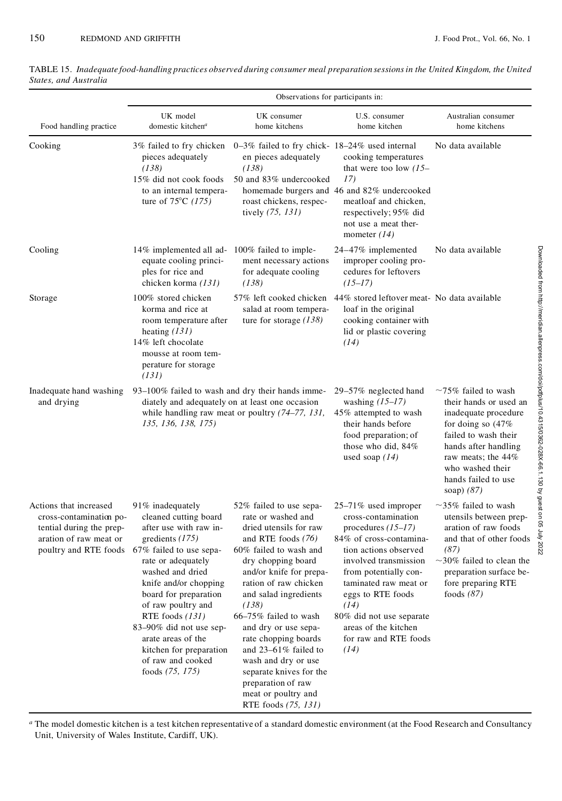|                                                                                                                                  |                                                                                                                                                                                                                                                                                                                                                                              | Observations for participants in:                                                                                                                                                                                                                                                                                                                                                                                                                          |                                                                                                                                                                                                                                                                                                                      |                                                                                                                                                                                                                                                                                                                                                |
|----------------------------------------------------------------------------------------------------------------------------------|------------------------------------------------------------------------------------------------------------------------------------------------------------------------------------------------------------------------------------------------------------------------------------------------------------------------------------------------------------------------------|------------------------------------------------------------------------------------------------------------------------------------------------------------------------------------------------------------------------------------------------------------------------------------------------------------------------------------------------------------------------------------------------------------------------------------------------------------|----------------------------------------------------------------------------------------------------------------------------------------------------------------------------------------------------------------------------------------------------------------------------------------------------------------------|------------------------------------------------------------------------------------------------------------------------------------------------------------------------------------------------------------------------------------------------------------------------------------------------------------------------------------------------|
| Food handling practice                                                                                                           | UK model<br>domestic kitchen <sup>a</sup>                                                                                                                                                                                                                                                                                                                                    | UK consumer<br>home kitchens                                                                                                                                                                                                                                                                                                                                                                                                                               | U.S. consumer<br>home kitchen                                                                                                                                                                                                                                                                                        | Australian consumer<br>home kitchens                                                                                                                                                                                                                                                                                                           |
| Cooking                                                                                                                          | 3% failed to fry chicken<br>pieces adequately<br>(138)<br>15% did not cook foods<br>to an internal tempera-<br>ture of $75^{\circ}$ C (175)                                                                                                                                                                                                                                  | $0-3\%$ failed to fry chick- 18-24% used internal<br>en pieces adequately<br>(138)<br>50 and 83% undercooked<br>roast chickens, respec-<br>tively (75, 131)                                                                                                                                                                                                                                                                                                | cooking temperatures<br>that were too low $(15-$<br>17)<br>homemade burgers and 46 and 82% undercooked<br>meatloaf and chicken,<br>respectively; 95% did<br>not use a meat ther-<br>mometer $(14)$                                                                                                                   | No data available                                                                                                                                                                                                                                                                                                                              |
| Cooling                                                                                                                          | 14% implemented all ad- 100% failed to imple-<br>equate cooling princi-<br>ples for rice and<br>chicken korma (131)                                                                                                                                                                                                                                                          | ment necessary actions<br>for adequate cooling<br>(138)                                                                                                                                                                                                                                                                                                                                                                                                    | 24-47% implemented<br>improper cooling pro-<br>cedures for leftovers<br>$(15-17)$                                                                                                                                                                                                                                    | No data available                                                                                                                                                                                                                                                                                                                              |
| Storage                                                                                                                          | 100% stored chicken<br>korma and rice at<br>room temperature after<br>heating $(131)$<br>14% left chocolate<br>mousse at room tem-<br>perature for storage<br>(131)                                                                                                                                                                                                          | salad at room tempera-<br>ture for storage $(138)$                                                                                                                                                                                                                                                                                                                                                                                                         | 57% left cooked chicken 44% stored leftover meat- No data available<br>loaf in the original<br>cooking container with<br>lid or plastic covering<br>(14)                                                                                                                                                             |                                                                                                                                                                                                                                                                                                                                                |
| Inadequate hand washing<br>and drying                                                                                            | 93-100% failed to wash and dry their hands imme-<br>135, 136, 138, 175)                                                                                                                                                                                                                                                                                                      | diately and adequately on at least one occasion<br>while handling raw meat or poultry (74-77, 131,                                                                                                                                                                                                                                                                                                                                                         | 29-57% neglected hand<br>washing $(15-17)$<br>45% attempted to wash<br>their hands before<br>food preparation; of<br>those who did, 84%<br>used soap $(14)$                                                                                                                                                          | Downloaded rrom nitp://mendian.alienpress.com/dol/pdiplus/ i.0.43 ip/o362-028X-06.1.130 by guest on 05<br>$\sim$ 75% failed to wash<br>their hands or used an<br>inadequate procedure<br>for doing so $(47\%$<br>failed to wash their<br>hands after handling<br>raw meats; the 44%<br>who washed their<br>hands failed to use<br>soap) $(87)$ |
| Actions that increased<br>cross-contamination po-<br>tential during the prep-<br>aration of raw meat or<br>poultry and RTE foods | 91% inadequately<br>cleaned cutting board<br>after use with raw in-<br>gredients $(175)$<br>67% failed to use sepa-<br>rate or adequately<br>washed and dried<br>knife and/or chopping<br>board for preparation<br>of raw poultry and<br>RTE foods (131)<br>83-90% did not use sep-<br>arate areas of the<br>kitchen for preparation<br>of raw and cooked<br>foods (75, 175) | 52% failed to use sepa-<br>rate or washed and<br>dried utensils for raw<br>and RTE foods (76)<br>60% failed to wash and<br>dry chopping board<br>and/or knife for prepa-<br>ration of raw chicken<br>and salad ingredients<br>(138)<br>66-75% failed to wash<br>and dry or use sepa-<br>rate chopping boards<br>and 23-61% failed to<br>wash and dry or use<br>separate knives for the<br>preparation of raw<br>meat or poultry and<br>RTE foods (75, 131) | 25-71% used improper<br>cross-contamination<br>procedures $(15-17)$<br>84% of cross-contamina-<br>tion actions observed<br>involved transmission<br>from potentially con-<br>taminated raw meat or<br>eggs to RTE foods<br>(14)<br>80% did not use separate<br>areas of the kitchen<br>for raw and RTE foods<br>(14) | $\sim$ 35% failed to wash<br>utensils between prep-<br>aration of raw foods<br>and that of other foods<br>(87)<br>$\sim$ 30% failed to clean the<br>preparation surface be-<br>fore preparing RTE<br>foods $(87)$                                                                                                                              |

TABLE 15. Inadequate food-handling practices observed during consumer meal preparation sessions in the United Kingdom, the United *States, and Australia*

*<sup>a</sup>* The model domestic kitchen is a test kitchen representative of a standard domestic environment (at the Food Research and Consultancy Unit, University of Wales Institute, Cardiff, UK).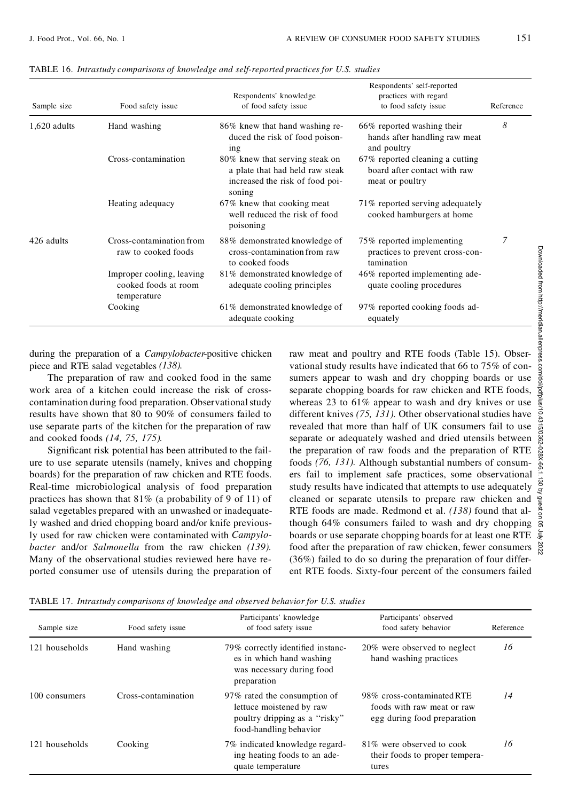| Sample size  | Food safety issue                                                  | Respondents' knowledge<br>of food safety issue                                                                 | Respondents' self-reported<br>practices with regard<br>to food safety issue        | Reference                    |
|--------------|--------------------------------------------------------------------|----------------------------------------------------------------------------------------------------------------|------------------------------------------------------------------------------------|------------------------------|
| 1,620 adults | Hand washing                                                       | 86% knew that hand washing re-<br>duced the risk of food poison-<br>ing                                        | 66% reported washing their<br>hands after handling raw meat<br>and poultry         | 8                            |
|              | Cross-contamination                                                | 80% knew that serving steak on<br>a plate that had held raw steak<br>increased the risk of food poi-<br>soning | 67% reported cleaning a cutting<br>board after contact with raw<br>meat or poultry |                              |
|              | Heating adequacy                                                   | 67% knew that cooking meat<br>well reduced the risk of food<br>poisoning                                       | 71% reported serving adequately<br>cooked hamburgers at home                       |                              |
| 426 adults   | Cross-contamination from<br>raw to cooked foods                    | 88% demonstrated knowledge of<br>cross-contamination from raw<br>to cooked foods                               | 75% reported implementing<br>practices to prevent cross-con-<br>tamination         | $\overline{7}$               |
|              | Improper cooling, leaving<br>cooked foods at room<br>temperature   | 81% demonstrated knowledge of<br>adequate cooling principles                                                   | 46% reported implementing ade-<br>quate cooling procedures                         | Downloaded from http://merid |
|              | Cooking                                                            | 61% demonstrated knowledge of<br>adequate cooking                                                              | 97% reported cooking foods ad-<br>equately                                         |                              |
|              |                                                                    |                                                                                                                |                                                                                    |                              |
|              | during the preparation of a <i>Campylobacter</i> -positive chicken |                                                                                                                | raw meat and poultry and RTE foods (Table 15). Obser-                              |                              |
|              | piece and RTE salad vegetables (138).                              |                                                                                                                | vational study results have indicated that 66 to 75% of con-                       |                              |
|              | The preparation of raw and cooked food in the same                 |                                                                                                                | sumers appear to wash and dry chopping boards or use                               |                              |
|              | work area of a kitchen could increase the risk of cross-           |                                                                                                                | separate chopping boards for raw chicken and RTE foods,                            |                              |
|              | contamination during food preparation. Observational study         |                                                                                                                | whereas 23 to 61% appear to wash and dry knives or use                             |                              |

TABLE 16. *Intrastudy comparisons of knowledge and self-reported practices for U.S. studies*

The preparation of raw and cooked food in the same work area of a kitchen could increase the risk of crosscontamination during food preparation. Observational study results have shown that 80 to 90% of consumers failed to use separate parts of the kitchen for the preparation of raw and cooked foods *(14, 75, 175).*

Significant risk potential has been attributed to the failure to use separate utensils (namely, knives and chopping boards) for the preparation of raw chicken and RTE foods. Real-time microbiological analysis of food preparation practices has shown that 81% (a probability of 9 of 11) of salad vegetables prepared with an unwashed or inadequately washed and dried chopping board and/or knife previously used for raw chicken were contaminated with *Campylobacter* and/or *Salmonella* from the raw chicken *(139).* Many of the observational studies reviewed here have reported consumer use of utensils during the preparation of raw meat and poultry and RTE foods (Table 15). Observational study results have indicated that 66 to 75% of conseparate chopping boards for raw chicken and RTE foods, whereas 23 to 61% appear to wash and dry knives or use different knives *(75, 131).* Other observational studies have revealed that more than half of UK consumers fail to use separate or adequately washed and dried utensils between the preparation of raw foods and the preparation of RTE foods (76, 131). Although substantial numbers of co separate or adequately washed and dried utensils between the preparation of raw foods and the preparation of RTE foods *(76, 131).* Although substantial numbers of consumers fail to implement safe practices, some observational study results have indicated that attempts to use adequately cleaned or separate utensils to prepare raw chicken and RTE foods are made. Redmond et al. *(138)* found that although 64% consumers failed to wash and dry chopping boards or use separate chopping boards for at least one RTE food after the preparation of raw chicken, fewer consumers  $\frac{8}{6}$ (36%) failed to do so during the preparation of four different RTE foods. Sixty-four percent of the consumers failed

TABLE 17. *Intrastudy comparisons of knowledge and observed behavior for U.S. studies*

| Sample size    | Food safety issue   | Participants' knowledge<br>of food safety issue                                                                     | Participants' observed<br>food safety behavior                                           | Reference |
|----------------|---------------------|---------------------------------------------------------------------------------------------------------------------|------------------------------------------------------------------------------------------|-----------|
| 121 households | Hand washing        | 79% correctly identified instanc-<br>es in which hand washing<br>was necessary during food<br>preparation           | 20% were observed to neglect<br>hand washing practices                                   | 16        |
| 100 consumers  | Cross-contamination | 97% rated the consumption of<br>lettuce moistened by raw<br>poultry dripping as a "risky"<br>food-handling behavior | 98\% cross-contaminated RTE<br>foods with raw meat or raw<br>egg during food preparation | 14        |
| 121 households | Cooking             | 7% indicated knowledge regard-<br>ing heating foods to an ade-<br>quate temperature                                 | 81\% were observed to cook<br>their foods to proper tempera-<br>tures                    | 16        |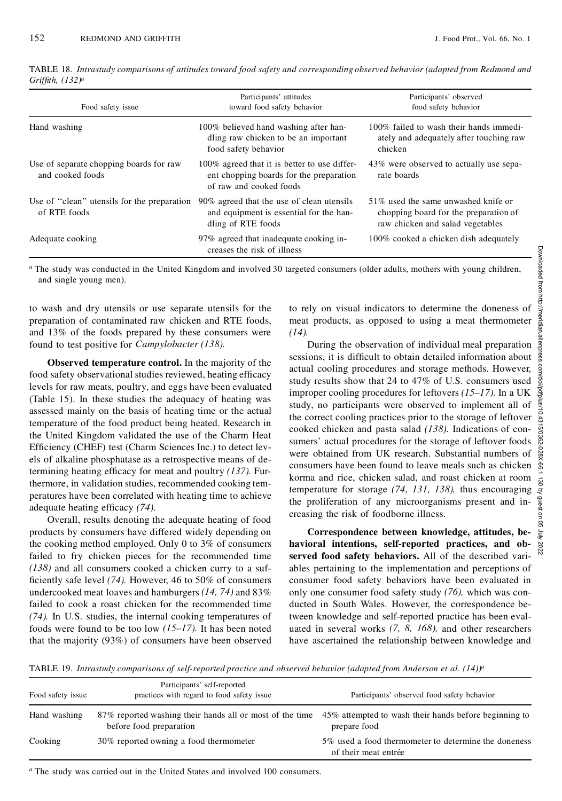| Food safety issue                                           | Participants' attitudes<br>toward food safety behavior                                                             | Participants' observed<br>food safety behavior                                                                   |
|-------------------------------------------------------------|--------------------------------------------------------------------------------------------------------------------|------------------------------------------------------------------------------------------------------------------|
| Hand washing                                                | 100% believed hand washing after han-<br>dling raw chicken to be an important<br>food safety behavior              | 100% failed to wash their hands immedi-<br>ately and adequately after touching raw<br>chicken                    |
| Use of separate chopping boards for raw<br>and cooked foods | 100% agreed that it is better to use differ-<br>ent chopping boards for the preparation<br>of raw and cooked foods | 43% were observed to actually use sepa-<br>rate boards                                                           |
| Use of "clean" utensils for the preparation<br>of RTE foods | 90% agreed that the use of clean utensils<br>and equipment is essential for the han-<br>dling of RTE foods         | 51% used the same unwashed knife or<br>chopping board for the preparation of<br>raw chicken and salad vegetables |
| Adequate cooking                                            | 97% agreed that inadequate cooking in-<br>creases the risk of illness                                              | 100% cooked a chicken dish adequately                                                                            |

TABLE 18. Intrastudy comparisons of attitudes toward food safety and corresponding observed behavior (adapted from Redmond and *Grifth, (132)<sup>a</sup>*

*<sup>a</sup>* The study was conducted in the United Kingdom and involved 30 targeted consumers (older adults, mothers with young children, and single young men).

to wash and dry utensils or use separate utensils for the preparation of contaminated raw chicken and RTE foods, and 13% of the foods prepared by these consumers were found to test positive for *Campylobacter (138).*

**Observed temperature control.** In the majority of the food safety observational studies reviewed, heating efficacy levels for raw meats, poultry, and eggs have been evaluated (Table 15). In these studies the adequacy of heating was assessed mainly on the basis of heating time or the actual temperature of the food product being heated. Research in the United Kingdom validated the use of the Charm Heat Efficiency (CHEF) test (Charm Sciences Inc.) to detect levels of alkaline phosphatase as a retrospective means of determining heating efficacy for meat and poultry (137). Furthermore, in validation studies, recommended cooking temperatures have been correlated with heating time to achieve adequate heating efficacy (74).

Overall, results denoting the adequate heating of food products by consumers have differed widely depending on the cooking method employed. Only 0 to 3% of consumers failed to fry chicken pieces for the recommended time *(138)* and all consumers cooked a chicken curry to a suf ciently safe level *(74).* However, 46 to 50% of consumers undercooked meat loaves and hamburgers *(14, 74)* and 83% failed to cook a roast chicken for the recommended time *(74).* In U.S. studies, the internal cooking temperatures of foods were found to be too low *(15–17).* It has been noted that the majority (93%) of consumers have been observed to rely on visual indicators to determine the doneness of and the products, as opposed to using a meat thermometer  $(14)$ .<br>During the observation of individual meal preparation sessions, it is difficult to obtain detailed meat products, as opposed to using a meat thermometer *(14).*

During the observation of individual meal preparation sessions, it is difficult to obtain detailed information about actual cooling procedures and storage methods. However,  $\frac{3}{8}$ <br>study results show that 24 to 47% of U.S. consumers used  $\frac{3}{8}$ <br>improper cooling procedures for leftovers (15–17). In a UK  $\frac{3}{8}$ <br>study, no participa study results show that 24 to 47% of U.S. consumers used improper cooling procedures for leftovers *(15–17).* In a UK study, no participants were observed to implement all of the correct cooling practices prior to the storage of leftover cooked chicken and pasta salad *(138).* Indications of consumers' actual procedures for the storage of leftover foods were obtained from UK research. Substantial numbers of consumers have been found to leave meals such as chicken korma and rice, chicken salad, and roast chicken at room temperature for storage (74, 131, 138), thus encouraging  $\overline{g}$  the proliferation of any microorganisms present and in-<br>creasing the risk of foodborne illness. the proliferation of any microorganisms present and increasing the risk of foodborne illness.

**Correspondence between knowledge, attitudes, behavioral intentions, self-reported practices, and observed food safety behaviors.** All of the described variables pertaining to the implementation and perceptions of consumer food safety behaviors have been evaluated in only one consumer food safety study *(76),* which was conducted in South Wales. However, the correspondence between knowledge and self-reported practice has been evaluated in several works *(7, 8, 168),* and other researchers have ascertained the relationship between knowledge and

TABLE 19. *Intrastudy comparisons of self-reported practice and observed behavior (adapted from Anderson et al. (14))<sup>a</sup>*

| Food safety issue | Participants' self-reported<br>practices with regard to food safety issue           | Participants' observed food safety behavior                                  |
|-------------------|-------------------------------------------------------------------------------------|------------------------------------------------------------------------------|
| Hand washing      | 87% reported washing their hands all or most of the time<br>before food preparation | 45% attempted to wash their hands before beginning to<br>prepare food        |
| Cooking           | 30% reported owning a food thermometer                                              | 5% used a food thermometer to determine the doneness<br>of their meat entrée |

*<sup>a</sup>* The study was carried out in the United States and involved 100 consumers.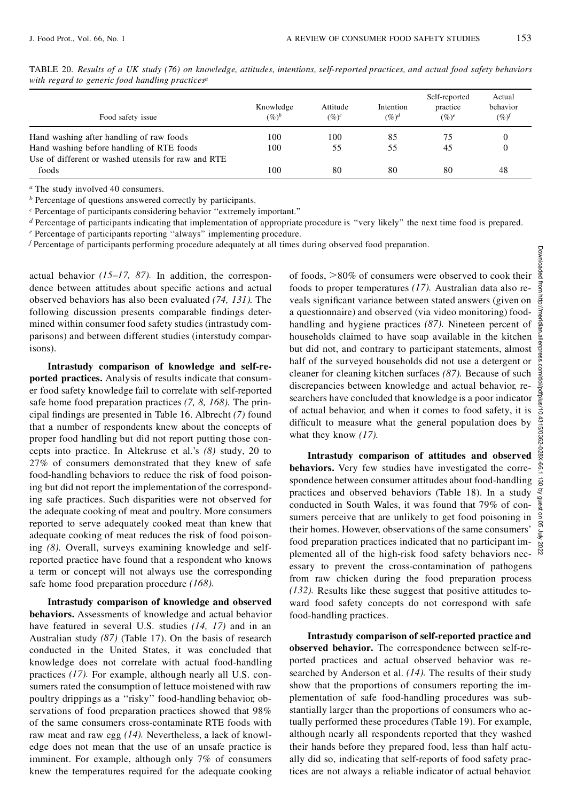| Food safety issue                                   | Knowledge<br>$(\%)^b$ | Attitude<br>$(\%)^c$ | Intention<br>$(\%)^d$ | Self-reported<br>practice<br>$(\%)^e$ | Actual<br>behavior<br>$(\%)^f$ |
|-----------------------------------------------------|-----------------------|----------------------|-----------------------|---------------------------------------|--------------------------------|
| Hand washing after handling of raw foods            | 100                   | 100                  | 85                    | 75                                    | $\theta$                       |
| Hand washing before handling of RTE foods           | 100                   | 55                   | 55                    | 45                                    |                                |
| Use of different or washed utensils for raw and RTE |                       |                      |                       |                                       |                                |
| foods                                               | 100                   | 80                   | 80                    | 80                                    | 48                             |

TABLE 20. Results of a UK study (76) on knowledge, attitudes, intentions, self-reported practices, and actual food safety behaviors *with regard to generic food handling practices<sup>a</sup>*

*<sup>a</sup>* The study involved 40 consumers.

*<sup>b</sup>* Percentage of questions answered correctly by participants.

*<sup>c</sup>* Percentage of participants considering behavior ''extremely important.''

*<sup>d</sup>* Percentage of participants indicating that implementation of appropriate procedure is ''very likely'' the next time food is prepared.

*<sup>e</sup>* Percentage of participants reporting ''always'' implementing procedure.

*<sup>f</sup>* Percentage of participants performing procedure adequately at all times during observed food preparation.

actual behavior *(15–17, 87).* In addition, the correspondence between attitudes about specific actions and actual observed behaviors has also been evaluated *(74, 131).* The following discussion presents comparable findings determined within consumer food safety studies (intrastudy comparisons) and between different studies (interstudy comparisons).

**Intrastudy comparison of knowledge and self-reported practices.** Analysis of results indicate that consumer food safety knowledge fail to correlate with self-reported safe home food preparation practices *(7, 8, 168).* The principal findings are presented in Table 16. Albrecht (7) found that a number of respondents knew about the concepts of proper food handling but did not report putting those concepts into practice. In Altekruse et al.'s *(8)* study, 20 to 27% of consumers demonstrated that they knew of safe food-handling behaviors to reduce the risk of food poisoning but did not report the implementation of the corresponding safe practices. Such disparities were not observed for the adequate cooking of meat and poultry. More consumers reported to serve adequately cooked meat than knew that adequate cooking of meat reduces the risk of food poisoning *(8).* Overall, surveys examining knowledge and selfreported practice have found that a respondent who knows a term or concept will not always use the corresponding safe home food preparation procedure *(168).*

**Intrastudy comparison of knowledge and observed behaviors.** Assessments of knowledge and actual behavior have featured in several U.S. studies *(14, 17)* and in an Australian study *(87)* (Table 17). On the basis of research conducted in the United States, it was concluded that knowledge does not correlate with actual food-handling practices *(17).* For example, although nearly all U.S. consumers rated the consumption of lettuce moistened with raw poultry drippings as a ''risky'' food-handling behavior, observations of food preparation practices showed that 98% of the same consumers cross-contaminate RTE foods with raw meat and raw egg *(14).* Nevertheless, a lack of knowledge does not mean that the use of an unsafe practice is imminent. For example, although only 7% of consumers knew the temperatures required for the adequate cooking of foods, >80% of consumers were observed to cook their foods to proper temperatures *(17).* Australian data also reveals significant variance between stated answers (given on a questionnaire) and observed (via video monitoring) foodhandling and hygiene practices *(87).* Nineteen percent of households claimed to have soap available in the kitchen but did not, and contrary to participant statements, almost half of the surveyed households did not use a detergent or cleaner for cleaning kitchen surfaces *(87).* Because of such discrepancies between knowledge and actual behavior, researchers have concluded that knowledge is a poor indicator<br>of actual behavior, and when it comes to food safety, it is<br>difficult to measure what the general population does by<br>what they know (17).<br>**Intrastudy comparison** of actual behavior, and when it comes to food safety, it is difficult to measure what the general population does by what they know *(17).* of foods,  $>80\%$  of consumers were observed to cook the production<br>foods to proper temperatures ( $1/2$ ). Australian data also re-<br>gian data is proper temperatures ( $7/2$ ). Australian data also re-<br>shandling and hygiene p

**Intrastudy comparison of attitudes and observed behaviors.** Very few studies have investigated the correspondence between consumer attitudes about food-handling  $\frac{1}{\beta}$ practices and observed behaviors (Table 18). In a study conducted in South Wales, it was found that 79% of consumers perceive that are unlikely to get food poisoning in  $\frac{9}{5}$ their homes. However, observations of the same consumers' food preparation practices indicated that no participant implemented all of the high-risk food safety behaviors necessary to prevent the cross-contamination of pathogens from raw chicken during the food preparation process *(132).* Results like these suggest that positive attitudes toward food safety concepts do not correspond with safe food-handling practices.

**Intrastudy comparison of self-reported practice and observed behavior.** The correspondence between self-reported practices and actual observed behavior was researched by Anderson et al. *(14).* The results of their study show that the proportions of consumers reporting the implementation of safe food-handling procedures was substantially larger than the proportions of consumers who actually performed these procedures (Table 19). For example, although nearly all respondents reported that they washed their hands before they prepared food, less than half actually did so, indicating that self-reports of food safety prac-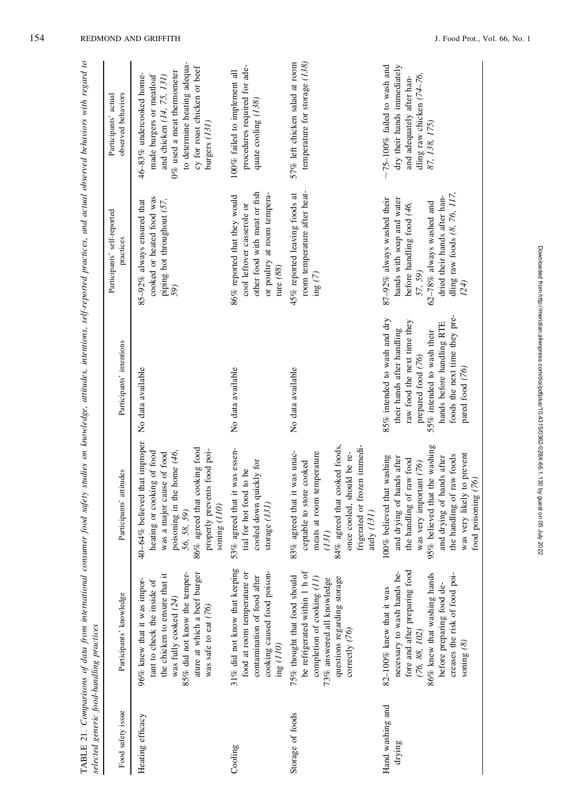| selected generic food-handling practices<br>Food safety issue | Participants' knowledge                                                                                                                                                                                                | Participants' attitudes                                                                                                                                                                                                                                        | Participants' intentions                                                                                                                                                                                                       | Participants' self-reported<br>practices                                                                                                                                                              | observed behaviors<br>Participants' actual                                                                                                                                                          |
|---------------------------------------------------------------|------------------------------------------------------------------------------------------------------------------------------------------------------------------------------------------------------------------------|----------------------------------------------------------------------------------------------------------------------------------------------------------------------------------------------------------------------------------------------------------------|--------------------------------------------------------------------------------------------------------------------------------------------------------------------------------------------------------------------------------|-------------------------------------------------------------------------------------------------------------------------------------------------------------------------------------------------------|-----------------------------------------------------------------------------------------------------------------------------------------------------------------------------------------------------|
| Heating efficacy                                              | ature at which a beef burger<br>85% did not know the temper-<br>the chicken to ensure that it<br>96% knew that it was impor-<br>tant to check the inside of<br>was fully cooked (24,<br>was safe to eat (76)           | 40-64% believed that improper<br>86% agreed that cooking food<br>prevents food poi-<br>poisoning in the home $(46, 56, 58, 59)$<br>heating or cooking of food<br>was a major cause of food<br>soning $(110)$<br>properly                                       | No data available                                                                                                                                                                                                              | cooked or heated food was<br>85-92% always ensured that<br>piping hot throughout (57,                                                                                                                 | to determine heating adequa-<br>cy for roast chicken or beef<br>$0\%$ used a meat thermometer<br>46-83% undercooked home-<br>made burgers or meatloaf<br>and chicken (14, 75, 131)<br>burgers (131) |
| Cooling                                                       | 31% did not know that keeping<br>cooking caused food poison-<br>food at room temperature or<br>contamination of food after<br>ing $(110)$                                                                              | 53% agreed that it was essen-<br>cooled down quickly for<br>tial for hot food to be<br>storage $(\mathit{131})$                                                                                                                                                | No data available                                                                                                                                                                                                              | other food with meat or fish<br>or poultry at room tempera-<br>86% reported that they would<br>cool leftover casserole or<br>ture $(88)$                                                              | procedures required for ade-<br>100% failed to implement all<br>quate cooling (138)                                                                                                                 |
| Storage of foods                                              | be refrigerated within 1 h of<br>75% thought that food should<br>completion of cooking (11)<br>questions regarding storage<br>73% answered all knowledge<br>correctly (76)                                             | 84% agreed that cooked foods,<br>frigerated or frozen immedi-<br>83% agreed that it was unac-<br>meats at room temperature<br>once cooled, should be re-<br>ceptable to store cooked<br>ately (131<br>(131)                                                    | No data available                                                                                                                                                                                                              | room temperature after heat-<br>45% reported leaving foods at<br>ing $(7)$                                                                                                                            | 57% left chicken salad at room<br>temperature for storage (138)                                                                                                                                     |
| Hand washing and<br>drying                                    | fore and after preparing food<br>necessary to wash hands be-<br>86% knew that washing hands<br>creases the risk of food poi-<br>before preparing food de-<br>82-100% knew that it was<br>(76, 88, 102)<br>soning $(8)$ | 95% believed that the washing<br>was very likely to prevent<br>the handling of raw foods<br>100% believed that washing<br>and drying of hands after<br>and drying of hands after<br>the handling of raw food<br>was very important (76)<br>food poisoning (76) | foods the next time they pre-<br>85% intended to wash and dry<br>raw food the next time they<br>hands before handling RTE<br>their hands after handling<br>55% intended to wash their<br>prepared food (76)<br>pared food (76) | dling raw foods $(8, 76, 117)$<br>dried their hands after han-<br>87-92% always washed their<br>hands with soap and water<br>62-78% always washed and<br>before handling food (46,<br>57, 59)<br>124) | $\sim$ 75-100% failed to wash and<br>dry their hands immediately<br>dling raw chicken (74–76,<br>and adequately after han-<br>87, 138, 175)                                                         |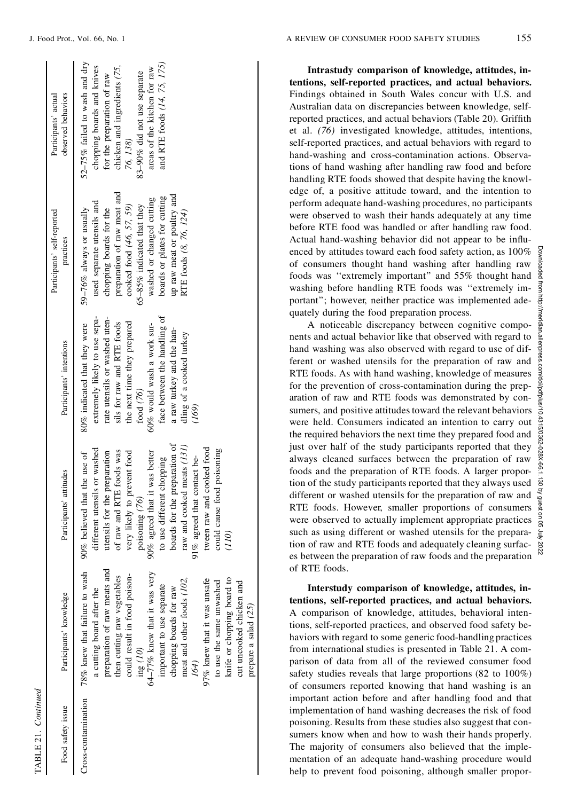| Food safety issue   | Participants' knowledge                                                                                                   | Participants' attitudes                                                                                                  | Participants' intentions                                                                                                     | Participants' self-reported<br>practices                                                                         | observed behaviors<br>Participants' actual                                                                                |
|---------------------|---------------------------------------------------------------------------------------------------------------------------|--------------------------------------------------------------------------------------------------------------------------|------------------------------------------------------------------------------------------------------------------------------|------------------------------------------------------------------------------------------------------------------|---------------------------------------------------------------------------------------------------------------------------|
| Cross-contamination | preparation of raw meats and<br>78% knew that failure to wash<br>then cutting raw vegetables<br>a cutting board after the | different utensils or washed<br>of raw and RTE foods was<br>90% believed that the use of<br>utensils for the preparation | extremely likely to use sepa-<br>rate utensils or washed uten-<br>sils for raw and RTE foods<br>80% indicated that they were | preparation of raw meat and<br>used separate utensils and<br>59-76% always or usually<br>chopping boards for the | 52-75% failed to wash and dry<br>chicken and ingredients (75,<br>chopping boards and knives<br>for the preparation of raw |
|                     | 64-77% knew that it was very<br>could result in food poison-<br>$\text{ing} (10)$                                         | to prevent food<br>90% agreed that it was better<br>(26)<br>very likely<br>poisoning                                     | the next time they prepared<br>60% would wash a work sur-<br>food (76)                                                       | washed or changed cutting<br>cooked food (46, 57, 59)<br>65-85% indicated that they                              | areas of the kitchen for raw<br>83-90% did not use separate<br>76, 138)                                                   |
|                     | meat and other foods (102,<br>important to use separate<br>chopping boards for raw<br>164)                                | boards for the preparation of<br>raw and cooked meats (131)<br>91% agreed that contact be-<br>to use different chopping  | face between the handling of<br>a raw turkey and the han-<br>dling of a cooked turkey<br>(169)                               | up raw meat or poultry and<br>boards or plates for cutting<br>RTE foods (8, 76, 124)                             | and RTE foods (14, 75, 175)                                                                                               |
|                     | 97% knew that it was unsafe<br>to use the same unwashed                                                                   | tween raw and cooked food<br>could cause food poisoning                                                                  |                                                                                                                              |                                                                                                                  |                                                                                                                           |
|                     | knife or chopping board to<br>cut uncooked chicken and<br>prepare a salad (25)                                            | (110)                                                                                                                    |                                                                                                                              |                                                                                                                  |                                                                                                                           |

**Intrastudy comparison of knowledge, attitudes, intentions, self-reported practices, and actual behaviors.** Findings obtained in South Wales concur with U.S. and Australian data on discrepancies between knowledge, selfreported practices, and actual behaviors (Table 20). Griffith et al. *(76)* investigated knowledge, attitudes, intentions, self-reported practices, and actual behaviors with regard to hand-washing and cross-contamination actions. Observations of hand washing after handling raw food and before handling RTE foods showed that despite having the knowledge of, a positive attitude toward, and the intention to perform adequate hand-washing procedures, no participants were observed to wash their hands adequately at any time before RTE food was handled or after handling raw food. Actual hand-washing behavior did not appear to be influenced by attitudes toward each food safety action, as 100% of consumers thought hand washing after handling raw foods was ''extremely important'' and 55% thought hand washing before handling RTE foods was ''extremely important''; however, neither practice was implemented adequately during the food preparation process.

A noticeable discrepancy between cognitive compo-A noticeable discrepancy between cognitive components and actual behavior like that observed with regard to the heard to see of different or washed utensils for the preparation of raw and RTE foods. As with hand washing, hand washing was also observed with regard to use of different or washed utensils for the preparation of raw and RTE foods. As with hand washing, knowledge of measures for the prevention of cross-contamination during the preparation of raw and RTE foods was demonstrated by consumers, and positive attitudes toward the relevant behaviors were held. Consumers indicated an intention to carry out the required behaviors the next time they prepared food and giust over half of the study participants reported that they always cleaned surfaces between the prepara the required behaviors the next time they prepared food and just over half of the study participants reported that they always cleaned surfaces between the preparation of raw foods and the preparation of RTE foods. A larger proportion of the study participants reported that they always used  $\vec{e}$ different or washed utensils for the preparation of raw and RTE foods. However, smaller proportions of consumers were observed to actually implement appropriate practices such as using different or washed utensils for the preparation of raw and RTE foods and adequately cleaning surfaces between the preparation of raw foods and the preparation of RTE foods.

**Interstudy comparison of knowledge, attitudes, intentions, self-reported practices, and actual behaviors.** A comparison of knowledge, attitudes, behavioral intentions, self-reported practices, and observed food safety behaviors with regard to some generic food-handling practices from international studies is presented in Table 21. A comparison of data from all of the reviewed consumer food safety studies reveals that large proportions (82 to 100%) of consumers reported knowing that hand washing is an important action before and after handling food and that implementation of hand washing decreases the risk of food poisoning. Results from these studies also suggest that consumers know when and how to wash their hands properly. The majority of consumers also believed that the implementation of an adequate hand-washing procedure would help to prevent food poisoning, although smaller propor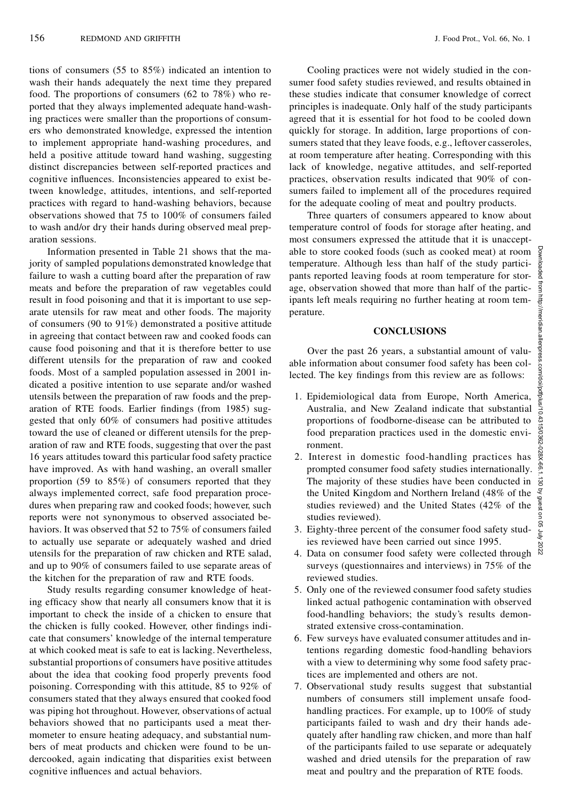tions of consumers (55 to 85%) indicated an intention to wash their hands adequately the next time they prepared food. The proportions of consumers (62 to 78%) who reported that they always implemented adequate hand-washing practices were smaller than the proportions of consumers who demonstrated knowledge, expressed the intention to implement appropriate hand-washing procedures, and held a positive attitude toward hand washing, suggesting distinct discrepancies between self-reported practices and cognitive influences. Inconsistencies appeared to exist between knowledge, attitudes, intentions, and self-reported practices with regard to hand-washing behaviors, because observations showed that 75 to 100% of consumers failed to wash and/or dry their hands during observed meal preparation sessions.

Information presented in Table 21 shows that the majority of sampled populations demonstrated knowledge that failure to wash a cutting board after the preparation of raw meats and before the preparation of raw vegetables could result in food poisoning and that it is important to use separate utensils for raw meat and other foods. The majority of consumers (90 to 91%) demonstrated a positive attitude in agreeing that contact between raw and cooked foods can cause food poisoning and that it is therefore better to use different utensils for the preparation of raw and cooked foods. Most of a sampled population assessed in 2001 indicated a positive intention to use separate and/or washed utensils between the preparation of raw foods and the preparation of RTE foods. Earlier findings (from 1985) suggested that only 60% of consumers had positive attitudes toward the use of cleaned or different utensils for the preparation of raw and RTE foods, suggesting that over the past 16 years attitudes toward this particular food safety practice have improved. As with hand washing, an overall smaller proportion (59 to 85%) of consumers reported that they always implemented correct, safe food preparation procedures when preparing raw and cooked foods; however, such reports were not synonymous to observed associated behaviors. It was observed that 52 to 75% of consumers failed to actually use separate or adequately washed and dried utensils for the preparation of raw chicken and RTE salad, and up to 90% of consumers failed to use separate areas of the kitchen for the preparation of raw and RTE foods.

Study results regarding consumer knowledge of heating efficacy show that nearly all consumers know that it is important to check the inside of a chicken to ensure that the chicken is fully cooked. However, other findings indicate that consumers' knowledge of the internal temperature at which cooked meat is safe to eat is lacking. Nevertheless, substantial proportions of consumers have positive attitudes about the idea that cooking food properly prevents food poisoning. Corresponding with this attitude, 85 to 92% of consumers stated that they always ensured that cooked food was piping hot throughout. However, observations of actual behaviors showed that no participants used a meat thermometer to ensure heating adequacy, and substantial numbers of meat products and chicken were found to be undercooked, again indicating that disparities exist between cognitive influences and actual behaviors.

Cooling practices were not widely studied in the consumer food safety studies reviewed, and results obtained in these studies indicate that consumer knowledge of correct principles is inadequate. Only half of the study participants agreed that it is essential for hot food to be cooled down quickly for storage. In addition, large proportions of consumers stated that they leave foods, e.g., leftover casseroles, at room temperature after heating. Corresponding with this lack of knowledge, negative attitudes, and self-reported practices, observation results indicated that 90% of consumers failed to implement all of the procedures required for the adequate cooling of meat and poultry products.

Three quarters of consumers appeared to know about temperature control of foods for storage after heating, and most consumers expressed the attitude that it is unacceptable to store cooked foods (such as cooked meat) at room temperature. Although less than half of the study participants reported leaving foods at room temperature for storage, observation showed that more than half of the participants left meals requiring no further heating at room temperature.

#### **CONCLUSIONS**

Over the past 26 years, a substantial amount of valuable information about consumer food safety has been collected. The key findings from this review are as follows:

- ge, observation showed that more than half of the partic-<br>pants left meals requiring no further heating at room tem-<br>erature.<br>
CONCLUSIONS<br>
Over the past 26 years, a substantial amount of valu-<br>
ble information about consu Australia, and New Zealand indicate that substantial proportions of foodborne-disease can be attributed to food preparation practices used in the domestic environment.
- 2. Interest in domestic food-handling practices has prompted consumer food safety studies internationally. The majority of these studies have been conducted in the United Kingdom and Northern Ireland (48% of the  $\frac{g}{g}$ ) studies reviewed) and the United States (42% of the  $\frac{5}{9}$ studies reviewed).
- 3. Eighty-three percent of the consumer food safety studies reviewed have been carried out since 1995.
- 4. Data on consumer food safety were collected through surveys (questionnaires and interviews) in 75% of the reviewed studies.
- 5. Only one of the reviewed consumer food safety studies linked actual pathogenic contamination with observed food-handling behaviors; the study's results demonstrated extensive cross-contamination.
- 6. Few surveys have evaluated consumer attitudes and intentions regarding domestic food-handling behaviors with a view to determining why some food safety practices are implemented and others are not.
- 7. Observational study results suggest that substantial numbers of consumers still implement unsafe foodhandling practices. For example, up to 100% of study participants failed to wash and dry their hands adequately after handling raw chicken, and more than half of the participants failed to use separate or adequately washed and dried utensils for the preparation of raw meat and poultry and the preparation of RTE foods.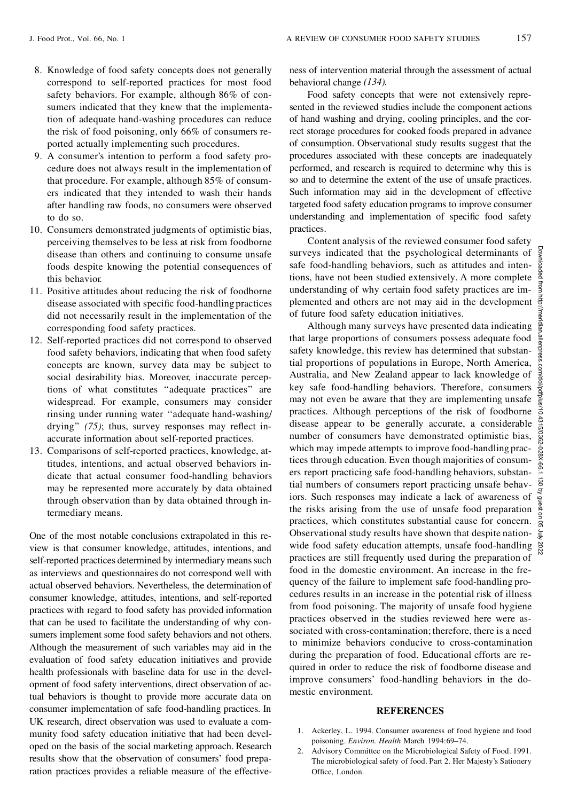- 8. Knowledge of food safety concepts does not generally correspond to self-reported practices for most food safety behaviors. For example, although 86% of consumers indicated that they knew that the implementation of adequate hand-washing procedures can reduce the risk of food poisoning, only 66% of consumers reported actually implementing such procedures.
- 9. A consumer's intention to perform a food safety procedure does not always result in the implementation of that procedure. For example, although 85% of consumers indicated that they intended to wash their hands after handling raw foods, no consumers were observed to do so.
- 10. Consumers demonstrated judgments of optimistic bias, perceiving themselves to be less at risk from foodborne disease than others and continuing to consume unsafe foods despite knowing the potential consequences of this behavior.
- 11. Positive attitudes about reducing the risk of foodborne disease associated with specific food-handling practices did not necessarily result in the implementation of the corresponding food safety practices.
- 12. Self-reported practices did not correspond to observed food safety behaviors, indicating that when food safety concepts are known, survey data may be subject to social desirability bias. Moreover, inaccurate perceptions of what constitutes ''adequate practices'' are widespread. For example, consumers may consider rinsing under running water ''adequate hand-washing/ drying"  $(75)$ ; thus, survey responses may reflect inaccurate information about self-reported practices.
- 13. Comparisons of self-reported practices, knowledge, attitudes, intentions, and actual observed behaviors indicate that actual consumer food-handling behaviors may be represented more accurately by data obtained through observation than by data obtained through intermediary means.

One of the most notable conclusions extrapolated in this review is that consumer knowledge, attitudes, intentions, and self-reported practices determined by intermediary means such as interviews and questionnaires do not correspond well with actual observed behaviors. Nevertheless, the determination of consumer knowledge, attitudes, intentions, and self-reported practices with regard to food safety has provided information that can be used to facilitate the understanding of why consumers implement some food safety behaviors and not others. Although the measurement of such variables may aid in the evaluation of food safety education initiatives and provide health professionals with baseline data for use in the development of food safety interventions, direct observation of actual behaviors is thought to provide more accurate data on consumer implementation of safe food-handling practices. In UK research, direct observation was used to evaluate a community food safety education initiative that had been developed on the basis of the social marketing approach. Research results show that the observation of consumers' food preparation practices provides a reliable measure of the effectiveness of intervention material through the assessment of actual behavioral change *(134).*

Food safety concepts that were not extensively represented in the reviewed studies include the component actions of hand washing and drying, cooling principles, and the correct storage procedures for cooked foods prepared in advance of consumption. Observational study results suggest that the procedures associated with these concepts are inadequately performed, and research is required to determine why this is so and to determine the extent of the use of unsafe practices. Such information may aid in the development of effective targeted food safety education programs to improve consumer understanding and implementation of specific food safety practices.

Content analysis of the reviewed consumer food safety surveys indicated that the psychological determinants of safe food-handling behaviors, such as attitudes and intentions, have not been studied extensively. A more complete understanding of why certain food safety practices are implemented and others are not may aid in the development  $\frac{3}{5}$ of future food safety education initiatives.

Although many surveys have presented data indicating  $\frac{2}{9}$ that large proportions of consumers possess adequate food safety knowledge, this review has determined that substantial proportions of populations in Europe, North America, Australia, and New Zealand appear to lack knowledge of key safe food-handling behaviors. Therefore, consumers  $\frac{8}{8}$ may not even be aware that they are implementing unsafe practices. Although perceptions of the risk of foodborne disease appear to be generally accurate, a considerable signumber of consumers have demonstrated optimistic bias,  $\frac{5}{60}$  which may impede attempts to improve food-handling practices through education. Even though majo number of consumers have demonstrated optimistic bias, which may impede attempts to improve food-handling practices through education. Even though majorities of consumers report practicing safe food-handling behaviors, substantial numbers of consumers report practicing unsafe behaviors. Such responses may indicate a lack of awareness of the risks arising from the use of unsafe food preparation  $\frac{3}{6}$ practices, which constitutes substantial cause for concern. Observational study results have shown that despite nationwide food safety education attempts, unsafe food-handling  $\frac{80}{88}$ practices are still frequently used during the preparation of food in the domestic environment. An increase in the frequency of the failure to implement safe food-handling procedures results in an increase in the potential risk of illness from food poisoning. The majority of unsafe food hygiene practices observed in the studies reviewed here were associated with cross-contamination; therefore, there is a need to minimize behaviors conducive to cross-contamination during the preparation of food. Educational efforts are required in order to reduce the risk of foodborne disease and improve consumers' food-handling behaviors in the domestic environment.

#### **REFERENCES**

- 1. Ackerley, L. 1994. Consumer awareness of food hygiene and food poisoning. *Environ. Health* March 1994:69–74.
- 2. Advisory Committee on the Microbiological Safety of Food. 1991. The microbiological safety of food. Part 2. Her Majesty's Sationery Office, London.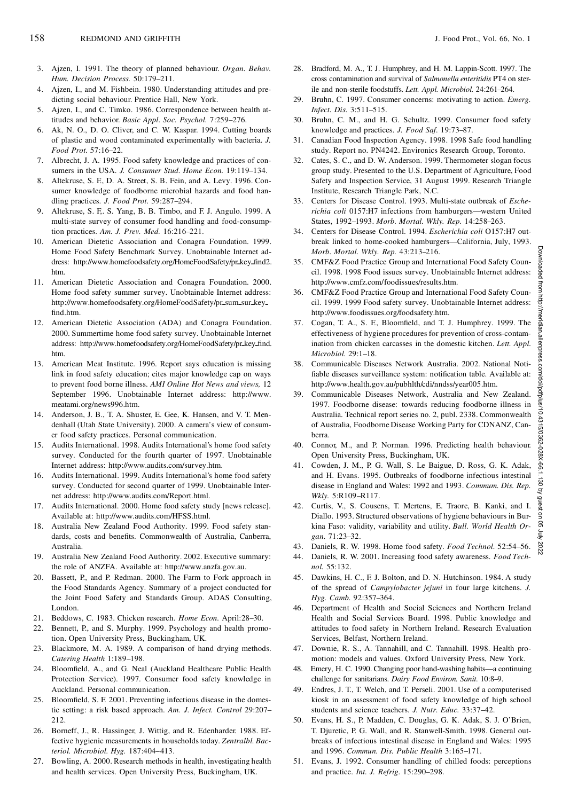- 3. Ajzen, I. 1991. The theory of planned behaviour. *Organ. Behav. Hum. Decision Process.* 50:179–211.
- 4. Ajzen, I., and M. Fishbein. 1980. Understanding attitudes and predicting social behaviour. Prentice Hall, New York.
- 5. Ajzen, I., and C. Timko. 1986. Correspondence between health attitudes and behavior. *Basic Appl. Soc. Psychol.* 7:259–276.
- 6. Ak, N. O., D. O. Cliver, and C. W. Kaspar. 1994. Cutting boards of plastic and wood contaminated experimentally with bacteria. *J. Food Prot.* 57:16–22.
- 7. Albrecht, J. A. 1995. Food safety knowledge and practices of consumers in the USA. *J. Consumer Stud. Home Econ.* 19:119–134.
- 8. Altekruse, S. F., D. A. Street, S. B. Fein, and A. Levy. 1996. Consumer knowledge of foodborne microbial hazards and food handling practices. *J. Food Prot.* 59:287–294.
- 9. Altekruse, S. F,. S. Yang, B. B. Timbo, and F. J. Angulo. 1999. A multi-state survey of consumer food handling and food-consumption practices. *Am. J. Prev. Med.* 16:216–221.
- 10. American Dietetic Association and Conagra Foundation. 1999. Home Food Safety Benchmark Survey. Unobtainable Internet address: http://www.homefoodsafety.org/HomeFoodSafety/pr\_key\_find2. htm.
- 11. American Dietetic Association and Conagra Foundation. 2000. Home food safety summer survey. Unobtainable Internet address: http://www.homefoodsafety.org/HomeFoodSafety/pr\_sum\_sur\_key\_ find.htm.
- 12. American Dietetic Association (ADA) and Conagra Foundation. 2000. Summertime home food safety survey. Unobtainable Internet address: http://www.homefoodsafety.org/HomeFoodSafety/pr\_key\_find. htm.
- 13. American Meat Institute. 1996. Report says education is missing link in food safety education; cites major knowledge cap on ways to prevent food borne illness. *AMI Online Hot News and views,* 12 September 1996. Unobtainable Internet address: http://www. meatami.org/news996.htm.
- 14. Anderson, J. B., T. A. Shuster, E. Gee, K. Hansen, and V. T. Mendenhall (Utah State University). 2000. A camera's view of consum er food safety practices. Personal communication.
- 15. Audits International. 1998. Audits International's home food safety survey. Conducted for the fourth quarter of 1997. Unobtainable Internet address: http://www.audits.com/survey.htm.
- 16. Audits International. 1999. Audits International's home food safety survey. Conducted for second quarter of 1999. Unobtainable Internet address: http://www.audits.com/Report.html.
- 17. Audits International. 2000. Home food safety study [news release]. Available at: http://www.audits.com/HFSS.html.
- 18. Australia New Zealand Food Authority. 1999. Food safety standards, costs and benefits. Commonwealth of Australia, Canberra, Australia.
- 19. Australia New Zealand Food Authority. 2002. Executive summary: the role of ANZFA. Available at: http://www.anzfa.gov.au.
- 20. Bassett, P., and P. Redman. 2000. The Farm to Fork approach in the Food Standards Agency. Summary of a project conducted for the Joint Food Safety and Standards Group. ADAS Consulting, London.
- 21. Beddows, C. 1983. Chicken research. *Home Econ.* April:28–30.
- 22. Bennett, P., and S. Murphy. 1999. Psychology and health promotion. Open University Press, Buckingham, UK.
- 23. Blackmore, M. A. 1989. A comparison of hand drying methods. *Catering Health* 1:189–198.
- 24. Bloomfield, A., and G. Neal (Auckland Healthcare Public Health Protection Service). 1997. Consumer food safety knowledge in Auckland. Personal communication.
- 25. Bloomfield, S. F. 2001. Preventing infectious disease in the domestic setting: a risk based approach. *Am. J. Infect. Control* 29:207– 212.
- 26. Borneff, J., R. Hassinger, J. Wittig, and R. Edenharder. 1988. Effective hygienic measurements in householdstoday. *Zentralbl. Bacteriol. Microbiol. Hyg.* 187:404–413.
- 27. Bowling, A. 2000. Research methods in health, investigating health and health services. Open University Press, Buckingham, UK.
- 28. Bradford, M. A., T. J. Humphrey, and H. M. Lappin-Scott. 1997. The cross contamination and survival of *Salmonella enteritidis* PT4 on sterile and non-sterile foodstuffs. *Lett. Appl. Microbiol.* 24:261–264.
- 29. Bruhn, C. 1997. Consumer concerns: motivating to action. *Emerg. Infect. Dis.* 3:511–515.
- 30. Bruhn, C. M., and H. G. Schultz. 1999. Consumer food safety knowledge and practices. *J. Food Saf.* 19:73–87.
- 31. Canadian Food Inspection Agency. 1998. 1998 Safe food handling study. Report no. PN4242. Environics Research Group, Toronto.
- 32. Cates, S. C., and D. W. Anderson. 1999. Thermometer slogan focus group study. Presented to the U.S. Department of Agriculture, Food Safety and Inspection Service, 31 August 1999. Research Triangle Institute, Research Triangle Park, N.C.
- 33. Centers for Disease Control. 1993. Multi-state outbreak of *Escherichia coli* 0157:H7 infections from hamburgers—western United States, 1992–1993. *Morb. Mortal. Wkly. Rep.* 14:258–263.
- 34. Centers for Disease Control. 1994. *Escherichia coli* O157:H7 outbreak linked to home-cooked hamburgers—California, July, 1993. *Morb. Mortal. Wkly. Rep.* 43:213–216.
- 35. CMF&Z Food Practice Group and International Food Safety Coun-CMF&Z Food Practice Group and International Food Safety Council. 1998. 1998 Food issues survey. Unobtainable Internet address: http://www.cmfz.com/foodissues/results.htm.
- 36. CMF&Z Food Practice Group and International Food Safety Counreturnational Safety Coun-<br>CMF&Z Food Practice Group and International Food Safety Coun-<br>cil. 1999. 1999 Food safety survey. Unobtainable Internet address: http://www.foodissues.org/foodsafety.htm.
- 37. Cogan, T. A., S. F., Bloomfield, and T. J. Humphrey. 1999. The distribution from chicken carcasses in the domestic kitchen. *Lett. Appl.* Microbiol. 29:1–18.<br>38. Communicable Diseases Network Australia. 2002. National effectiveness of hygiene procedures for prevention of cross-contamination from chicken carcasses in the domestic kitchen. *Lett. Appl. Microbiol.* 29:1–18.
- 38. Communicable Diseases Network Australia. 2002. National Noti fiable diseases surveillance system: notification table. Available at: http://www.health.gov.au/pubhlth/cdi/nndss/year005.htm.
- 39. Communicable Diseases Network, Australia and New Zealand. 1997. Foodborne disease: towards reducing foodborne illness in Australia. Technical report series no. 2, publ. 2338. Commonwealth of Australia, Foodborne Disease Working Party for CDNANZ, Canberra.
- Open University Press, Buckingham, UK.
- 61 Tasauma, Footbook Bisease Working Farty for CBTWEY2, Can<br>berra.<br>(2) Connor, M., and P. Norman. 1996. Predicting health behaviour.<br>(2) Open University Press, Buckingham, UK.<br>41. Cowden, J. M., P. G. Wall, S. Le Baigue, 41. Cowden, J. M., P. G. Wall, S. Le Baigue, D. Ross, G. K. Adak, and H. Evans. 1995. Outbreaks of foodborne infectious intestinal disease in England and Wales: 1992 and 1993. *Commum. Dis. Rep. Wkly.* 5:R109–R117.
- wkiy. 3:K109-K117.<br>42. Curtis, V., S. Cousens, T. Mertens, E. Traore, B. Kanki, and I.  $\frac{6}{9}$ <br>Diallo. 1993. Structured observations of hygiene behaviours in Bur-Diallo. 1993. Structured observations of hygiene behaviours in Burkina Faso: validity, variability and utility. *Bull. World Health Organ.* 71:23–32.
- 43. Daniels, R. W. 1998. Home food safety. *Food Technol.* 52:54–56.
- 44. Daniels, R. W. 2001. Increasing food safety awareness. *Food Technol.* 55:132.
- 45. Dawkins, H. C., F. J. Bolton, and D. N. Hutchinson. 1984. A study of the spread of *Campylobacter jejuni* in four large kitchens. *J. Hyg. Camb.* 92:357–364.
- 46. Department of Health and Social Sciences and Northern Ireland Health and Social Services Board. 1998. Public knowledge and attitudes to food safety in Northern Ireland. Research Evaluation Services, Belfast, Northern Ireland.
- 47. Downie, R. S., A. Tannahill, and C. Tannahill. 1998. Health promotion: models and values. Oxford University Press, New York.
- 48. Emery, H. C. 1990. Changing poor hand-washing habits—a continuing challenge for sanitarians. *Dairy Food Environ. Sanit.* 10:8–9.
- 49. Endres, J. T., T. Welch, and T. Perseli. 2001. Use of a computerised kiosk in an assessment of food safety knowledge of high school students and science teachers. *J. Nutr. Educ.* 33:37–42.
- 50. Evans, H. S., P. Madden, C. Douglas, G. K. Adak, S. J. O'Brien, T. Djuretic, P. G. Wall, and R. Stanwell-Smith. 1998. General outbreaks of infectious intestinal disease in England and Wales: 1995 and 1996. *Commun. Dis. Public Health* 3:165–171.
- 51. Evans, J. 1992. Consumer handling of chilled foods: perceptions and practice. *Int. J. Refrig.* 15:290–298.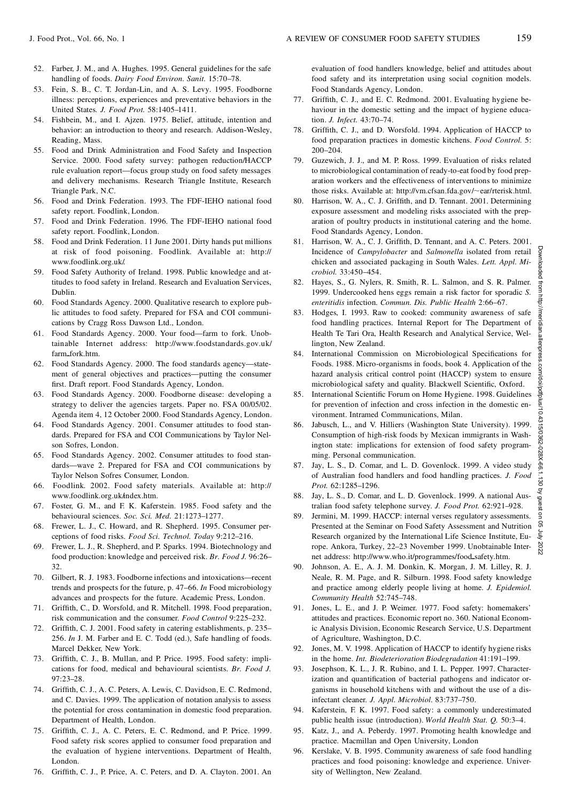- 52. Farber, J. M., and A. Hughes. 1995. General guidelines for the safe handling of foods. *Dairy Food Environ. Sanit.* 15:70–78.
- 53. Fein, S. B., C. T. Jordan-Lin, and A. S. Levy. 1995. Foodborne illness: perceptions, experiences and preventative behaviors in the United States. *J. Food Prot.* 58:1405–1411.
- 54. Fishbein, M., and I. Ajzen. 1975. Belief, attitude, intention and behavior: an introduction to theory and research. Addison-Wesley, Reading, Mass.
- 55. Food and Drink Administration and Food Safety and Inspection Service. 2000. Food safety survey: pathogen reduction/HACCP rule evaluation report—focus group study on food safety messages and delivery mechanisms. Research Triangle Institute, Research Triangle Park, N.C.
- 56. Food and Drink Federation. 1993. The FDF-IEHO national food safety report. Foodlink, London.
- 57. Food and Drink Federation. 1996. The FDF-IEHO national food safety report. Foodlink, London.
- 58. Food and Drink Federation. 11 June 2001. Dirty hands put millions at risk of food poisoning. Foodlink. Available at: http:// www.foodlink.org.uk/.
- 59. Food Safety Authority of Ireland. 1998. Public knowledge and attitudes to food safety in Ireland. Research and Evaluation Services, Dublin.
- 60. Food Standards Agency. 2000. Qualitative research to explore public attitudes to food safety. Prepared for FSA and COI communications by Cragg Ross Dawson Ltd., London.
- 61. Food Standards Agency. 2000. Your food—farm to fork. Unobtainable Internet address: http://www.foodstandards.gov.uk/ farm\_fork.htm.
- 62. Food Standards Agency. 2000. The food standards agency—statement of general objectives and practices—putting the consumer first. Draft report. Food Standards Agency, London.
- 63. Food Standards Agency. 2000. Foodborne disease: developing a strategy to deliver the agencies targets. Paper no. FSA 00/05/02. Agenda item 4, 12 October 2000. Food Standards Agency, London.
- 64. Food Standards Agency. 2001. Consumer attitudes to food standards. Prepared for FSA and COI Communications by Taylor Nelson Sofres, London.
- 65. Food Standards Agency. 2002. Consumer attitudes to food standards—wave 2. Prepared for FSA and COI communications by Taylor Nelson Sofres Consumer, London.
- 66. Foodlink. 2002. Food safety materials. Available at: http:// www.foodlink.org.uk/index.htm.
- 67. Foster, G. M., and F. K. Kaferstein. 1985. Food safety and the behavioural sciences. *Soc. Sci. Med.* 21:1273–1277.
- 68. Frewer, L. J., C. Howard, and R. Shepherd. 1995. Consumer perceptions of food risks. *Food Sci. Technol. Today* 9:212–216.
- 69. Frewer, L. J., R. Shepherd, and P. Sparks. 1994. Biotechnology and food production: knowledge and perceived risk. *Br. Food J.* 96:26– 32.
- 70. Gilbert, R. J. 1983. Foodborne infections and intoxications—recent trends and prospects for the future, p. 47–66. *In* Food microbiology advances and prospects for the future. Academic Press, London.
- 71. Griffith, C., D. Worsfold, and R. Mitchell. 1998. Food preparation, risk communication and the consumer. *Food Control* 9:225–232.
- 72. Griffith, C. J. 2001. Food safety in catering establishments, p. 235– 256. *In* J. M. Farber and E. C. Todd (ed.), Safe handling of foods. Marcel Dekker, New York.
- 73. Griffith, C. J., B. Mullan, and P. Price. 1995. Food safety: implications for food, medical and behavioural scientists. *Br. Food J.*  $97.23 - 28$
- 74. Griffith, C. J., A. C. Peters, A. Lewis, C. Davidson, E. C. Redmond, and C. Davies. 1999. The application of notation analysis to assess the potential for cross contamination in domestic food preparation. Department of Health, London.
- 75. Griffith, C. J., A. C. Peters, E. C. Redmond, and P. Price. 1999. Food safety risk scores applied to consumer food preparation and the evaluation of hygiene interventions. Department of Health, London.
- 76. Griffith, C. J., P. Price, A. C. Peters, and D. A. Clayton. 2001. An

evaluation of food handlers knowledge, belief and attitudes about food safety and its interpretation using social cognition models. Food Standards Agency, London.

- 77. Griffith, C. J., and E. C. Redmond. 2001. Evaluating hygiene behaviour in the domestic setting and the impact of hygiene education. *J. Infect.* 43:70–74.
- 78. Griffith, C. J., and D. Worsfold. 1994. Application of HACCP to food preparation practices in domestic kitchens. *Food Control.* 5: 200–204.
- 79. Guzewich, J. J., and M. P. Ross. 1999. Evaluation of risks related to microbiological contamination of ready-to-eat food by food preparation workers and the effectiveness of interventions to minimize those risks. Available at: http://vm.cfsan.fda.gov/~ear/rterisk.html.
- 80. Harrison, W. A., C. J. Griffith, and D. Tennant. 2001. Determining exposure assessment and modeling risks associated with the preparation of poultry products in institutional catering and the home. Food Standards Agency, London.
- 81. Harrison, W. A., C. J. Griffith, D. Tennant, and A. C. Peters. 2001. Incidence of *Campylobacter* and *Salmonella* isolated from retail  $\frac{3}{8}$  chicken and associated packaging in South Wales. Lett. Appl. Michicken and associated packaging in South Wales. *Lett. Appl. Microbiol.* 33:450–454.
- *crobiol.* 33:450–454.<br>
Hayes, S., G. Nylers, R. Smith, R. L. Salmon, and S. R. Palmer.<br>
1999. Undercooked hens eggs remain a risk factor for sporadic S.<br> *enteritidis* infection. *Commun. Dis. Public Health* 2:66–67. 1999. Undercooked hens eggs remain a risk factor for sporadic *S. enteritidis* infection. *Commun. Dis. Public Health* 2:66–67.
- 83. Hodges, I. 1993. Raw to cooked: community awareness of safe<br>food handling practices. Internal Report for The Department of<br>Health Te Tari Ora, Health Research and Analytical Service, Wel-<br>lington, New Zealand.<br>84. Int food handling practices. Internal Report for The Department of Health Te Tari Ora, Health Research and Analytical Service, Wellington, New Zealand.
- 84. International Commission on Microbiological Specifications for Foods. 1988. Micro-organisms in foods, book 4. Application of the hazard analysis critical control point (HACCP) system to ensure microbiological safety and quality. Blackwell Scientific, Oxford.
- 85. International Scientific Forum on Home Hygiene. 1998. Guidelines for prevention of infection and cross infection in the domestic en vironment. Intramed Communications, Milan.
- 1886. Jabusch, L., and V. Hilliers (Washington State University). 1999.<br>
Consumption of high-risk foods by Mexican immigrants in Washington state: implications for extension of food safety program-<br>
ington state: implicat Consumption of high-risk foods by Mexican immigrants in Washington state: implications for extension of food safety programming. Personal communication.
- 87. Jay, L. S., D. Comar, and L. D. Govenlock. 1999. A video study of Australian food handlers and food handling practices. *J. Food Prot.* 62:1285–1296.
- 88. Jay, L. S., D. Comar, and L. D. Govenlock. 1999. A national Australian food safety telephone survey. *J. Food Prot.* 62:921–928. 88. Jay, L. S., D. Comar, and L. D. Govenlock. 1999. A national Australian food safety telephone survey. *J. Food Prot.* 62:921–928. **S.** 89. Jermini, M. 1999. HACCP: internal verses regulatory assessments.  $\frac{8}{3}$
- Presented at the Seminar on Food Safety Assessment and Nutrition Research organized by the International Life Science Institute, Europe. Ankora, Turkey, 22–23 November 1999. Unobtainable Internet address: http://www.who.it/programmes/food\_safety.htm.
- 90. Johnson, A. E., A. J. M. Donkin, K. Morgan, J. M. Lilley, R. J. Neale, R. M. Page, and R. Silburn. 1998. Food safety knowledge and practice among elderly people living at home. *J. Epidemiol. Community Health* 52:745–748.
- 91. Jones, L. E., and J. P. Weimer. 1977. Food safety: homemakers' attitudes and practices. Economic report no. 360. National Economic Analysis Division, Economic Research Service, U.S. Department of Agriculture, Washington, D.C.
- 92. Jones, M. V. 1998. Application of HACCP to identify hygiene risks in the home. *Int. Biodeterioration Biodegradation* 41:191–199.
- 93. Josephson, K. L., J. R. Rubino, and I. L. Pepper. 1997. Characterization and quantification of bacterial pathogens and indicator organisms in household kitchens with and without the use of a disinfectant cleaner. *J. Appl. Microbiol.* 83:737–750.
- 94. Kaferstein, F. K. 1997. Food safety: a commonly underestimated public health issue (introduction). *World Health Stat. Q.* 50:3–4.
- 95. Katz, J., and A. Peberdy. 1997. Promoting health knowledge and practice. Macmillan and Open University, London
- 96. Kerslake, V. B. 1995. Community awareness of safe food handling practices and food poisoning: knowledge and experience. University of Wellington, New Zealand.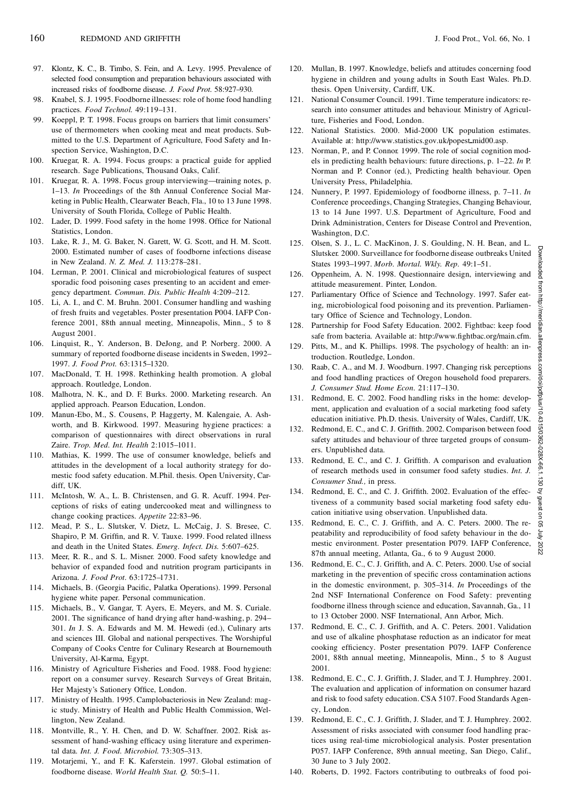- 97. Klontz, K. C., B. Timbo, S. Fein, and A. Levy. 1995. Prevalence of selected food consumption and preparation behaviours associated with increased risks of foodborne disease. *J. Food Prot.* 58:927–930.
- 98. Knabel, S. J. 1995. Foodborne illnesses: role of home food handling practices. *Food Technol.* 49:119–131.
- 99. Koeppl, P. T. 1998. Focus groups on barriers that limit consumers' use of thermometers when cooking meat and meat products. Submitted to the U.S. Department of Agriculture, Food Safety and Inspection Service, Washington, D.C.
- 100. Kruegar, R. A. 1994. Focus groups: a practical guide for applied research. Sage Publications, Thousand Oaks, Calif.
- 101. Kruegar, R. A. 1998. Focus group interviewing—training notes, p. 1–13. *In* Proceedings of the 8th Annual Conference Social Marketing in Public Health, Clearwater Beach, Fla., 10 to 13 June 1998. University of South Florida, College of Public Health.
- 102. Lader, D. 1999. Food safety in the home 1998. Office for National Statistics, London.
- 103. Lake, R. J., M. G. Baker, N. Garett, W. G. Scott, and H. M. Scott. 2000. Estimated number of cases of foodborne infections disease in New Zealand. *N. Z. Med. J.* 113:278–281.
- 104. Lerman, P. 2001. Clinical and microbiological features of suspect sporadic food poisoning cases presenting to an accident and emer gency department. *Commun. Dis. Public Health* 4:209–212.
- 105. Li, A. I., and C. M. Bruhn. 2001. Consumer handling and washing of fresh fruits and vegetables. Poster presentation P004. IAFP Conference 2001, 88th annual meeting, Minneapolis, Minn., 5 to 8 August 2001.
- 106. Linquist, R., Y. Anderson, B. DeJong, and P. Norberg. 2000. A summary of reported foodborne disease incidents in Sweden, 1992– 1997. *J. Food Prot.* 63:1315–1320.
- 107. MacDonald, T. H. 1998. Rethinking health promotion. A global approach. Routledge, London.
- 108. Malhotra, N. K., and D. F. Burks. 2000. Marketing research. An applied approach. Pearson Education, London.
- 109. Manun-Ebo, M., S. Cousens, P. Haggerty, M. Kalengaie, A. Ashworth, and B. Kirkwood. 1997. Measuring hygiene practices: a comparison of questionnaires with direct observations in rural Zaire. *Trop. Med. Int. Health* 2:1015–1011.
- 110. Mathias, K. 1999. The use of consumer knowledge, beliefs and attitudes in the development of a local authority strategy for domestic food safety education. M.Phil. thesis. Open University, Cardiff, UK.
- 111. McIntosh, W. A., L. B. Christensen, and G. R. Acuff. 1994. Perceptions of risks of eating undercooked meat and willingness to change cooking practices. *Appetite* 22:83–96.
- 112. Mead, P. S., L. Slutsker, V. Dietz, L. McCaig, J. S. Bresee, C. Shapiro, P. M. Griffin, and R. V. Tauxe. 1999. Food related illness and death in the United States. *Emerg. Infect. Dis.* 5:607–625.
- 113. Meer, R. R., and S. L. Misner. 2000. Food safety knowledge and behavior of expanded food and nutrition program participants in Arizona. *J. Food Prot.* 63:1725–1731.
- 114. Michaels, B. (Georgia Pacific, Palatka Operations). 1999. Personal hygiene white paper. Personal communication.
- 115. Michaels, B., V. Gangar, T. Ayers, E. Meyers, and M. S. Curiale. 2001. The significance of hand drying after hand-washing, p. 294– 301. *In* J. S. A. Edwards and M. M. Hewedi (ed.), Culinary arts and sciences III. Global and national perspectives. The Worshipful Company of Cooks Centre for Culinary Research at Bournemouth University, Al-Karma, Egypt.
- 116. Ministry of Agriculture Fisheries and Food. 1988. Food hygiene: report on a consumer survey. Research Surveys of Great Britain, Her Majesty's Sationery Office, London.
- 117. Ministry of Health. 1995. Camplobacteriosis in New Zealand: magic study. Ministry of Health and Public Health Commission, Wellington, New Zealand.
- 118. Montville, R., Y. H. Chen, and D. W. Schaffner. 2002. Risk assessment of hand-washing efficacy using literature and experimental data. *Int. J. Food. Microbiol.* 73:305–313.
- 119. Motarjemi, Y., and F. K. Kaferstein. 1997. Global estimation of foodborne disease. *World Health Stat. Q.* 50:5–11.
- 120. Mullan, B. 1997. Knowledge, beliefs and attitudes concerning food hygiene in children and young adults in South East Wales. Ph.D. thesis. Open University, Cardiff, UK.
- 121. National Consumer Council. 1991. Time temperature indicators: research into consumer attitudes and behaviour. Ministry of Agriculture, Fisheries and Food, London.
- 122. National Statistics. 2000. Mid-2000 UK population estimates. Available at: http://www.statistics.gov.uk/popest\_mid00.asp.
- 123. Norman, P., and P. Connor. 1999. The role of social cognition models in predicting health behaviours: future directions, p. 1–22. *In* P. Norman and P. Connor (ed.), Predicting health behaviour. Open University Press, Philadelphia.
- 124. Nunnery, P. 1997. Epidemiology of foodborne illness, p. 7–11. *In* Conference proceedings, Changing Strategies, Changing Behaviour, 13 to 14 June 1997. U.S. Department of Agriculture, Food and Drink Administration, Centers for Disease Control and Prevention, Washington, D.C.
- 125. Olsen, S. J., L. C. MacKinon, J. S. Goulding, N. H. Bean, and L. Slutsker. 2000. Surveillance for foodborne disease outbreaks United States 1993–1997. *Morb. Mortal. Wkly. Rep.* 49:1–51.
- 126. Oppenheim, A. N. 1998. Questionnaire design, interviewing and attitude measurement. Pinter, London.
- 127. Parliamentary Office of Science and Technology. 1997. Safer eating, microbiological food poisoning and its prevention. Parliamentary Office of Science and Technology, London.
- safe from bacteria. Available at: http://www.fightbac.org/main.cfm.
- 129. Pitts, M., and K. Phillips. 1998. The psychology of health: an introduction. Routledge, London.
- 130. Raab, C. A., and M. J. Woodburn. 1997. Changing risk perceptions and food handling practices of Oregon household food preparers. *J. Consumer Stud. Home Econ.* 21:117–130.
- 128. Partnership for Food Safety Education. 2002. Fightbac: keep food safe from bacteria. Available at: http://www.fightbac.org/main.cfm.  $\frac{1}{2}$ <br>129. Pitts, M., and K. Phillips. 1998. The psychology of health: an intro 131. Redmond, E. C. 2002. Food handling risks in the home: development, application and evaluation of a social marketing food safety education initiative. Ph.D. thesis. University of Wales, Cardiff, UK.
- safety attitudes and behaviour of three targeted groups of consum ers. Unpublished data.
- 132. Redmond, E. C., and C. J. Griffith. 2002. Comparison between food safety attitudes and behaviour of three targeted groups of consumers. Unpublished data.<br>
133. Redmond, E. C., and C. J. Griffith. A comparison and eva 133. Redmond, E. C., and C. J. Griffith. A comparison and evaluation of research methods used in consumer food safety studies. *Int. J. Consumer Stud.,* in press.
- 134. Redmond, E. C., and C. J. Griffith. 2002. Evaluation of the effectiveness of a community based social marketing food safety education initiative using observation. Unpublished data.
- 135. Redmond, E. C., C. J. Griffith, and A. C. Peters. 2000. The repeatability and reproducibility of food safety behaviour in the domestic environment. Poster presentation P079. IAFP Conference,  $\frac{8}{20}$ <br>87th enanel meeting. Atlanta, Ga, 6 to 0 August 2000. 87th annual meeting, Atlanta, Ga., 6 to 9 August 2000.
- 136. Redmond, E. C., C. J. Griffith, and A. C. Peters. 2000. Use of social marketing in the prevention of specific cross contamination actions in the domestic environment, p. 305–314. *In* Proceedings of the 2nd NSF International Conference on Food Safety: preventing foodborne illness through science and education, Savannah, Ga., 11 to 13 October 2000. NSF International, Ann Arbor, Mich.
- 137. Redmond, E. C., C. J. Griffith, and A. C. Peters. 2001. Validation and use of alkaline phosphatase reduction as an indicator for meat cooking efficiency. Poster presentation P079. IAFP Conference 2001, 88th annual meeting, Minneapolis, Minn., 5 to 8 August 2001.
- 138. Redmond, E. C., C. J. Griffith, J. Slader, and T. J. Humphrey. 2001. The evaluation and application of information on consumer hazard and risk to food safety education. CSA 5107. Food Standards Agency, London.
- 139. Redmond, E. C., C. J. Griffith, J. Slader, and T. J. Humphrey. 2002. Assessment of risks associated with consumer food handling practices using real-time microbiological analysis. Poster presentation P057. IAFP Conference, 89th annual meeting, San Diego, Calif., 30 June to 3 July 2002.
- 140. Roberts, D. 1992. Factors contributing to outbreaks of food poi-